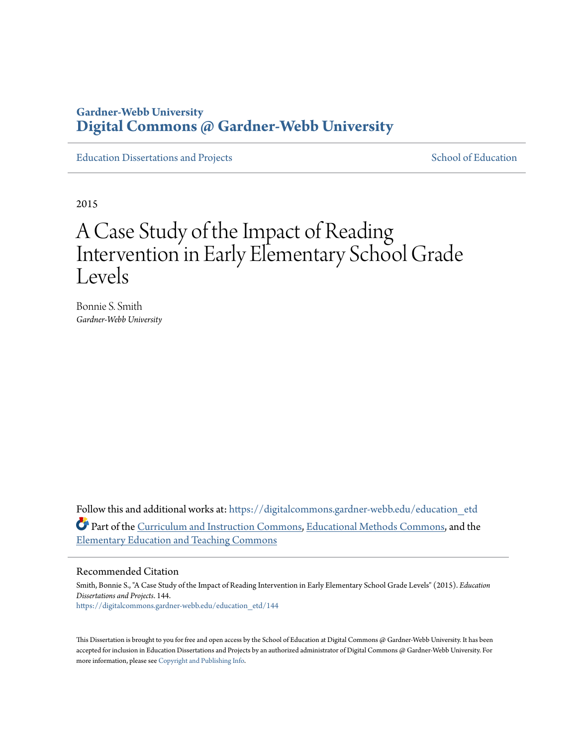# **Gardner-Webb University [Digital Commons @ Gardner-Webb University](https://digitalcommons.gardner-webb.edu?utm_source=digitalcommons.gardner-webb.edu%2Feducation_etd%2F144&utm_medium=PDF&utm_campaign=PDFCoverPages)**

[Education Dissertations and Projects](https://digitalcommons.gardner-webb.edu/education_etd?utm_source=digitalcommons.gardner-webb.edu%2Feducation_etd%2F144&utm_medium=PDF&utm_campaign=PDFCoverPages) [School of Education](https://digitalcommons.gardner-webb.edu/education?utm_source=digitalcommons.gardner-webb.edu%2Feducation_etd%2F144&utm_medium=PDF&utm_campaign=PDFCoverPages)

2015

# A Case Study of the Impact of Reading Intervention in Early Elementary School Grade Levels

Bonnie S. Smith *Gardner-Webb University*

Follow this and additional works at: [https://digitalcommons.gardner-webb.edu/education\\_etd](https://digitalcommons.gardner-webb.edu/education_etd?utm_source=digitalcommons.gardner-webb.edu%2Feducation_etd%2F144&utm_medium=PDF&utm_campaign=PDFCoverPages) Part of the [Curriculum and Instruction Commons](http://network.bepress.com/hgg/discipline/786?utm_source=digitalcommons.gardner-webb.edu%2Feducation_etd%2F144&utm_medium=PDF&utm_campaign=PDFCoverPages), [Educational Methods Commons,](http://network.bepress.com/hgg/discipline/1227?utm_source=digitalcommons.gardner-webb.edu%2Feducation_etd%2F144&utm_medium=PDF&utm_campaign=PDFCoverPages) and the [Elementary Education and Teaching Commons](http://network.bepress.com/hgg/discipline/805?utm_source=digitalcommons.gardner-webb.edu%2Feducation_etd%2F144&utm_medium=PDF&utm_campaign=PDFCoverPages)

#### Recommended Citation

Smith, Bonnie S., "A Case Study of the Impact of Reading Intervention in Early Elementary School Grade Levels" (2015). *Education Dissertations and Projects*. 144. [https://digitalcommons.gardner-webb.edu/education\\_etd/144](https://digitalcommons.gardner-webb.edu/education_etd/144?utm_source=digitalcommons.gardner-webb.edu%2Feducation_etd%2F144&utm_medium=PDF&utm_campaign=PDFCoverPages)

This Dissertation is brought to you for free and open access by the School of Education at Digital Commons  $\varpi$  Gardner-Webb University. It has been accepted for inclusion in Education Dissertations and Projects by an authorized administrator of Digital Commons @ Gardner-Webb University. For more information, please see [Copyright and Publishing Info](https://digitalcommons.gardner-webb.edu/copyright_publishing.html).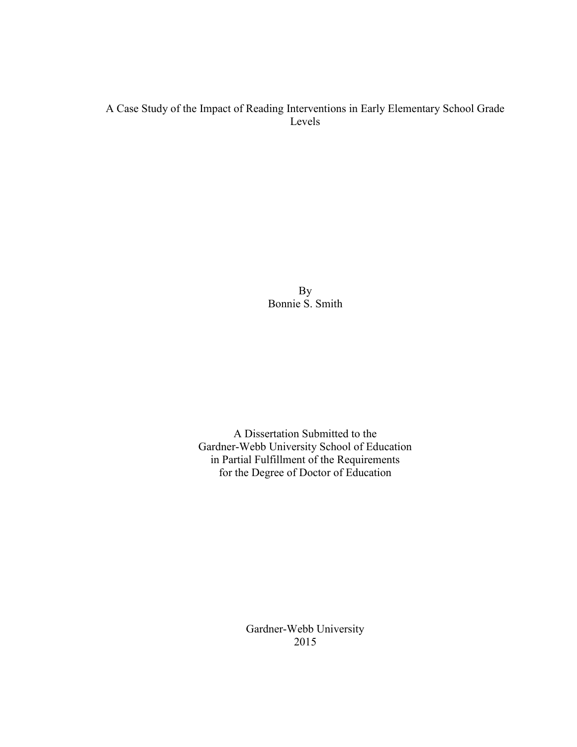# A Case Study of the Impact of Reading Interventions in Early Elementary School Grade Levels

By Bonnie S. Smith

A Dissertation Submitted to the Gardner-Webb University School of Education in Partial Fulfillment of the Requirements for the Degree of Doctor of Education

> Gardner-Webb University 2015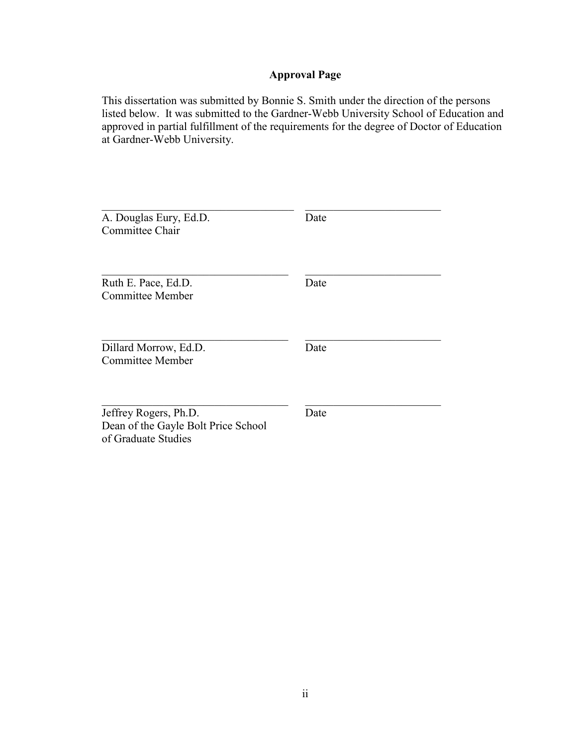# **Approval Page**

This dissertation was submitted by Bonnie S. Smith under the direction of the persons listed below. It was submitted to the Gardner-Webb University School of Education and approved in partial fulfillment of the requirements for the degree of Doctor of Education at Gardner-Webb University.

| A. Douglas Eury, Ed.D.<br>Committee Chair                                           | Date |
|-------------------------------------------------------------------------------------|------|
| Ruth E. Pace, Ed.D.<br>Committee Member                                             | Date |
| Dillard Morrow, Ed.D.<br><b>Committee Member</b>                                    | Date |
| Jeffrey Rogers, Ph.D.<br>Dean of the Gayle Bolt Price School<br>of Graduate Studies | Date |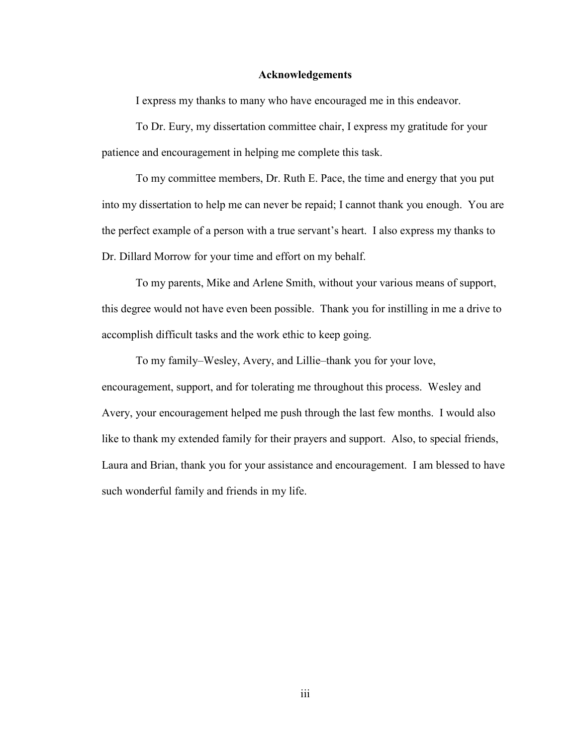#### **Acknowledgements**

I express my thanks to many who have encouraged me in this endeavor.

To Dr. Eury, my dissertation committee chair, I express my gratitude for your patience and encouragement in helping me complete this task.

To my committee members, Dr. Ruth E. Pace, the time and energy that you put into my dissertation to help me can never be repaid; I cannot thank you enough. You are the perfect example of a person with a true servant's heart. I also express my thanks to Dr. Dillard Morrow for your time and effort on my behalf.

To my parents, Mike and Arlene Smith, without your various means of support, this degree would not have even been possible. Thank you for instilling in me a drive to accomplish difficult tasks and the work ethic to keep going.

To my family–Wesley, Avery, and Lillie–thank you for your love, encouragement, support, and for tolerating me throughout this process. Wesley and Avery, your encouragement helped me push through the last few months. I would also like to thank my extended family for their prayers and support. Also, to special friends, Laura and Brian, thank you for your assistance and encouragement. I am blessed to have such wonderful family and friends in my life.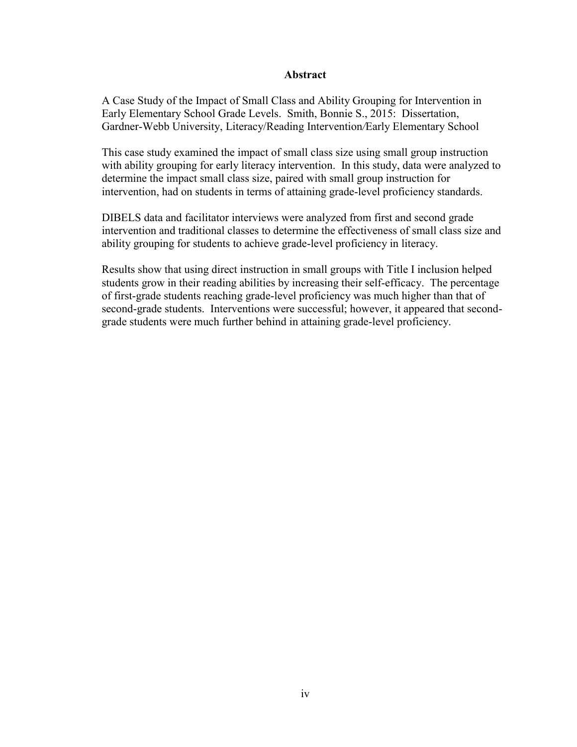## **Abstract**

A Case Study of the Impact of Small Class and Ability Grouping for Intervention in Early Elementary School Grade Levels.Smith, Bonnie S., 2015: Dissertation, Gardner-Webb University, Literacy/Reading Intervention*/*Early Elementary School

This case study examined the impact of small class size using small group instruction with ability grouping for early literacy intervention. In this study, data were analyzed to determine the impact small class size, paired with small group instruction for intervention, had on students in terms of attaining grade-level proficiency standards.

DIBELS data and facilitator interviews were analyzed from first and second grade intervention and traditional classes to determine the effectiveness of small class size and ability grouping for students to achieve grade-level proficiency in literacy.

Results show that using direct instruction in small groups with Title I inclusion helped students grow in their reading abilities by increasing their self-efficacy. The percentage of first-grade students reaching grade-level proficiency was much higher than that of second-grade students. Interventions were successful; however, it appeared that secondgrade students were much further behind in attaining grade-level proficiency.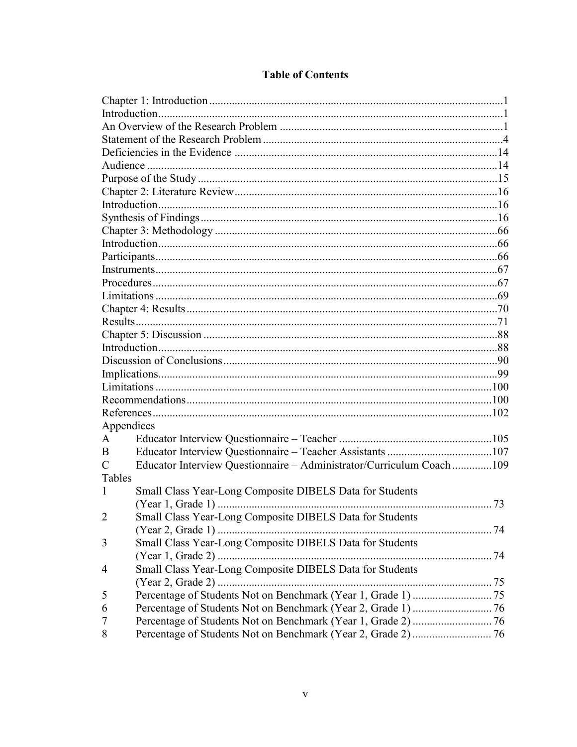| Appendices     |                                                                      |  |
|----------------|----------------------------------------------------------------------|--|
| A              |                                                                      |  |
| B              |                                                                      |  |
| $\mathcal{C}$  | Educator Interview Questionnaire - Administrator/Curriculum Coach109 |  |
| Tables         |                                                                      |  |
| 1              | Small Class Year-Long Composite DIBELS Data for Students             |  |
|                |                                                                      |  |
| $\overline{2}$ | Small Class Year-Long Composite DIBELS Data for Students             |  |
|                |                                                                      |  |
| 3              | Small Class Year-Long Composite DIBELS Data for Students             |  |
|                |                                                                      |  |
| $\overline{4}$ | Small Class Year-Long Composite DIBELS Data for Students             |  |
|                |                                                                      |  |
| 5              |                                                                      |  |
| 6              |                                                                      |  |
| 7              |                                                                      |  |
| 8              |                                                                      |  |

# **Table of Contents**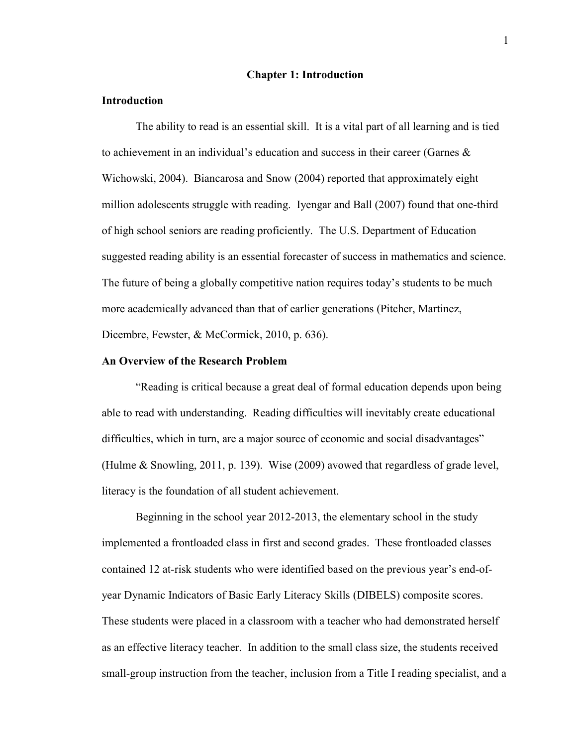#### **Chapter 1: Introduction**

#### **Introduction**

The ability to read is an essential skill. It is a vital part of all learning and is tied to achievement in an individual's education and success in their career (Garnes  $\&$ Wichowski, 2004). Biancarosa and Snow (2004) reported that approximately eight million adolescents struggle with reading. Iyengar and Ball (2007) found that one-third of high school seniors are reading proficiently. The U.S. Department of Education suggested reading ability is an essential forecaster of success in mathematics and science. The future of being a globally competitive nation requires today's students to be much more academically advanced than that of earlier generations (Pitcher, Martinez, Dicembre, Fewster, & McCormick, 2010, p. 636).

#### **An Overview of the Research Problem**

"Reading is critical because a great deal of formal education depends upon being able to read with understanding. Reading difficulties will inevitably create educational difficulties, which in turn, are a major source of economic and social disadvantages" (Hulme & Snowling, 2011, p. 139). Wise (2009) avowed that regardless of grade level, literacy is the foundation of all student achievement.

Beginning in the school year 2012-2013, the elementary school in the study implemented a frontloaded class in first and second grades. These frontloaded classes contained 12 at-risk students who were identified based on the previous year's end-ofyear Dynamic Indicators of Basic Early Literacy Skills (DIBELS) composite scores. These students were placed in a classroom with a teacher who had demonstrated herself as an effective literacy teacher. In addition to the small class size, the students received small-group instruction from the teacher, inclusion from a Title I reading specialist, and a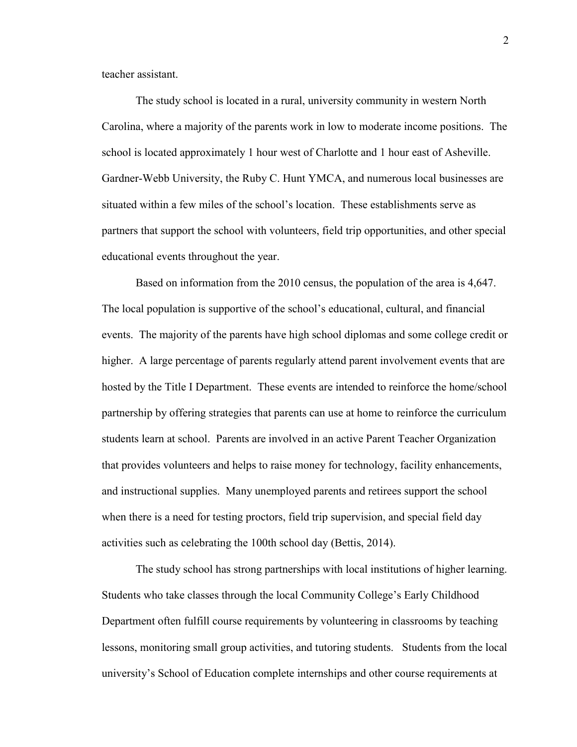teacher assistant.

The study school is located in a rural, university community in western North Carolina, where a majority of the parents work in low to moderate income positions. The school is located approximately 1 hour west of Charlotte and 1 hour east of Asheville. Gardner-Webb University, the Ruby C. Hunt YMCA, and numerous local businesses are situated within a few miles of the school's location. These establishments serve as partners that support the school with volunteers, field trip opportunities, and other special educational events throughout the year.

Based on information from the 2010 census, the population of the area is 4,647. The local population is supportive of the school's educational, cultural, and financial events. The majority of the parents have high school diplomas and some college credit or higher. A large percentage of parents regularly attend parent involvement events that are hosted by the Title I Department. These events are intended to reinforce the home/school partnership by offering strategies that parents can use at home to reinforce the curriculum students learn at school. Parents are involved in an active Parent Teacher Organization that provides volunteers and helps to raise money for technology, facility enhancements, and instructional supplies. Many unemployed parents and retirees support the school when there is a need for testing proctors, field trip supervision, and special field day activities such as celebrating the 100th school day (Bettis, 2014).

The study school has strong partnerships with local institutions of higher learning. Students who take classes through the local Community College's Early Childhood Department often fulfill course requirements by volunteering in classrooms by teaching lessons, monitoring small group activities, and tutoring students. Students from the local university's School of Education complete internships and other course requirements at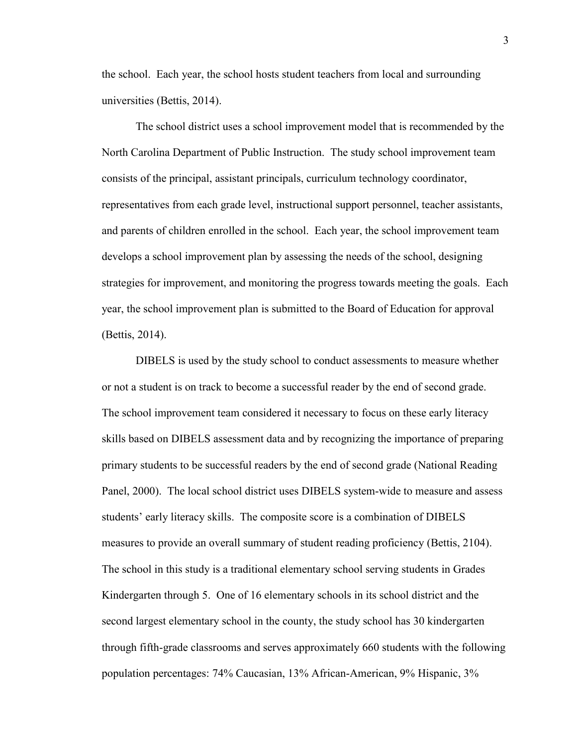the school. Each year, the school hosts student teachers from local and surrounding universities (Bettis, 2014).

The school district uses a school improvement model that is recommended by the North Carolina Department of Public Instruction. The study school improvement team consists of the principal, assistant principals, curriculum technology coordinator, representatives from each grade level, instructional support personnel, teacher assistants, and parents of children enrolled in the school. Each year, the school improvement team develops a school improvement plan by assessing the needs of the school, designing strategies for improvement, and monitoring the progress towards meeting the goals. Each year, the school improvement plan is submitted to the Board of Education for approval (Bettis, 2014).

DIBELS is used by the study school to conduct assessments to measure whether or not a student is on track to become a successful reader by the end of second grade. The school improvement team considered it necessary to focus on these early literacy skills based on DIBELS assessment data and by recognizing the importance of preparing primary students to be successful readers by the end of second grade (National Reading Panel, 2000).The local school district uses DIBELS system-wide to measure and assess students' early literacy skills. The composite score is a combination of DIBELS measures to provide an overall summary of student reading proficiency (Bettis, 2104). The school in this study is a traditional elementary school serving students in Grades Kindergarten through 5. One of 16 elementary schools in its school district and the second largest elementary school in the county, the study school has 30 kindergarten through fifth-grade classrooms and serves approximately 660 students with the following population percentages: 74% Caucasian, 13% African-American, 9% Hispanic, 3%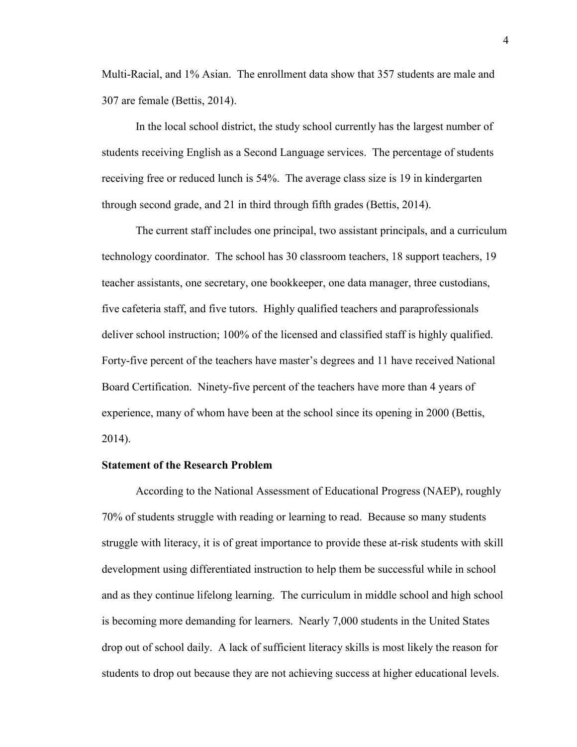Multi-Racial, and 1% Asian. The enrollment data show that 357 students are male and 307 are female (Bettis, 2014).

In the local school district, the study school currently has the largest number of students receiving English as a Second Language services. The percentage of students receiving free or reduced lunch is 54%. The average class size is 19 in kindergarten through second grade, and 21 in third through fifth grades (Bettis, 2014).

The current staff includes one principal, two assistant principals, and a curriculum technology coordinator. The school has 30 classroom teachers, 18 support teachers, 19 teacher assistants, one secretary, one bookkeeper, one data manager, three custodians, five cafeteria staff, and five tutors. Highly qualified teachers and paraprofessionals deliver school instruction; 100% of the licensed and classified staff is highly qualified. Forty-five percent of the teachers have master's degrees and 11 have received National Board Certification. Ninety-five percent of the teachers have more than 4 years of experience, many of whom have been at the school since its opening in 2000 (Bettis, 2014).

## **Statement of the Research Problem**

According to the National Assessment of Educational Progress (NAEP), roughly 70% of students struggle with reading or learning to read. Because so many students struggle with literacy, it is of great importance to provide these at-risk students with skill development using differentiated instruction to help them be successful while in school and as they continue lifelong learning. The curriculum in middle school and high school is becoming more demanding for learners. Nearly 7,000 students in the United States drop out of school daily. A lack of sufficient literacy skills is most likely the reason for students to drop out because they are not achieving success at higher educational levels.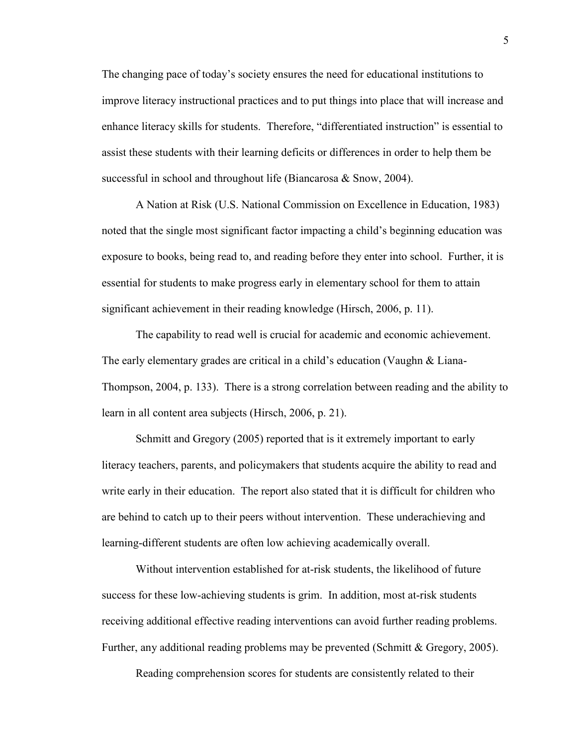The changing pace of today's society ensures the need for educational institutions to improve literacy instructional practices and to put things into place that will increase and enhance literacy skills for students. Therefore, "differentiated instruction" is essential to assist these students with their learning deficits or differences in order to help them be successful in school and throughout life (Biancarosa & Snow, 2004).

A Nation at Risk (U.S. National Commission on Excellence in Education, 1983) noted that the single most significant factor impacting a child's beginning education was exposure to books, being read to, and reading before they enter into school. Further, it is essential for students to make progress early in elementary school for them to attain significant achievement in their reading knowledge (Hirsch, 2006, p. 11).

The capability to read well is crucial for academic and economic achievement. The early elementary grades are critical in a child's education (Vaughn & Liana-Thompson, 2004, p. 133). There is a strong correlation between reading and the ability to learn in all content area subjects (Hirsch, 2006, p. 21).

Schmitt and Gregory (2005) reported that is it extremely important to early literacy teachers, parents, and policymakers that students acquire the ability to read and write early in their education. The report also stated that it is difficult for children who are behind to catch up to their peers without intervention. These underachieving and learning-different students are often low achieving academically overall.

Without intervention established for at-risk students, the likelihood of future success for these low-achieving students is grim. In addition, most at-risk students receiving additional effective reading interventions can avoid further reading problems. Further, any additional reading problems may be prevented (Schmitt & Gregory, 2005).

Reading comprehension scores for students are consistently related to their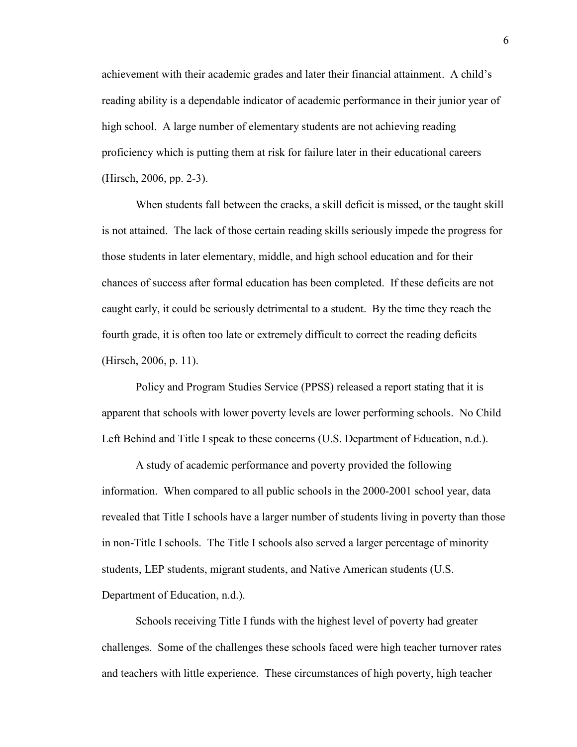achievement with their academic grades and later their financial attainment. A child's reading ability is a dependable indicator of academic performance in their junior year of high school. A large number of elementary students are not achieving reading proficiency which is putting them at risk for failure later in their educational careers (Hirsch, 2006, pp. 2-3).

When students fall between the cracks, a skill deficit is missed, or the taught skill is not attained. The lack of those certain reading skills seriously impede the progress for those students in later elementary, middle, and high school education and for their chances of success after formal education has been completed. If these deficits are not caught early, it could be seriously detrimental to a student. By the time they reach the fourth grade, it is often too late or extremely difficult to correct the reading deficits (Hirsch, 2006, p. 11).

Policy and Program Studies Service (PPSS) released a report stating that it is apparent that schools with lower poverty levels are lower performing schools. No Child Left Behind and Title I speak to these concerns (U.S. Department of Education, n.d.).

A study of academic performance and poverty provided the following information. When compared to all public schools in the 2000-2001 school year, data revealed that Title I schools have a larger number of students living in poverty than those in non-Title I schools. The Title I schools also served a larger percentage of minority students, LEP students, migrant students, and Native American students (U.S. Department of Education, n.d.).

Schools receiving Title I funds with the highest level of poverty had greater challenges. Some of the challenges these schools faced were high teacher turnover rates and teachers with little experience. These circumstances of high poverty, high teacher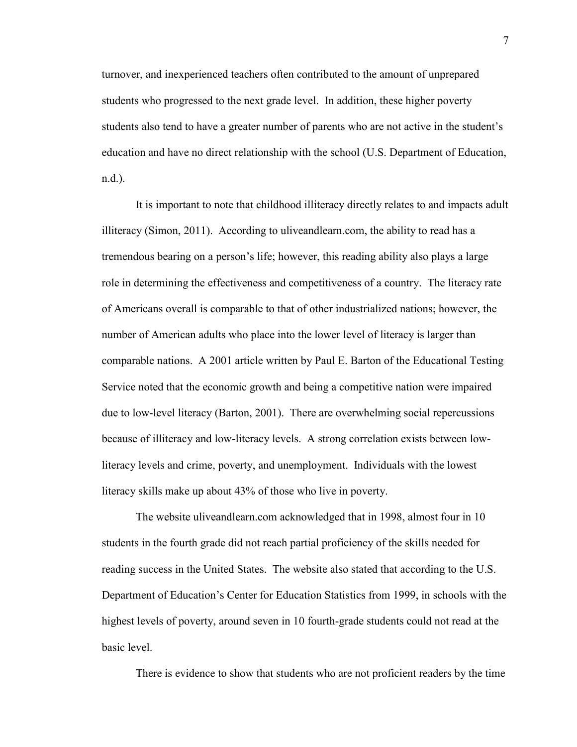turnover, and inexperienced teachers often contributed to the amount of unprepared students who progressed to the next grade level. In addition, these higher poverty students also tend to have a greater number of parents who are not active in the student's education and have no direct relationship with the school (U.S. Department of Education, n.d.).

It is important to note that childhood illiteracy directly relates to and impacts adult illiteracy (Simon, 2011). According to uliveandlearn.com, the ability to read has a tremendous bearing on a person's life; however, this reading ability also plays a large role in determining the effectiveness and competitiveness of a country. The literacy rate of Americans overall is comparable to that of other industrialized nations; however, the number of American adults who place into the lower level of literacy is larger than comparable nations. A 2001 article written by Paul E. Barton of the Educational Testing Service noted that the economic growth and being a competitive nation were impaired due to low-level literacy (Barton, 2001). There are overwhelming social repercussions because of illiteracy and low-literacy levels. A strong correlation exists between lowliteracy levels and crime, poverty, and unemployment. Individuals with the lowest literacy skills make up about 43% of those who live in poverty.

The website uliveandlearn.com acknowledged that in 1998, almost four in 10 students in the fourth grade did not reach partial proficiency of the skills needed for reading success in the United States. The website also stated that according to the U.S. Department of Education's Center for Education Statistics from 1999, in schools with the highest levels of poverty, around seven in 10 fourth-grade students could not read at the basic level.

There is evidence to show that students who are not proficient readers by the time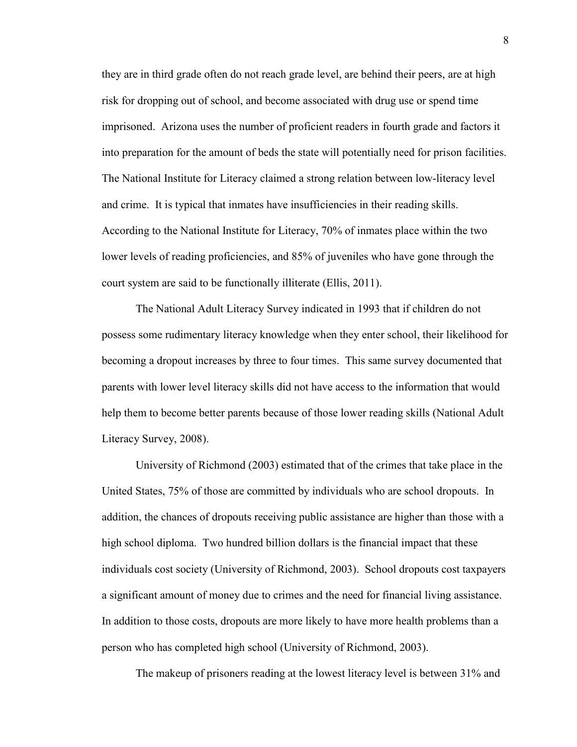they are in third grade often do not reach grade level, are behind their peers, are at high risk for dropping out of school, and become associated with drug use or spend time imprisoned. Arizona uses the number of proficient readers in fourth grade and factors it into preparation for the amount of beds the state will potentially need for prison facilities. The National Institute for Literacy claimed a strong relation between low-literacy level and crime. It is typical that inmates have insufficiencies in their reading skills. According to the National Institute for Literacy, 70% of inmates place within the two lower levels of reading proficiencies, and 85% of juveniles who have gone through the court system are said to be functionally illiterate (Ellis, 2011).

The National Adult Literacy Survey indicated in 1993 that if children do not possess some rudimentary literacy knowledge when they enter school, their likelihood for becoming a dropout increases by three to four times. This same survey documented that parents with lower level literacy skills did not have access to the information that would help them to become better parents because of those lower reading skills (National Adult Literacy Survey, 2008).

University of Richmond (2003) estimated that of the crimes that take place in the United States, 75% of those are committed by individuals who are school dropouts. In addition, the chances of dropouts receiving public assistance are higher than those with a high school diploma. Two hundred billion dollars is the financial impact that these individuals cost society (University of Richmond, 2003). School dropouts cost taxpayers a significant amount of money due to crimes and the need for financial living assistance. In addition to those costs, dropouts are more likely to have more health problems than a person who has completed high school (University of Richmond, 2003).

The makeup of prisoners reading at the lowest literacy level is between 31% and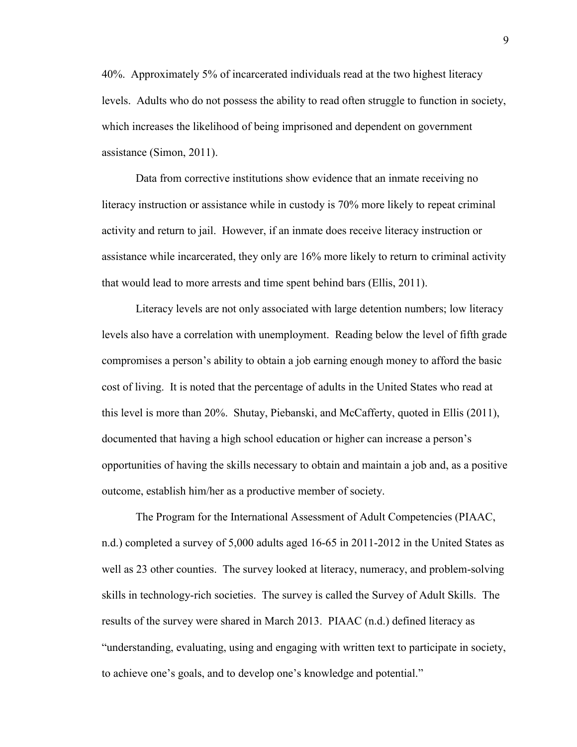40%. Approximately 5% of incarcerated individuals read at the two highest literacy levels. Adults who do not possess the ability to read often struggle to function in society, which increases the likelihood of being imprisoned and dependent on government assistance (Simon, 2011).

Data from corrective institutions show evidence that an inmate receiving no literacy instruction or assistance while in custody is 70% more likely to repeat criminal activity and return to jail. However, if an inmate does receive literacy instruction or assistance while incarcerated, they only are 16% more likely to return to criminal activity that would lead to more arrests and time spent behind bars (Ellis, 2011).

Literacy levels are not only associated with large detention numbers; low literacy levels also have a correlation with unemployment. Reading below the level of fifth grade compromises a person's ability to obtain a job earning enough money to afford the basic cost of living. It is noted that the percentage of adults in the United States who read at this level is more than 20%. Shutay, Piebanski, and McCafferty, quoted in Ellis (2011), documented that having a high school education or higher can increase a person's opportunities of having the skills necessary to obtain and maintain a job and, as a positive outcome, establish him/her as a productive member of society.

The Program for the International Assessment of Adult Competencies (PIAAC, n.d.) completed a survey of 5,000 adults aged 16-65 in 2011-2012 in the United States as well as 23 other counties. The survey looked at literacy, numeracy, and problem-solving skills in technology-rich societies. The survey is called the Survey of Adult Skills. The results of the survey were shared in March 2013. PIAAC (n.d.) defined literacy as "understanding, evaluating, using and engaging with written text to participate in society, to achieve one's goals, and to develop one's knowledge and potential."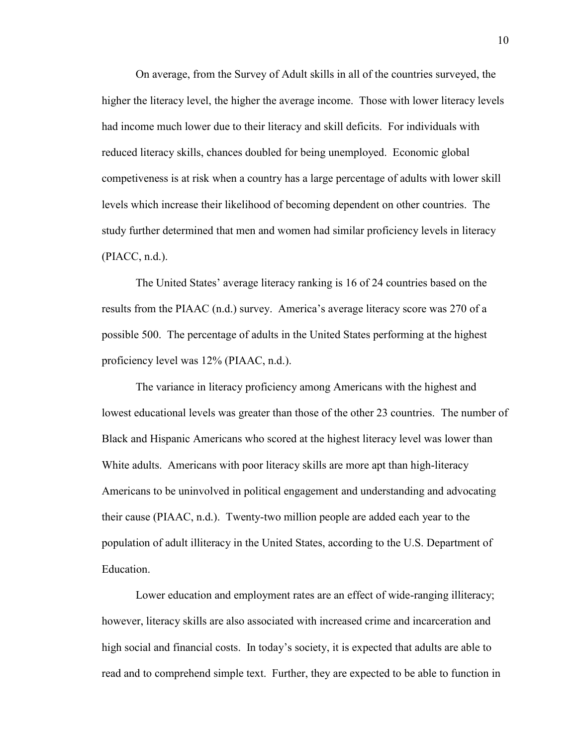On average, from the Survey of Adult skills in all of the countries surveyed, the higher the literacy level, the higher the average income. Those with lower literacy levels had income much lower due to their literacy and skill deficits. For individuals with reduced literacy skills, chances doubled for being unemployed. Economic global competiveness is at risk when a country has a large percentage of adults with lower skill levels which increase their likelihood of becoming dependent on other countries. The study further determined that men and women had similar proficiency levels in literacy (PIACC, n.d.).

The United States' average literacy ranking is 16 of 24 countries based on the results from the PIAAC (n.d.) survey. America's average literacy score was 270 of a possible 500. The percentage of adults in the United States performing at the highest proficiency level was 12% (PIAAC, n.d.).

The variance in literacy proficiency among Americans with the highest and lowest educational levels was greater than those of the other 23 countries. The number of Black and Hispanic Americans who scored at the highest literacy level was lower than White adults. Americans with poor literacy skills are more apt than high-literacy Americans to be uninvolved in political engagement and understanding and advocating their cause (PIAAC, n.d.). Twenty-two million people are added each year to the population of adult illiteracy in the United States, according to the U.S. Department of Education.

Lower education and employment rates are an effect of wide-ranging illiteracy; however, literacy skills are also associated with increased crime and incarceration and high social and financial costs. In today's society, it is expected that adults are able to read and to comprehend simple text. Further, they are expected to be able to function in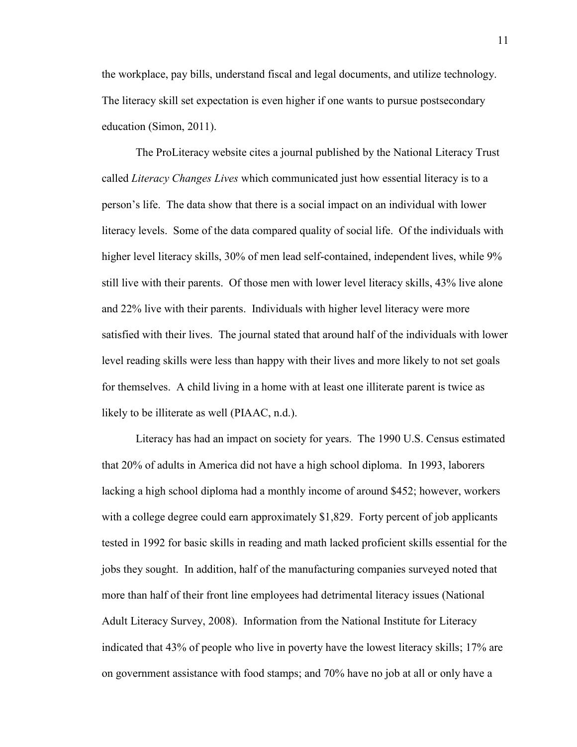the workplace, pay bills, understand fiscal and legal documents, and utilize technology. The literacy skill set expectation is even higher if one wants to pursue postsecondary education (Simon, 2011).

The ProLiteracy website cites a journal published by the National Literacy Trust called *Literacy Changes Lives* which communicated just how essential literacy is to a person's life. The data show that there is a social impact on an individual with lower literacy levels. Some of the data compared quality of social life. Of the individuals with higher level literacy skills, 30% of men lead self-contained, independent lives, while 9% still live with their parents. Of those men with lower level literacy skills, 43% live alone and 22% live with their parents. Individuals with higher level literacy were more satisfied with their lives. The journal stated that around half of the individuals with lower level reading skills were less than happy with their lives and more likely to not set goals for themselves. A child living in a home with at least one illiterate parent is twice as likely to be illiterate as well (PIAAC, n.d.).

Literacy has had an impact on society for years. The 1990 U.S. Census estimated that 20% of adults in America did not have a high school diploma. In 1993, laborers lacking a high school diploma had a monthly income of around \$452; however, workers with a college degree could earn approximately \$1,829. Forty percent of job applicants tested in 1992 for basic skills in reading and math lacked proficient skills essential for the jobs they sought. In addition, half of the manufacturing companies surveyed noted that more than half of their front line employees had detrimental literacy issues (National Adult Literacy Survey, 2008). Information from the National Institute for Literacy indicated that 43% of people who live in poverty have the lowest literacy skills; 17% are on government assistance with food stamps; and 70% have no job at all or only have a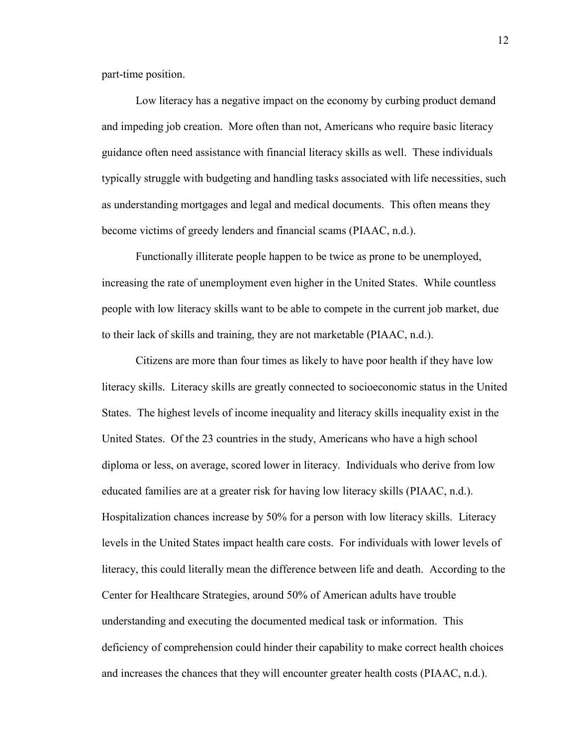part-time position.

Low literacy has a negative impact on the economy by curbing product demand and impeding job creation. More often than not, Americans who require basic literacy guidance often need assistance with financial literacy skills as well. These individuals typically struggle with budgeting and handling tasks associated with life necessities, such as understanding mortgages and legal and medical documents. This often means they become victims of greedy lenders and financial scams (PIAAC, n.d.).

Functionally illiterate people happen to be twice as prone to be unemployed, increasing the rate of unemployment even higher in the United States. While countless people with low literacy skills want to be able to compete in the current job market, due to their lack of skills and training, they are not marketable (PIAAC, n.d.).

Citizens are more than four times as likely to have poor health if they have low literacy skills. Literacy skills are greatly connected to socioeconomic status in the United States. The highest levels of income inequality and literacy skills inequality exist in the United States. Of the 23 countries in the study, Americans who have a high school diploma or less, on average, scored lower in literacy. Individuals who derive from low educated families are at a greater risk for having low literacy skills (PIAAC, n.d.). Hospitalization chances increase by 50% for a person with low literacy skills. Literacy levels in the United States impact health care costs. For individuals with lower levels of literacy, this could literally mean the difference between life and death. According to the Center for Healthcare Strategies, around 50% of American adults have trouble understanding and executing the documented medical task or information. This deficiency of comprehension could hinder their capability to make correct health choices and increases the chances that they will encounter greater health costs (PIAAC, n.d.).

12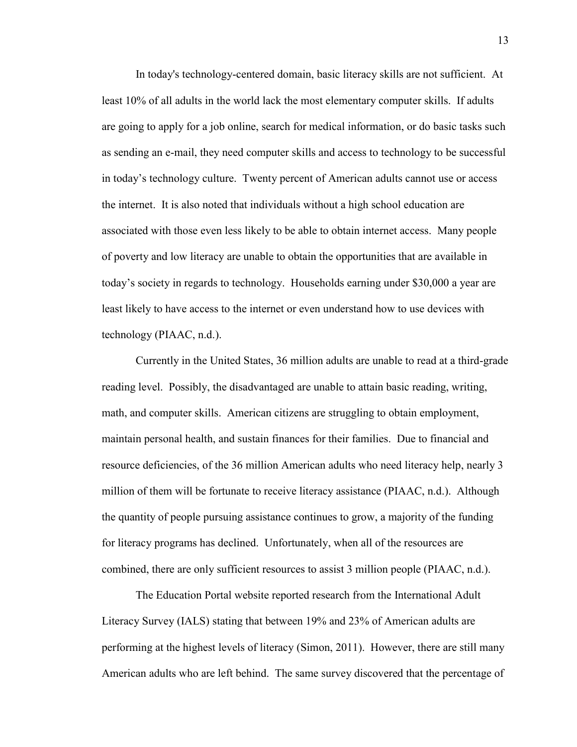In today's technology-centered domain, basic literacy skills are not sufficient. At least 10% of all adults in the world lack the most elementary computer skills. If adults are going to apply for a job online, search for medical information, or do basic tasks such as sending an e-mail, they need computer skills and access to technology to be successful in today's technology culture. Twenty percent of American adults cannot use or access the internet. It is also noted that individuals without a high school education are associated with those even less likely to be able to obtain internet access. Many people of poverty and low literacy are unable to obtain the opportunities that are available in today's society in regards to technology. Households earning under \$30,000 a year are least likely to have access to the internet or even understand how to use devices with technology (PIAAC, n.d.).

Currently in the United States, 36 million adults are unable to read at a third-grade reading level. Possibly, the disadvantaged are unable to attain basic reading, writing, math, and computer skills. American citizens are struggling to obtain employment, maintain personal health, and sustain finances for their families. Due to financial and resource deficiencies, of the 36 million American adults who need literacy help, nearly 3 million of them will be fortunate to receive literacy assistance (PIAAC, n.d.). Although the quantity of people pursuing assistance continues to grow, a majority of the funding for literacy programs has declined. Unfortunately, when all of the resources are combined, there are only sufficient resources to assist 3 million people (PIAAC, n.d.).

The Education Portal website reported research from the International Adult Literacy Survey (IALS) stating that between 19% and 23% of American adults are performing at the highest levels of literacy (Simon, 2011). However, there are still many American adults who are left behind. The same survey discovered that the percentage of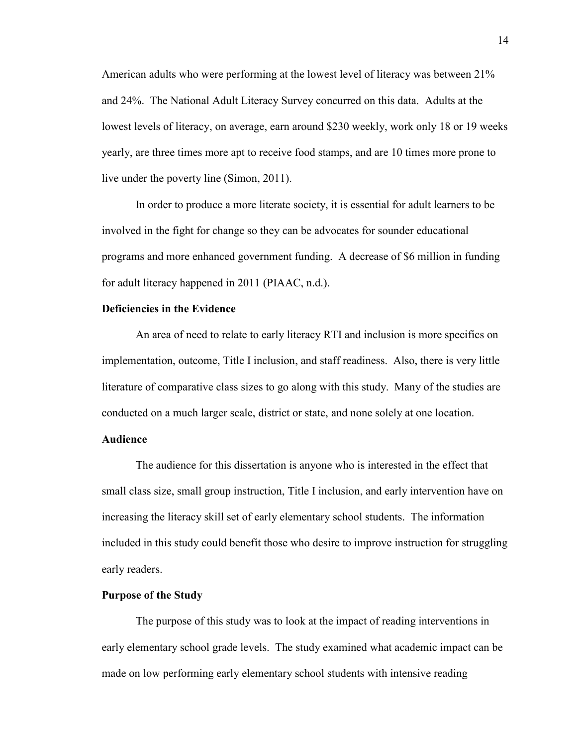American adults who were performing at the lowest level of literacy was between 21% and 24%. The National Adult Literacy Survey concurred on this data. Adults at the lowest levels of literacy, on average, earn around \$230 weekly, work only 18 or 19 weeks yearly, are three times more apt to receive food stamps, and are 10 times more prone to live under the poverty line (Simon, 2011).

In order to produce a more literate society, it is essential for adult learners to be involved in the fight for change so they can be advocates for sounder educational programs and more enhanced government funding. A decrease of \$6 million in funding for adult literacy happened in 2011 (PIAAC, n.d.).

# **Deficiencies in the Evidence**

An area of need to relate to early literacy RTI and inclusion is more specifics on implementation, outcome, Title I inclusion, and staff readiness. Also, there is very little literature of comparative class sizes to go along with this study. Many of the studies are conducted on a much larger scale, district or state, and none solely at one location.

## **Audience**

The audience for this dissertation is anyone who is interested in the effect that small class size, small group instruction, Title I inclusion, and early intervention have on increasing the literacy skill set of early elementary school students. The information included in this study could benefit those who desire to improve instruction for struggling early readers.

#### **Purpose of the Study**

The purpose of this study was to look at the impact of reading interventions in early elementary school grade levels. The study examined what academic impact can be made on low performing early elementary school students with intensive reading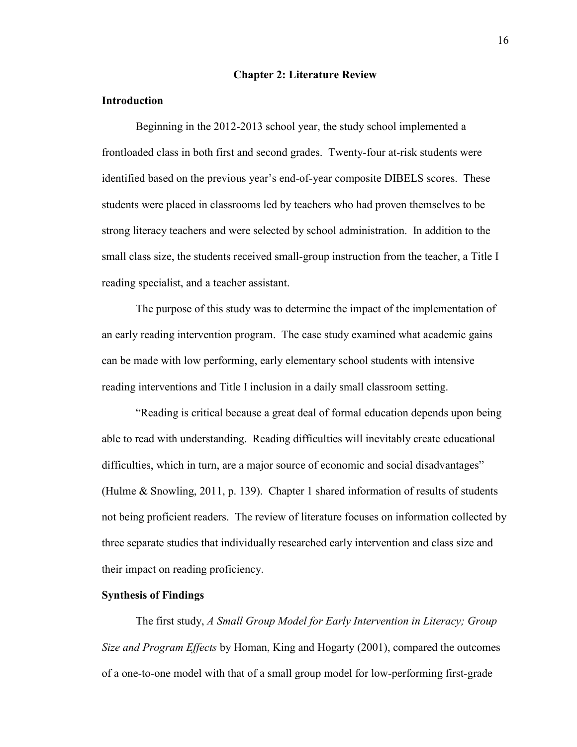#### **Chapter 2: Literature Review**

### **Introduction**

Beginning in the 2012-2013 school year, the study school implemented a frontloaded class in both first and second grades. Twenty-four at-risk students were identified based on the previous year's end-of-year composite DIBELS scores. These students were placed in classrooms led by teachers who had proven themselves to be strong literacy teachers and were selected by school administration. In addition to the small class size, the students received small-group instruction from the teacher, a Title I reading specialist, and a teacher assistant.

The purpose of this study was to determine the impact of the implementation of an early reading intervention program. The case study examined what academic gains can be made with low performing, early elementary school students with intensive reading interventions and Title I inclusion in a daily small classroom setting.

"Reading is critical because a great deal of formal education depends upon being able to read with understanding. Reading difficulties will inevitably create educational difficulties, which in turn, are a major source of economic and social disadvantages" (Hulme & Snowling, 2011, p. 139). Chapter 1 shared information of results of students not being proficient readers. The review of literature focuses on information collected by three separate studies that individually researched early intervention and class size and their impact on reading proficiency.

## **Synthesis of Findings**

The first study, *A Small Group Model for Early Intervention in Literacy; Group Size and Program Effects* by Homan, King and Hogarty (2001), compared the outcomes of a one-to-one model with that of a small group model for low-performing first-grade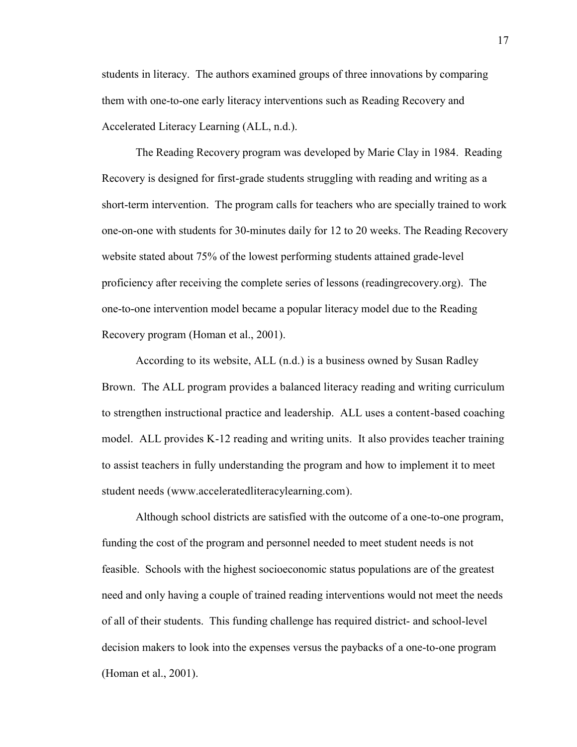students in literacy. The authors examined groups of three innovations by comparing them with one-to-one early literacy interventions such as Reading Recovery and Accelerated Literacy Learning (ALL, n.d.).

The Reading Recovery program was developed by Marie Clay in 1984. Reading Recovery is designed for first-grade students struggling with reading and writing as a short-term intervention. The program calls for teachers who are specially trained to work one-on-one with students for 30-minutes daily for 12 to 20 weeks. The Reading Recovery website stated about 75% of the lowest performing students attained grade-level proficiency after receiving the complete series of lessons (readingrecovery.org). The one-to-one intervention model became a popular literacy model due to the Reading Recovery program (Homan et al., 2001).

According to its website, ALL (n.d.) is a business owned by Susan Radley Brown. The ALL program provides a balanced literacy reading and writing curriculum to strengthen instructional practice and leadership. ALL uses a content-based coaching model. ALL provides K-12 reading and writing units. It also provides teacher training to assist teachers in fully understanding the program and how to implement it to meet student needs [\(www.acceleratedliteracylearning.com\)](http://www.acceleratedliteracylearning.com/).

Although school districts are satisfied with the outcome of a one-to-one program, funding the cost of the program and personnel needed to meet student needs is not feasible. Schools with the highest socioeconomic status populations are of the greatest need and only having a couple of trained reading interventions would not meet the needs of all of their students. This funding challenge has required district- and school-level decision makers to look into the expenses versus the paybacks of a one-to-one program (Homan et al., 2001).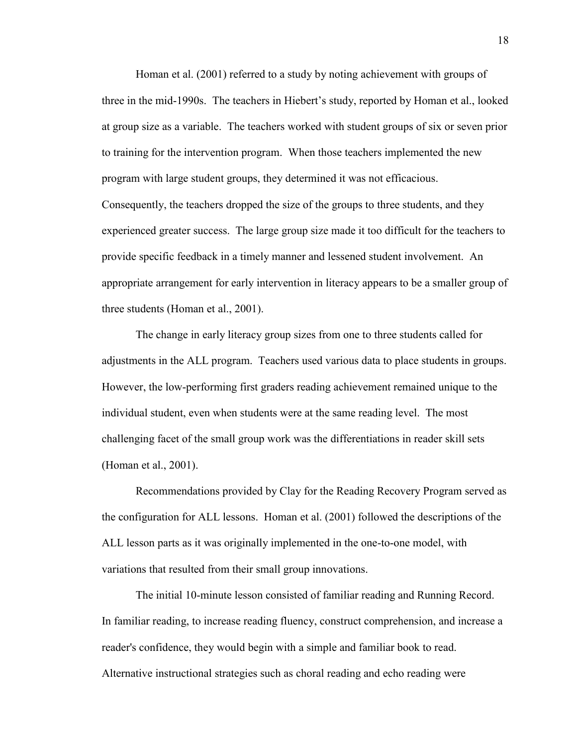Homan et al. (2001) referred to a study by noting achievement with groups of three in the mid-1990s. The teachers in Hiebert's study, reported by Homan et al., looked at group size as a variable. The teachers worked with student groups of six or seven prior to training for the intervention program. When those teachers implemented the new program with large student groups, they determined it was not efficacious. Consequently, the teachers dropped the size of the groups to three students, and they experienced greater success. The large group size made it too difficult for the teachers to provide specific feedback in a timely manner and lessened student involvement. An appropriate arrangement for early intervention in literacy appears to be a smaller group of three students (Homan et al., 2001).

The change in early literacy group sizes from one to three students called for adjustments in the ALL program. Teachers used various data to place students in groups. However, the low-performing first graders reading achievement remained unique to the individual student, even when students were at the same reading level. The most challenging facet of the small group work was the differentiations in reader skill sets (Homan et al., 2001).

Recommendations provided by Clay for the Reading Recovery Program served as the configuration for ALL lessons. Homan et al. (2001) followed the descriptions of the ALL lesson parts as it was originally implemented in the one-to-one model, with variations that resulted from their small group innovations.

The initial 10-minute lesson consisted of familiar reading and Running Record. In familiar reading, to increase reading fluency, construct comprehension, and increase a reader's confidence, they would begin with a simple and familiar book to read. Alternative instructional strategies such as choral reading and echo reading were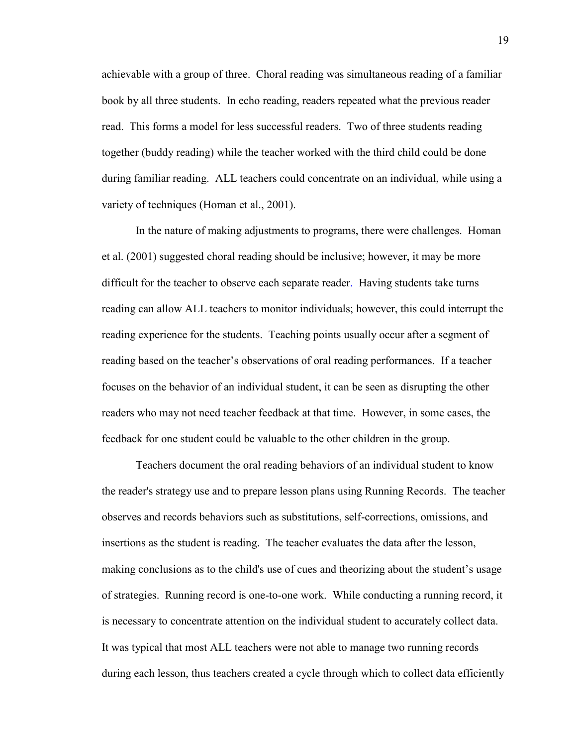achievable with a group of three. Choral reading was simultaneous reading of a familiar book by all three students. In echo reading, readers repeated what the previous reader read. This forms a model for less successful readers. Two of three students reading together (buddy reading) while the teacher worked with the third child could be done during familiar reading. ALL teachers could concentrate on an individual, while using a variety of techniques (Homan et al., 2001).

In the nature of making adjustments to programs, there were challenges. Homan et al. (2001) suggested choral reading should be inclusive; however, it may be more difficult for the teacher to observe each separate reader. Having students take turns reading can allow ALL teachers to monitor individuals; however, this could interrupt the reading experience for the students. Teaching points usually occur after a segment of reading based on the teacher's observations of oral reading performances. If a teacher focuses on the behavior of an individual student, it can be seen as disrupting the other readers who may not need teacher feedback at that time. However, in some cases, the feedback for one student could be valuable to the other children in the group.

Teachers document the oral reading behaviors of an individual student to know the reader's strategy use and to prepare lesson plans using Running Records. The teacher observes and records behaviors such as substitutions, self-corrections, omissions, and insertions as the student is reading. The teacher evaluates the data after the lesson, making conclusions as to the child's use of cues and theorizing about the student's usage of strategies. Running record is one-to-one work. While conducting a running record, it is necessary to concentrate attention on the individual student to accurately collect data. It was typical that most ALL teachers were not able to manage two running records during each lesson, thus teachers created a cycle through which to collect data efficiently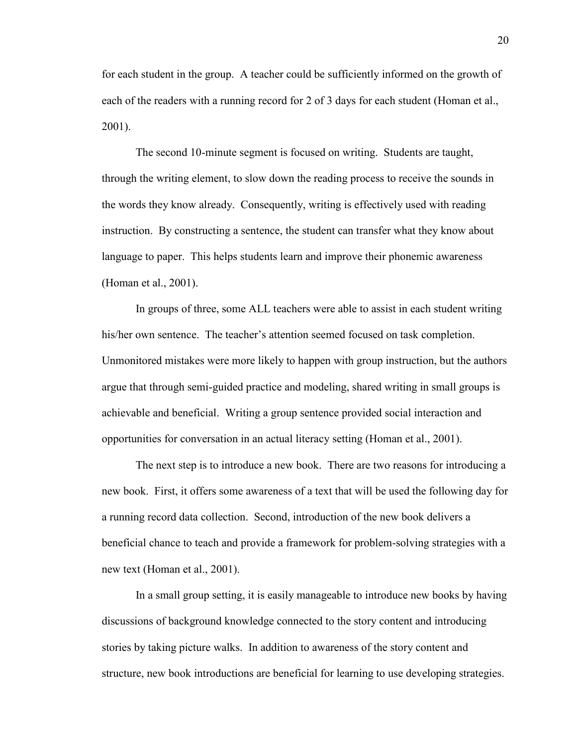for each student in the group. A teacher could be sufficiently informed on the growth of each of the readers with a running record for 2 of 3 days for each student (Homan et al., 2001).

The second 10-minute segment is focused on writing. Students are taught, through the writing element, to slow down the reading process to receive the sounds in the words they know already. Consequently, writing is effectively used with reading instruction. By constructing a sentence, the student can transfer what they know about language to paper. This helps students learn and improve their phonemic awareness (Homan et al., 2001).

In groups of three, some ALL teachers were able to assist in each student writing his/her own sentence. The teacher's attention seemed focused on task completion. Unmonitored mistakes were more likely to happen with group instruction, but the authors argue that through semi-guided practice and modeling, shared writing in small groups is achievable and beneficial. Writing a group sentence provided social interaction and opportunities for conversation in an actual literacy setting (Homan et al., 2001).

The next step is to introduce a new book. There are two reasons for introducing a new book. First, it offers some awareness of a text that will be used the following day for a running record data collection. Second, introduction of the new book delivers a beneficial chance to teach and provide a framework for problem-solving strategies with a new text (Homan et al., 2001).

In a small group setting, it is easily manageable to introduce new books by having discussions of background knowledge connected to the story content and introducing stories by taking picture walks. In addition to awareness of the story content and structure, new book introductions are beneficial for learning to use developing strategies.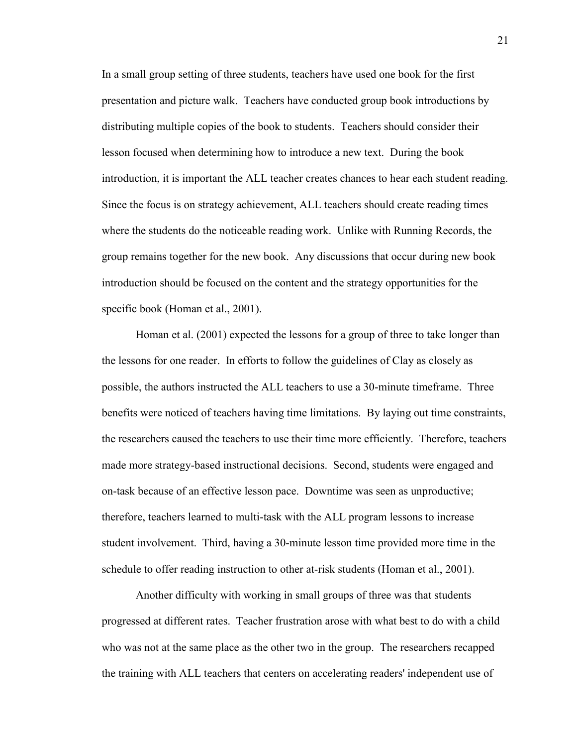In a small group setting of three students, teachers have used one book for the first presentation and picture walk. Teachers have conducted group book introductions by distributing multiple copies of the book to students. Teachers should consider their lesson focused when determining how to introduce a new text. During the book introduction, it is important the ALL teacher creates chances to hear each student reading. Since the focus is on strategy achievement, ALL teachers should create reading times where the students do the noticeable reading work. Unlike with Running Records, the group remains together for the new book. Any discussions that occur during new book introduction should be focused on the content and the strategy opportunities for the specific book (Homan et al., 2001).

Homan et al. (2001) expected the lessons for a group of three to take longer than the lessons for one reader. In efforts to follow the guidelines of Clay as closely as possible, the authors instructed the ALL teachers to use a 30-minute timeframe. Three benefits were noticed of teachers having time limitations. By laying out time constraints, the researchers caused the teachers to use their time more efficiently. Therefore, teachers made more strategy-based instructional decisions. Second, students were engaged and on-task because of an effective lesson pace. Downtime was seen as unproductive; therefore, teachers learned to multi-task with the ALL program lessons to increase student involvement. Third, having a 30-minute lesson time provided more time in the schedule to offer reading instruction to other at-risk students (Homan et al., 2001).

Another difficulty with working in small groups of three was that students progressed at different rates. Teacher frustration arose with what best to do with a child who was not at the same place as the other two in the group. The researchers recapped the training with ALL teachers that centers on accelerating readers' independent use of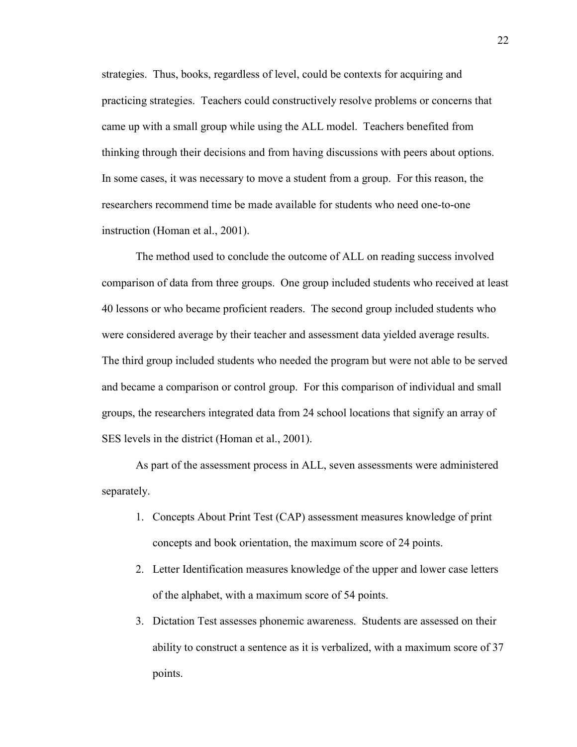strategies. Thus, books, regardless of level, could be contexts for acquiring and practicing strategies. Teachers could constructively resolve problems or concerns that came up with a small group while using the ALL model. Teachers benefited from thinking through their decisions and from having discussions with peers about options. In some cases, it was necessary to move a student from a group. For this reason, the researchers recommend time be made available for students who need one-to-one instruction (Homan et al., 2001).

The method used to conclude the outcome of ALL on reading success involved comparison of data from three groups. One group included students who received at least 40 lessons or who became proficient readers. The second group included students who were considered average by their teacher and assessment data yielded average results. The third group included students who needed the program but were not able to be served and became a comparison or control group. For this comparison of individual and small groups, the researchers integrated data from 24 school locations that signify an array of SES levels in the district (Homan et al., 2001).

As part of the assessment process in ALL, seven assessments were administered separately.

- 1. Concepts About Print Test (CAP) assessment measures knowledge of print concepts and book orientation, the maximum score of 24 points.
- 2. Letter Identification measures knowledge of the upper and lower case letters of the alphabet, with a maximum score of 54 points.
- 3. Dictation Test assesses phonemic awareness. Students are assessed on their ability to construct a sentence as it is verbalized, with a maximum score of 37 points.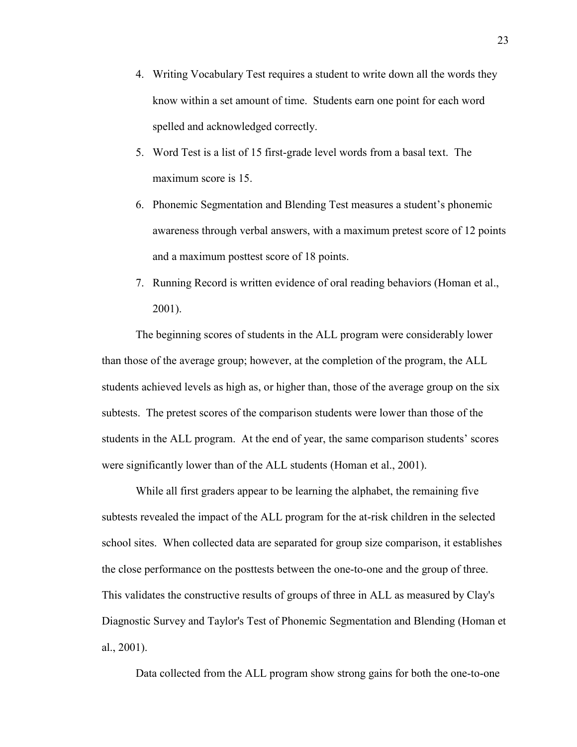- 4. Writing Vocabulary Test requires a student to write down all the words they know within a set amount of time. Students earn one point for each word spelled and acknowledged correctly.
- 5. Word Test is a list of 15 first-grade level words from a basal text. The maximum score is 15.
- 6. Phonemic Segmentation and Blending Test measures a student's phonemic awareness through verbal answers, with a maximum pretest score of 12 points and a maximum posttest score of 18 points.
- 7. Running Record is written evidence of oral reading behaviors (Homan et al., 2001).

The beginning scores of students in the ALL program were considerably lower than those of the average group; however, at the completion of the program, the ALL students achieved levels as high as, or higher than, those of the average group on the six subtests. The pretest scores of the comparison students were lower than those of the students in the ALL program. At the end of year, the same comparison students' scores were significantly lower than of the ALL students (Homan et al., 2001).

While all first graders appear to be learning the alphabet, the remaining five subtests revealed the impact of the ALL program for the at-risk children in the selected school sites. When collected data are separated for group size comparison, it establishes the close performance on the posttests between the one-to-one and the group of three. This validates the constructive results of groups of three in ALL as measured by Clay's Diagnostic Survey and Taylor's Test of Phonemic Segmentation and Blending (Homan et al., 2001).

Data collected from the ALL program show strong gains for both the one-to-one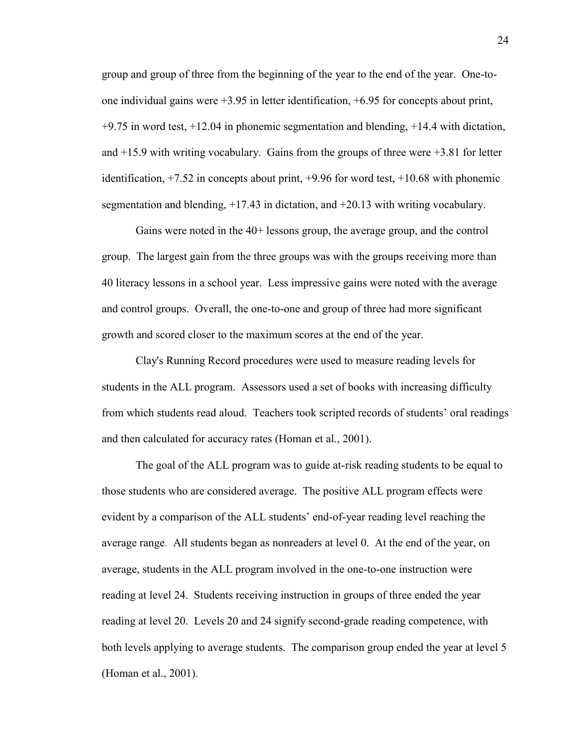group and group of three from the beginning of the year to the end of the year. One-toone individual gains were +3.95 in letter identification, +6.95 for concepts about print,  $+9.75$  in word test,  $+12.04$  in phonemic segmentation and blending,  $+14.4$  with dictation, and +15.9 with writing vocabulary. Gains from the groups of three were +3.81 for letter identification, +7.52 in concepts about print, +9.96 for word test, +10.68 with phonemic segmentation and blending, +17.43 in dictation, and +20.13 with writing vocabulary.

Gains were noted in the 40+ lessons group, the average group, and the control group. The largest gain from the three groups was with the groups receiving more than 40 literacy lessons in a school year. Less impressive gains were noted with the average and control groups. Overall, the one-to-one and group of three had more significant growth and scored closer to the maximum scores at the end of the year.

Clay's Running Record procedures were used to measure reading levels for students in the ALL program. Assessors used a set of books with increasing difficulty from which students read aloud. Teachers took scripted records of students' oral readings and then calculated for accuracy rates (Homan et al., 2001).

The goal of the ALL program was to guide at-risk reading students to be equal to those students who are considered average. The positive ALL program effects were evident by a comparison of the ALL students' end-of-year reading level reaching the average range. All students began as nonreaders at level 0. At the end of the year, on average, students in the ALL program involved in the one-to-one instruction were reading at level 24. Students receiving instruction in groups of three ended the year reading at level 20. Levels 20 and 24 signify second-grade reading competence, with both levels applying to average students. The comparison group ended the year at level 5 (Homan et al., 2001).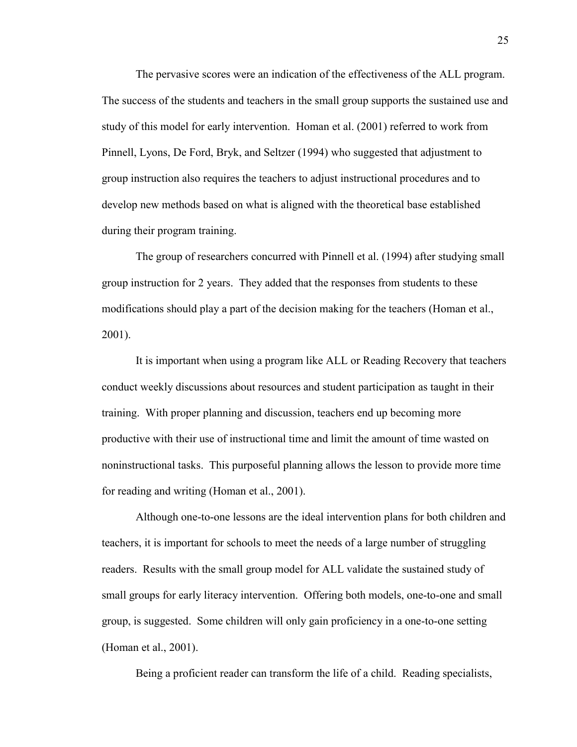The pervasive scores were an indication of the effectiveness of the ALL program. The success of the students and teachers in the small group supports the sustained use and study of this model for early intervention. Homan et al. (2001) referred to work from Pinnell, Lyons, De Ford, Bryk, and Seltzer (1994) who suggested that adjustment to group instruction also requires the teachers to adjust instructional procedures and to develop new methods based on what is aligned with the theoretical base established during their program training.

The group of researchers concurred with Pinnell et al. (1994) after studying small group instruction for 2 years. They added that the responses from students to these modifications should play a part of the decision making for the teachers (Homan et al., 2001).

It is important when using a program like ALL or Reading Recovery that teachers conduct weekly discussions about resources and student participation as taught in their training. With proper planning and discussion, teachers end up becoming more productive with their use of instructional time and limit the amount of time wasted on noninstructional tasks. This purposeful planning allows the lesson to provide more time for reading and writing (Homan et al., 2001).

Although one-to-one lessons are the ideal intervention plans for both children and teachers, it is important for schools to meet the needs of a large number of struggling readers. Results with the small group model for ALL validate the sustained study of small groups for early literacy intervention. Offering both models, one-to-one and small group, is suggested. Some children will only gain proficiency in a one-to-one setting (Homan et al., 2001).

Being a proficient reader can transform the life of a child. Reading specialists,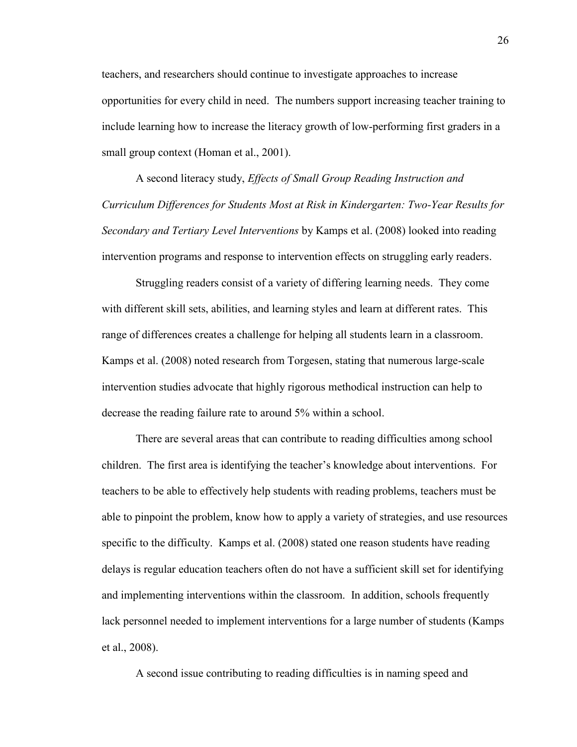teachers, and researchers should continue to investigate approaches to increase opportunities for every child in need. The numbers support increasing teacher training to include learning how to increase the literacy growth of low-performing first graders in a small group context (Homan et al., 2001).

A second literacy study, *Effects of Small Group Reading Instruction and Curriculum Differences for Students Most at Risk in Kindergarten: Two-Year Results for Secondary and Tertiary Level Interventions* by Kamps et al. (2008) looked into reading intervention programs and response to intervention effects on struggling early readers.

Struggling readers consist of a variety of differing learning needs. They come with different skill sets, abilities, and learning styles and learn at different rates. This range of differences creates a challenge for helping all students learn in a classroom. Kamps et al. (2008) noted research from Torgesen, stating that numerous large-scale intervention studies advocate that highly rigorous methodical instruction can help to decrease the reading failure rate to around 5% within a school.

There are several areas that can contribute to reading difficulties among school children. The first area is identifying the teacher's knowledge about interventions. For teachers to be able to effectively help students with reading problems, teachers must be able to pinpoint the problem, know how to apply a variety of strategies, and use resources specific to the difficulty. Kamps et al. (2008) stated one reason students have reading delays is regular education teachers often do not have a sufficient skill set for identifying and implementing interventions within the classroom. In addition, schools frequently lack personnel needed to implement interventions for a large number of students (Kamps et al., 2008).

A second issue contributing to reading difficulties is in naming speed and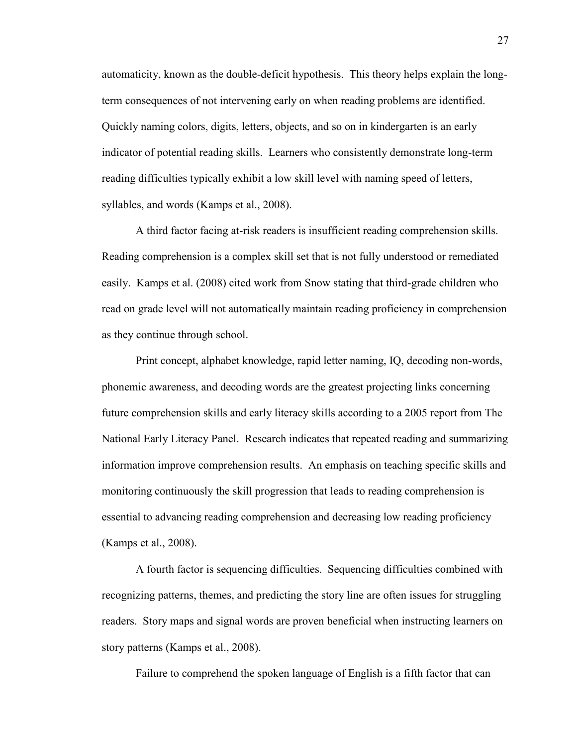automaticity, known as the double-deficit hypothesis. This theory helps explain the longterm consequences of not intervening early on when reading problems are identified. Quickly naming colors, digits, letters, objects, and so on in kindergarten is an early indicator of potential reading skills. Learners who consistently demonstrate long-term reading difficulties typically exhibit a low skill level with naming speed of letters, syllables, and words (Kamps et al., 2008).

A third factor facing at-risk readers is insufficient reading comprehension skills. Reading comprehension is a complex skill set that is not fully understood or remediated easily. Kamps et al. (2008) cited work from Snow stating that third-grade children who read on grade level will not automatically maintain reading proficiency in comprehension as they continue through school.

Print concept, alphabet knowledge, rapid letter naming, IQ, decoding non-words, phonemic awareness, and decoding words are the greatest projecting links concerning future comprehension skills and early literacy skills according to a 2005 report from The National Early Literacy Panel. Research indicates that repeated reading and summarizing information improve comprehension results. An emphasis on teaching specific skills and monitoring continuously the skill progression that leads to reading comprehension is essential to advancing reading comprehension and decreasing low reading proficiency (Kamps et al., 2008).

A fourth factor is sequencing difficulties. Sequencing difficulties combined with recognizing patterns, themes, and predicting the story line are often issues for struggling readers. Story maps and signal words are proven beneficial when instructing learners on story patterns (Kamps et al., 2008).

Failure to comprehend the spoken language of English is a fifth factor that can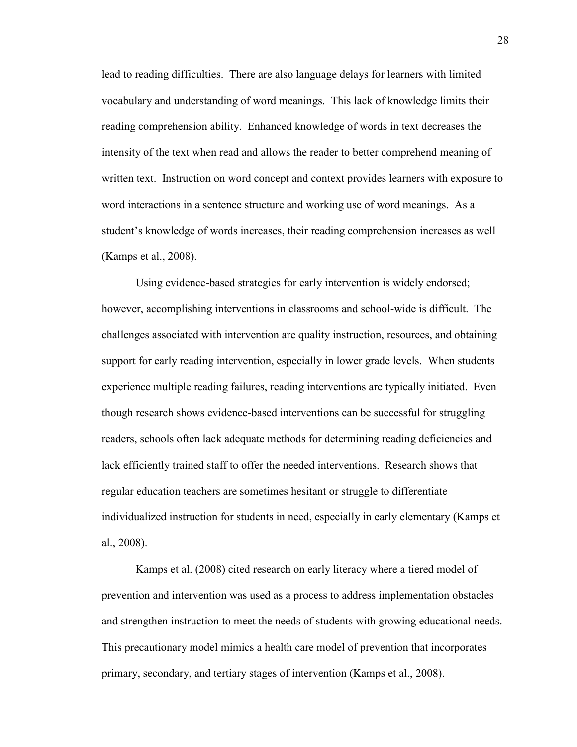lead to reading difficulties. There are also language delays for learners with limited vocabulary and understanding of word meanings. This lack of knowledge limits their reading comprehension ability. Enhanced knowledge of words in text decreases the intensity of the text when read and allows the reader to better comprehend meaning of written text. Instruction on word concept and context provides learners with exposure to word interactions in a sentence structure and working use of word meanings. As a student's knowledge of words increases, their reading comprehension increases as well (Kamps et al., 2008).

Using evidence-based strategies for early intervention is widely endorsed; however, accomplishing interventions in classrooms and school-wide is difficult. The challenges associated with intervention are quality instruction, resources, and obtaining support for early reading intervention, especially in lower grade levels. When students experience multiple reading failures, reading interventions are typically initiated. Even though research shows evidence-based interventions can be successful for struggling readers, schools often lack adequate methods for determining reading deficiencies and lack efficiently trained staff to offer the needed interventions. Research shows that regular education teachers are sometimes hesitant or struggle to differentiate individualized instruction for students in need, especially in early elementary (Kamps et al., 2008).

Kamps et al. (2008) cited research on early literacy where a tiered model of prevention and intervention was used as a process to address implementation obstacles and strengthen instruction to meet the needs of students with growing educational needs. This precautionary model mimics a health care model of prevention that incorporates primary, secondary, and tertiary stages of intervention (Kamps et al., 2008).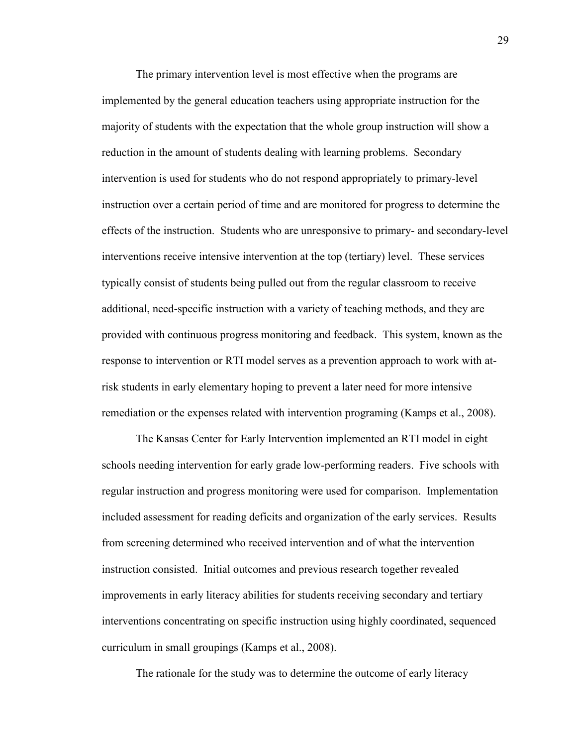The primary intervention level is most effective when the programs are implemented by the general education teachers using appropriate instruction for the majority of students with the expectation that the whole group instruction will show a reduction in the amount of students dealing with learning problems. Secondary intervention is used for students who do not respond appropriately to primary-level instruction over a certain period of time and are monitored for progress to determine the effects of the instruction. Students who are unresponsive to primary- and secondary-level interventions receive intensive intervention at the top (tertiary) level. These services typically consist of students being pulled out from the regular classroom to receive additional, need-specific instruction with a variety of teaching methods, and they are provided with continuous progress monitoring and feedback. This system, known as the response to intervention or RTI model serves as a prevention approach to work with atrisk students in early elementary hoping to prevent a later need for more intensive remediation or the expenses related with intervention programing (Kamps et al., 2008).

The Kansas Center for Early Intervention implemented an RTI model in eight schools needing intervention for early grade low-performing readers. Five schools with regular instruction and progress monitoring were used for comparison. Implementation included assessment for reading deficits and organization of the early services. Results from screening determined who received intervention and of what the intervention instruction consisted. Initial outcomes and previous research together revealed improvements in early literacy abilities for students receiving secondary and tertiary interventions concentrating on specific instruction using highly coordinated, sequenced curriculum in small groupings (Kamps et al., 2008).

The rationale for the study was to determine the outcome of early literacy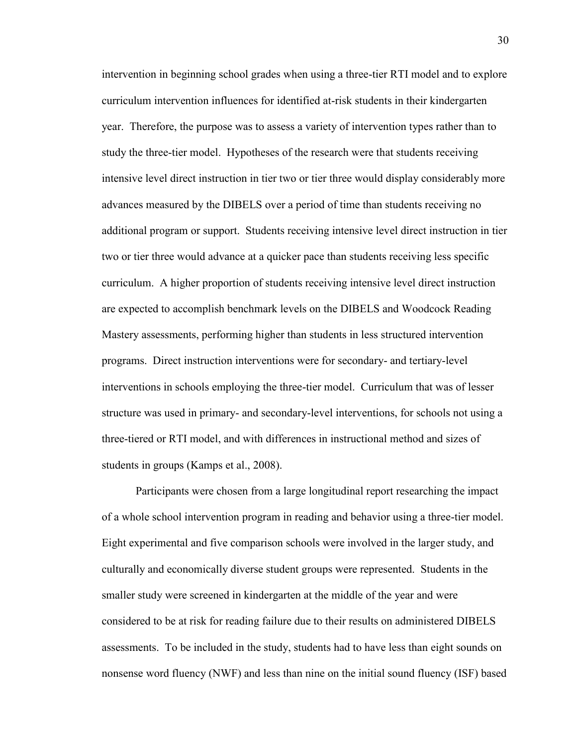intervention in beginning school grades when using a three-tier RTI model and to explore curriculum intervention influences for identified at-risk students in their kindergarten year. Therefore, the purpose was to assess a variety of intervention types rather than to study the three-tier model. Hypotheses of the research were that students receiving intensive level direct instruction in tier two or tier three would display considerably more advances measured by the DIBELS over a period of time than students receiving no additional program or support. Students receiving intensive level direct instruction in tier two or tier three would advance at a quicker pace than students receiving less specific curriculum. A higher proportion of students receiving intensive level direct instruction are expected to accomplish benchmark levels on the DIBELS and Woodcock Reading Mastery assessments, performing higher than students in less structured intervention programs. Direct instruction interventions were for secondary- and tertiary-level interventions in schools employing the three-tier model. Curriculum that was of lesser structure was used in primary- and secondary-level interventions, for schools not using a three-tiered or RTI model, and with differences in instructional method and sizes of students in groups (Kamps et al., 2008).

Participants were chosen from a large longitudinal report researching the impact of a whole school intervention program in reading and behavior using a three-tier model. Eight experimental and five comparison schools were involved in the larger study, and culturally and economically diverse student groups were represented. Students in the smaller study were screened in kindergarten at the middle of the year and were considered to be at risk for reading failure due to their results on administered DIBELS assessments. To be included in the study, students had to have less than eight sounds on nonsense word fluency (NWF) and less than nine on the initial sound fluency (ISF) based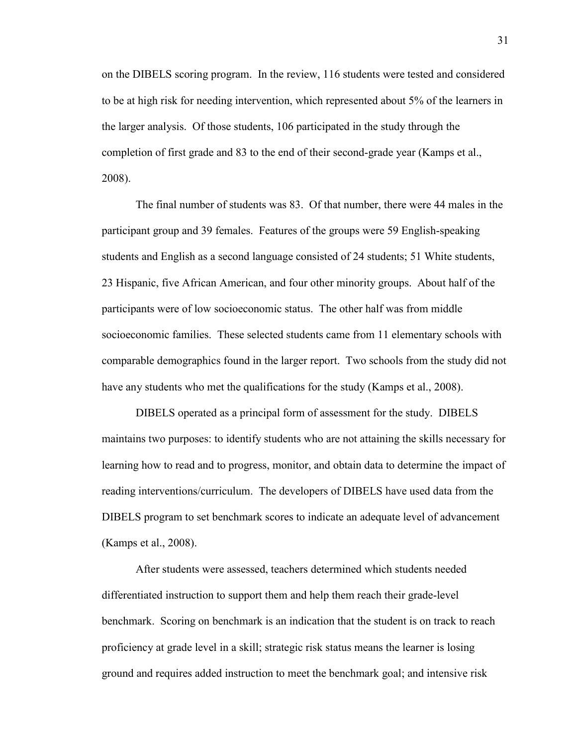on the DIBELS scoring program. In the review, 116 students were tested and considered to be at high risk for needing intervention, which represented about 5% of the learners in the larger analysis. Of those students, 106 participated in the study through the completion of first grade and 83 to the end of their second-grade year (Kamps et al., 2008).

The final number of students was 83. Of that number, there were 44 males in the participant group and 39 females. Features of the groups were 59 English-speaking students and English as a second language consisted of 24 students; 51 White students, 23 Hispanic, five African American, and four other minority groups. About half of the participants were of low socioeconomic status. The other half was from middle socioeconomic families. These selected students came from 11 elementary schools with comparable demographics found in the larger report. Two schools from the study did not have any students who met the qualifications for the study (Kamps et al., 2008).

DIBELS operated as a principal form of assessment for the study. DIBELS maintains two purposes: to identify students who are not attaining the skills necessary for learning how to read and to progress, monitor, and obtain data to determine the impact of reading interventions/curriculum. The developers of DIBELS have used data from the DIBELS program to set benchmark scores to indicate an adequate level of advancement (Kamps et al., 2008).

After students were assessed, teachers determined which students needed differentiated instruction to support them and help them reach their grade-level benchmark. Scoring on benchmark is an indication that the student is on track to reach proficiency at grade level in a skill; strategic risk status means the learner is losing ground and requires added instruction to meet the benchmark goal; and intensive risk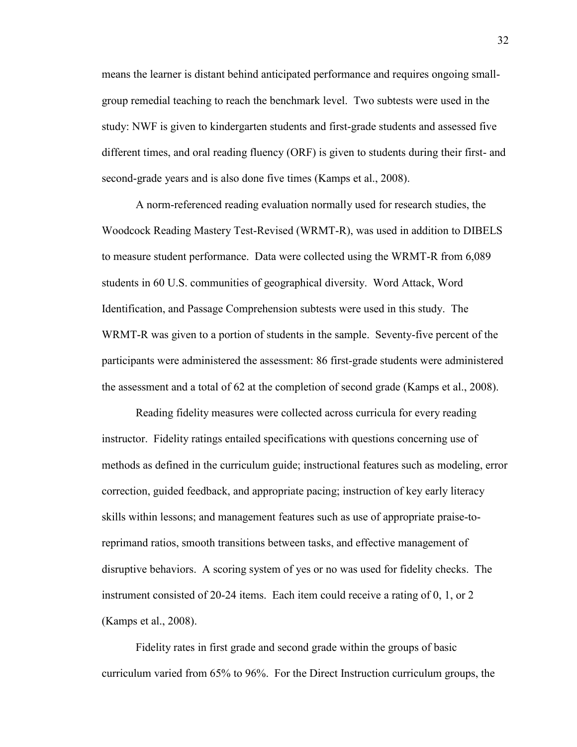means the learner is distant behind anticipated performance and requires ongoing smallgroup remedial teaching to reach the benchmark level. Two subtests were used in the study: NWF is given to kindergarten students and first-grade students and assessed five different times, and oral reading fluency (ORF) is given to students during their first- and second-grade years and is also done five times (Kamps et al., 2008).

A norm-referenced reading evaluation normally used for research studies, the Woodcock Reading Mastery Test-Revised (WRMT-R), was used in addition to DIBELS to measure student performance. Data were collected using the WRMT-R from 6,089 students in 60 U.S. communities of geographical diversity. Word Attack, Word Identification, and Passage Comprehension subtests were used in this study. The WRMT-R was given to a portion of students in the sample. Seventy-five percent of the participants were administered the assessment: 86 first-grade students were administered the assessment and a total of 62 at the completion of second grade (Kamps et al., 2008).

Reading fidelity measures were collected across curricula for every reading instructor. Fidelity ratings entailed specifications with questions concerning use of methods as defined in the curriculum guide; instructional features such as modeling, error correction, guided feedback, and appropriate pacing; instruction of key early literacy skills within lessons; and management features such as use of appropriate praise-toreprimand ratios, smooth transitions between tasks, and effective management of disruptive behaviors. A scoring system of yes or no was used for fidelity checks. The instrument consisted of 20-24 items. Each item could receive a rating of 0, 1, or 2 (Kamps et al., 2008).

Fidelity rates in first grade and second grade within the groups of basic curriculum varied from 65% to 96%. For the Direct Instruction curriculum groups, the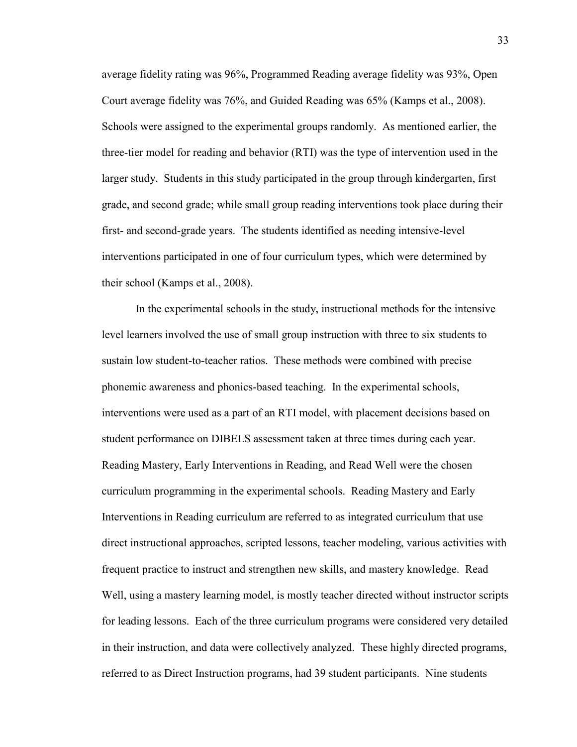average fidelity rating was 96%, Programmed Reading average fidelity was 93%, Open Court average fidelity was 76%, and Guided Reading was 65% (Kamps et al., 2008). Schools were assigned to the experimental groups randomly. As mentioned earlier, the three-tier model for reading and behavior (RTI) was the type of intervention used in the larger study. Students in this study participated in the group through kindergarten, first grade, and second grade; while small group reading interventions took place during their first- and second-grade years. The students identified as needing intensive-level interventions participated in one of four curriculum types, which were determined by their school (Kamps et al., 2008).

In the experimental schools in the study, instructional methods for the intensive level learners involved the use of small group instruction with three to six students to sustain low student-to-teacher ratios. These methods were combined with precise phonemic awareness and phonics-based teaching. In the experimental schools, interventions were used as a part of an RTI model, with placement decisions based on student performance on DIBELS assessment taken at three times during each year. Reading Mastery, Early Interventions in Reading, and Read Well were the chosen curriculum programming in the experimental schools. Reading Mastery and Early Interventions in Reading curriculum are referred to as integrated curriculum that use direct instructional approaches, scripted lessons, teacher modeling, various activities with frequent practice to instruct and strengthen new skills, and mastery knowledge. Read Well, using a mastery learning model, is mostly teacher directed without instructor scripts for leading lessons. Each of the three curriculum programs were considered very detailed in their instruction, and data were collectively analyzed. These highly directed programs, referred to as Direct Instruction programs, had 39 student participants. Nine students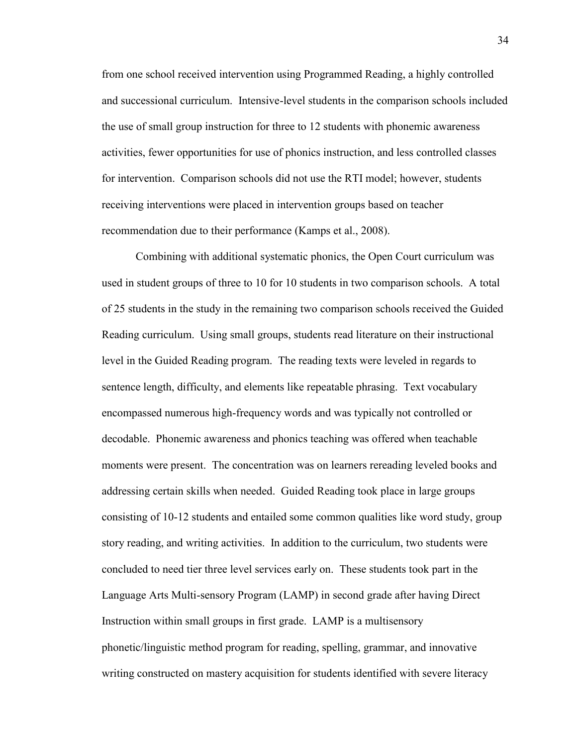from one school received intervention using Programmed Reading, a highly controlled and successional curriculum. Intensive-level students in the comparison schools included the use of small group instruction for three to 12 students with phonemic awareness activities, fewer opportunities for use of phonics instruction, and less controlled classes for intervention. Comparison schools did not use the RTI model; however, students receiving interventions were placed in intervention groups based on teacher recommendation due to their performance (Kamps et al., 2008).

Combining with additional systematic phonics, the Open Court curriculum was used in student groups of three to 10 for 10 students in two comparison schools. A total of 25 students in the study in the remaining two comparison schools received the Guided Reading curriculum. Using small groups, students read literature on their instructional level in the Guided Reading program. The reading texts were leveled in regards to sentence length, difficulty, and elements like repeatable phrasing. Text vocabulary encompassed numerous high-frequency words and was typically not controlled or decodable. Phonemic awareness and phonics teaching was offered when teachable moments were present. The concentration was on learners rereading leveled books and addressing certain skills when needed. Guided Reading took place in large groups consisting of 10-12 students and entailed some common qualities like word study, group story reading, and writing activities. In addition to the curriculum, two students were concluded to need tier three level services early on. These students took part in the Language Arts Multi-sensory Program (LAMP) in second grade after having Direct Instruction within small groups in first grade. LAMP is a multisensory phonetic/linguistic method program for reading, spelling, grammar, and innovative writing constructed on mastery acquisition for students identified with severe literacy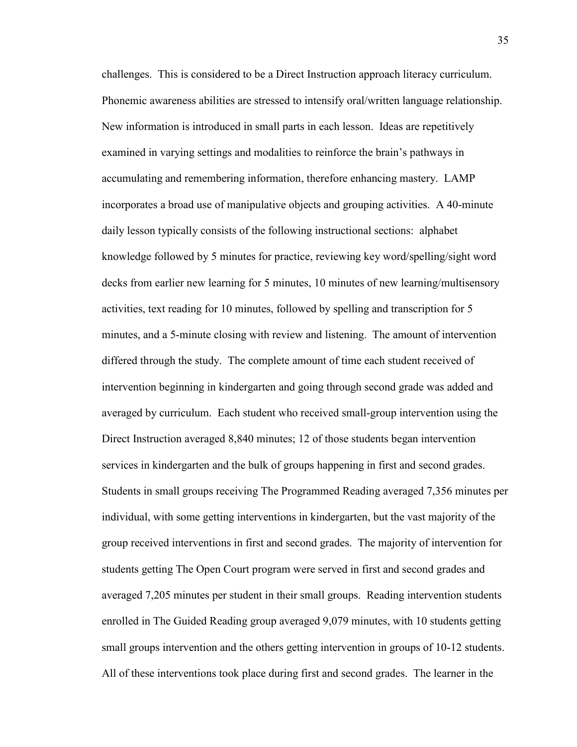challenges. This is considered to be a Direct Instruction approach literacy curriculum. Phonemic awareness abilities are stressed to intensify oral/written language relationship. New information is introduced in small parts in each lesson. Ideas are repetitively examined in varying settings and modalities to reinforce the brain's pathways in accumulating and remembering information, therefore enhancing mastery. LAMP incorporates a broad use of manipulative objects and grouping activities. A 40-minute daily lesson typically consists of the following instructional sections: alphabet knowledge followed by 5 minutes for practice, reviewing key word/spelling/sight word decks from earlier new learning for 5 minutes, 10 minutes of new learning/multisensory activities, text reading for 10 minutes, followed by spelling and transcription for 5 minutes, and a 5-minute closing with review and listening. The amount of intervention differed through the study. The complete amount of time each student received of intervention beginning in kindergarten and going through second grade was added and averaged by curriculum. Each student who received small-group intervention using the Direct Instruction averaged 8,840 minutes; 12 of those students began intervention services in kindergarten and the bulk of groups happening in first and second grades. Students in small groups receiving The Programmed Reading averaged 7,356 minutes per individual, with some getting interventions in kindergarten, but the vast majority of the group received interventions in first and second grades. The majority of intervention for students getting The Open Court program were served in first and second grades and averaged 7,205 minutes per student in their small groups. Reading intervention students enrolled in The Guided Reading group averaged 9,079 minutes, with 10 students getting small groups intervention and the others getting intervention in groups of 10-12 students. All of these interventions took place during first and second grades. The learner in the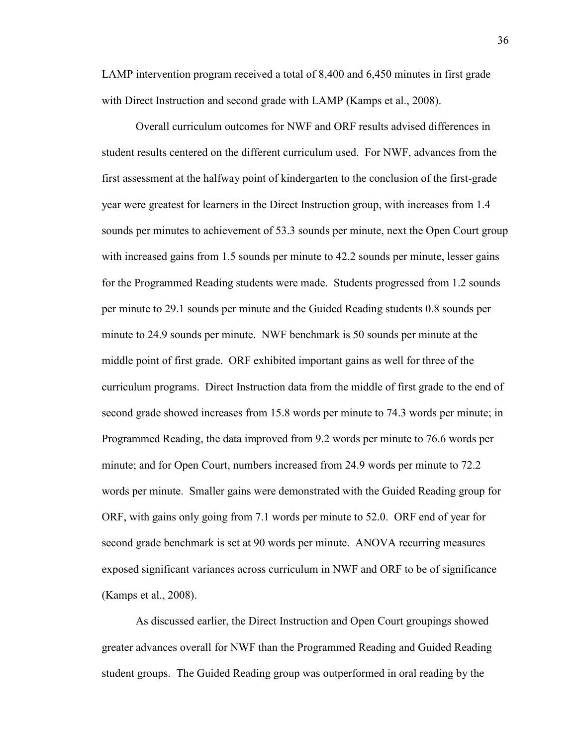LAMP intervention program received a total of 8,400 and 6,450 minutes in first grade with Direct Instruction and second grade with LAMP (Kamps et al., 2008).

Overall curriculum outcomes for NWF and ORF results advised differences in student results centered on the different curriculum used. For NWF, advances from the first assessment at the halfway point of kindergarten to the conclusion of the first-grade year were greatest for learners in the Direct Instruction group, with increases from 1.4 sounds per minutes to achievement of 53.3 sounds per minute, next the Open Court group with increased gains from 1.5 sounds per minute to 42.2 sounds per minute, lesser gains for the Programmed Reading students were made. Students progressed from 1.2 sounds per minute to 29.1 sounds per minute and the Guided Reading students 0.8 sounds per minute to 24.9 sounds per minute. NWF benchmark is 50 sounds per minute at the middle point of first grade. ORF exhibited important gains as well for three of the curriculum programs. Direct Instruction data from the middle of first grade to the end of second grade showed increases from 15.8 words per minute to 74.3 words per minute; in Programmed Reading, the data improved from 9.2 words per minute to 76.6 words per minute; and for Open Court, numbers increased from 24.9 words per minute to 72.2 words per minute. Smaller gains were demonstrated with the Guided Reading group for ORF, with gains only going from 7.1 words per minute to 52.0. ORF end of year for second grade benchmark is set at 90 words per minute. ANOVA recurring measures exposed significant variances across curriculum in NWF and ORF to be of significance (Kamps et al., 2008).

As discussed earlier, the Direct Instruction and Open Court groupings showed greater advances overall for NWF than the Programmed Reading and Guided Reading student groups. The Guided Reading group was outperformed in oral reading by the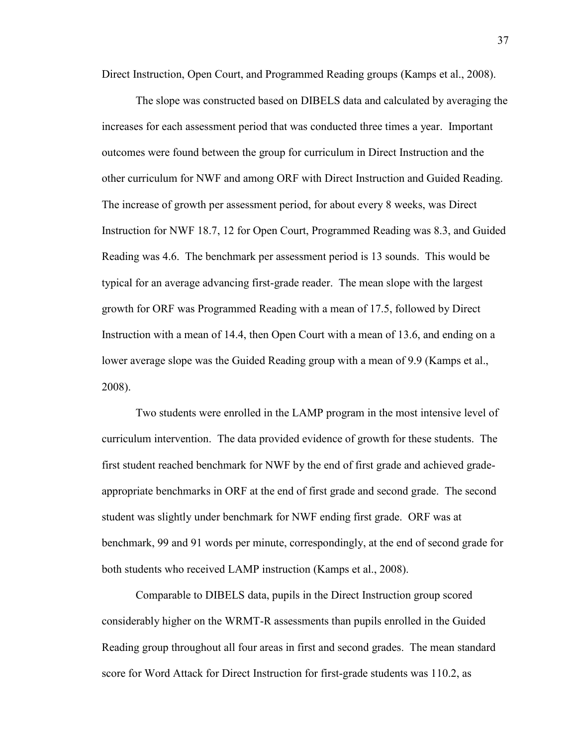Direct Instruction, Open Court, and Programmed Reading groups (Kamps et al., 2008).

The slope was constructed based on DIBELS data and calculated by averaging the increases for each assessment period that was conducted three times a year. Important outcomes were found between the group for curriculum in Direct Instruction and the other curriculum for NWF and among ORF with Direct Instruction and Guided Reading. The increase of growth per assessment period, for about every 8 weeks, was Direct Instruction for NWF 18.7, 12 for Open Court, Programmed Reading was 8.3, and Guided Reading was 4.6. The benchmark per assessment period is 13 sounds. This would be typical for an average advancing first-grade reader. The mean slope with the largest growth for ORF was Programmed Reading with a mean of 17.5, followed by Direct Instruction with a mean of 14.4, then Open Court with a mean of 13.6, and ending on a lower average slope was the Guided Reading group with a mean of 9.9 (Kamps et al., 2008).

Two students were enrolled in the LAMP program in the most intensive level of curriculum intervention. The data provided evidence of growth for these students. The first student reached benchmark for NWF by the end of first grade and achieved gradeappropriate benchmarks in ORF at the end of first grade and second grade. The second student was slightly under benchmark for NWF ending first grade. ORF was at benchmark, 99 and 91 words per minute, correspondingly, at the end of second grade for both students who received LAMP instruction (Kamps et al., 2008).

Comparable to DIBELS data, pupils in the Direct Instruction group scored considerably higher on the WRMT-R assessments than pupils enrolled in the Guided Reading group throughout all four areas in first and second grades. The mean standard score for Word Attack for Direct Instruction for first-grade students was 110.2, as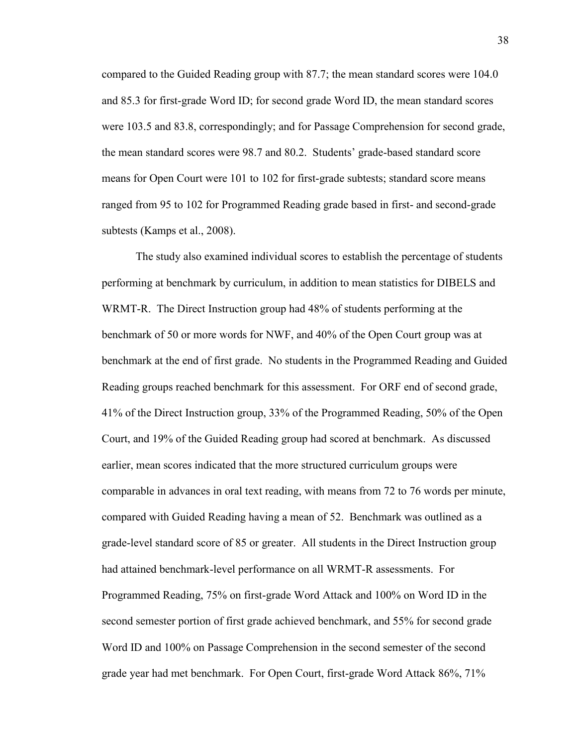compared to the Guided Reading group with 87.7; the mean standard scores were 104.0 and 85.3 for first-grade Word ID; for second grade Word ID, the mean standard scores were 103.5 and 83.8, correspondingly; and for Passage Comprehension for second grade, the mean standard scores were 98.7 and 80.2. Students' grade-based standard score means for Open Court were 101 to 102 for first-grade subtests; standard score means ranged from 95 to 102 for Programmed Reading grade based in first- and second-grade subtests (Kamps et al., 2008).

The study also examined individual scores to establish the percentage of students performing at benchmark by curriculum, in addition to mean statistics for DIBELS and WRMT-R. The Direct Instruction group had 48% of students performing at the benchmark of 50 or more words for NWF, and 40% of the Open Court group was at benchmark at the end of first grade. No students in the Programmed Reading and Guided Reading groups reached benchmark for this assessment. For ORF end of second grade, 41% of the Direct Instruction group, 33% of the Programmed Reading, 50% of the Open Court, and 19% of the Guided Reading group had scored at benchmark. As discussed earlier, mean scores indicated that the more structured curriculum groups were comparable in advances in oral text reading, with means from 72 to 76 words per minute, compared with Guided Reading having a mean of 52. Benchmark was outlined as a grade-level standard score of 85 or greater. All students in the Direct Instruction group had attained benchmark-level performance on all WRMT-R assessments. For Programmed Reading, 75% on first-grade Word Attack and 100% on Word ID in the second semester portion of first grade achieved benchmark, and 55% for second grade Word ID and 100% on Passage Comprehension in the second semester of the second grade year had met benchmark. For Open Court, first-grade Word Attack 86%, 71%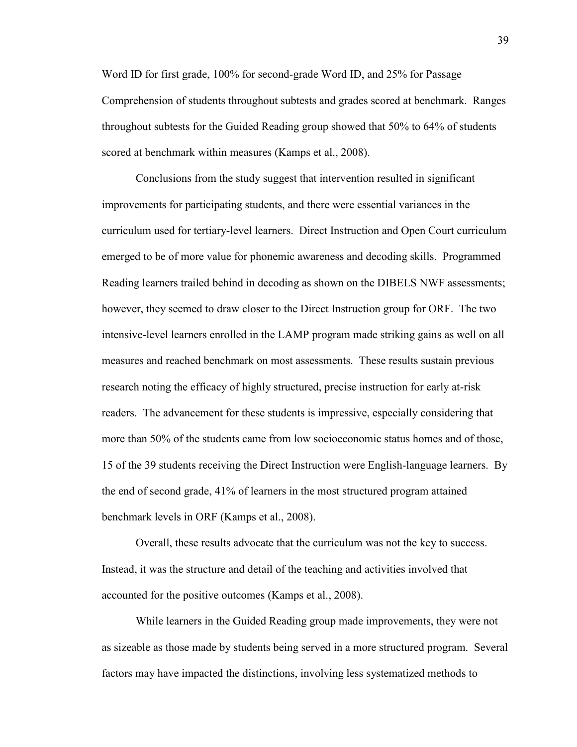Word ID for first grade, 100% for second-grade Word ID, and 25% for Passage Comprehension of students throughout subtests and grades scored at benchmark. Ranges throughout subtests for the Guided Reading group showed that 50% to 64% of students scored at benchmark within measures (Kamps et al., 2008).

Conclusions from the study suggest that intervention resulted in significant improvements for participating students, and there were essential variances in the curriculum used for tertiary-level learners. Direct Instruction and Open Court curriculum emerged to be of more value for phonemic awareness and decoding skills. Programmed Reading learners trailed behind in decoding as shown on the DIBELS NWF assessments; however, they seemed to draw closer to the Direct Instruction group for ORF. The two intensive-level learners enrolled in the LAMP program made striking gains as well on all measures and reached benchmark on most assessments. These results sustain previous research noting the efficacy of highly structured, precise instruction for early at-risk readers. The advancement for these students is impressive, especially considering that more than 50% of the students came from low socioeconomic status homes and of those, 15 of the 39 students receiving the Direct Instruction were English-language learners. By the end of second grade, 41% of learners in the most structured program attained benchmark levels in ORF (Kamps et al., 2008).

Overall, these results advocate that the curriculum was not the key to success. Instead, it was the structure and detail of the teaching and activities involved that accounted for the positive outcomes (Kamps et al., 2008).

While learners in the Guided Reading group made improvements, they were not as sizeable as those made by students being served in a more structured program. Several factors may have impacted the distinctions, involving less systematized methods to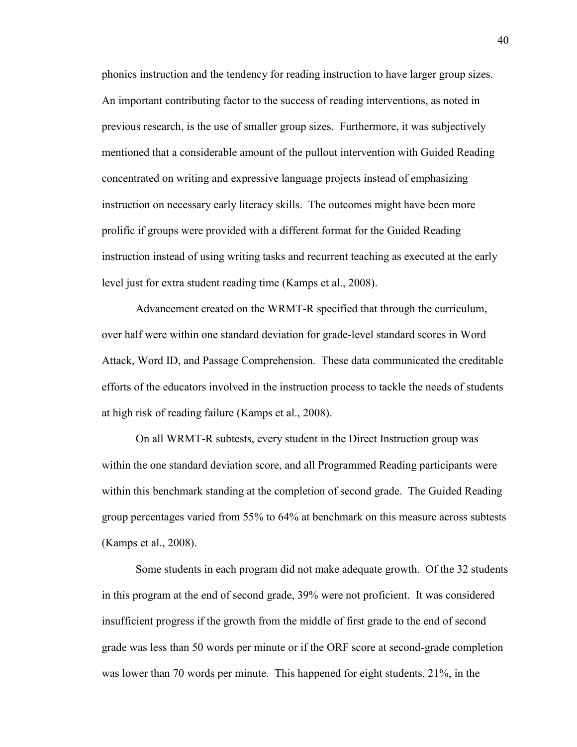phonics instruction and the tendency for reading instruction to have larger group sizes. An important contributing factor to the success of reading interventions, as noted in previous research, is the use of smaller group sizes. Furthermore, it was subjectively mentioned that a considerable amount of the pullout intervention with Guided Reading concentrated on writing and expressive language projects instead of emphasizing instruction on necessary early literacy skills. The outcomes might have been more prolific if groups were provided with a different format for the Guided Reading instruction instead of using writing tasks and recurrent teaching as executed at the early level just for extra student reading time (Kamps et al., 2008).

Advancement created on the WRMT-R specified that through the curriculum, over half were within one standard deviation for grade-level standard scores in Word Attack, Word ID, and Passage Comprehension. These data communicated the creditable efforts of the educators involved in the instruction process to tackle the needs of students at high risk of reading failure (Kamps et al., 2008).

On all WRMT-R subtests, every student in the Direct Instruction group was within the one standard deviation score, and all Programmed Reading participants were within this benchmark standing at the completion of second grade. The Guided Reading group percentages varied from 55% to 64% at benchmark on this measure across subtests (Kamps et al., 2008).

Some students in each program did not make adequate growth. Of the 32 students in this program at the end of second grade, 39% were not proficient. It was considered insufficient progress if the growth from the middle of first grade to the end of second grade was less than 50 words per minute or if the ORF score at second-grade completion was lower than 70 words per minute. This happened for eight students, 21%, in the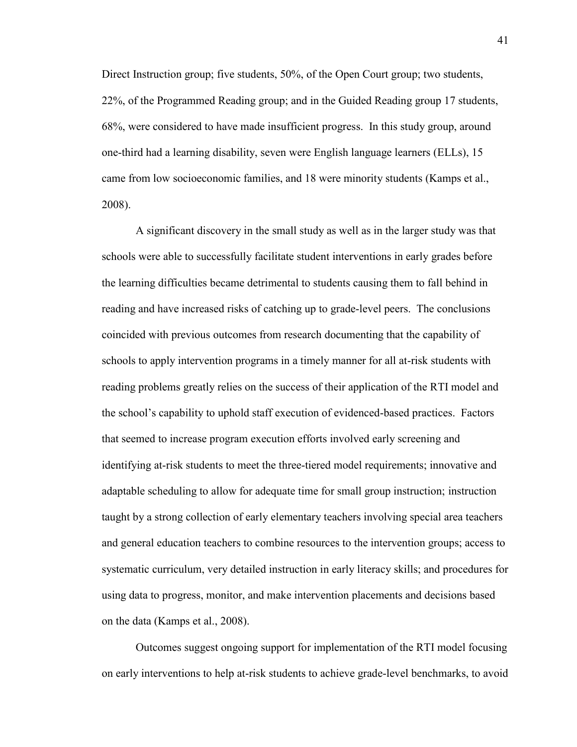Direct Instruction group; five students, 50%, of the Open Court group; two students, 22%, of the Programmed Reading group; and in the Guided Reading group 17 students, 68%, were considered to have made insufficient progress. In this study group, around one-third had a learning disability, seven were English language learners (ELLs), 15 came from low socioeconomic families, and 18 were minority students (Kamps et al., 2008).

A significant discovery in the small study as well as in the larger study was that schools were able to successfully facilitate student interventions in early grades before the learning difficulties became detrimental to students causing them to fall behind in reading and have increased risks of catching up to grade-level peers. The conclusions coincided with previous outcomes from research documenting that the capability of schools to apply intervention programs in a timely manner for all at-risk students with reading problems greatly relies on the success of their application of the RTI model and the school's capability to uphold staff execution of evidenced-based practices. Factors that seemed to increase program execution efforts involved early screening and identifying at-risk students to meet the three-tiered model requirements; innovative and adaptable scheduling to allow for adequate time for small group instruction; instruction taught by a strong collection of early elementary teachers involving special area teachers and general education teachers to combine resources to the intervention groups; access to systematic curriculum, very detailed instruction in early literacy skills; and procedures for using data to progress, monitor, and make intervention placements and decisions based on the data (Kamps et al., 2008).

Outcomes suggest ongoing support for implementation of the RTI model focusing on early interventions to help at-risk students to achieve grade-level benchmarks, to avoid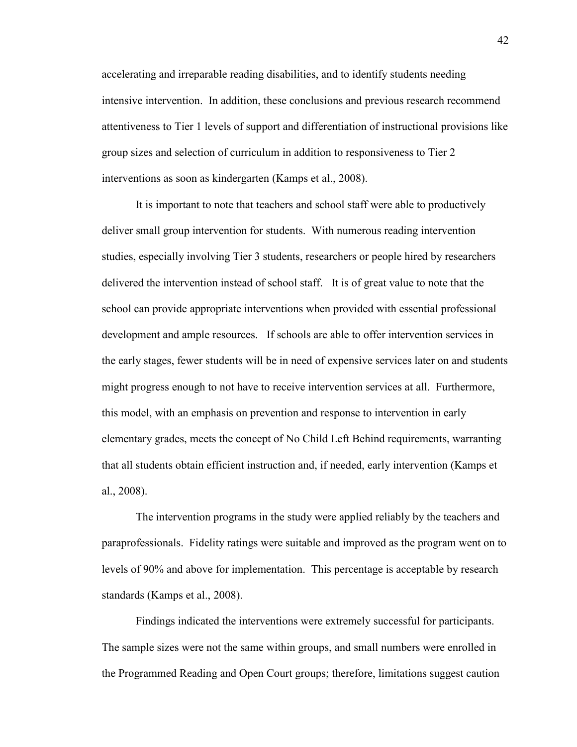accelerating and irreparable reading disabilities, and to identify students needing intensive intervention. In addition, these conclusions and previous research recommend attentiveness to Tier 1 levels of support and differentiation of instructional provisions like group sizes and selection of curriculum in addition to responsiveness to Tier 2 interventions as soon as kindergarten (Kamps et al., 2008).

It is important to note that teachers and school staff were able to productively deliver small group intervention for students. With numerous reading intervention studies, especially involving Tier 3 students, researchers or people hired by researchers delivered the intervention instead of school staff. It is of great value to note that the school can provide appropriate interventions when provided with essential professional development and ample resources. If schools are able to offer intervention services in the early stages, fewer students will be in need of expensive services later on and students might progress enough to not have to receive intervention services at all. Furthermore, this model, with an emphasis on prevention and response to intervention in early elementary grades, meets the concept of No Child Left Behind requirements, warranting that all students obtain efficient instruction and, if needed, early intervention (Kamps et al., 2008).

The intervention programs in the study were applied reliably by the teachers and paraprofessionals. Fidelity ratings were suitable and improved as the program went on to levels of 90% and above for implementation. This percentage is acceptable by research standards (Kamps et al., 2008).

Findings indicated the interventions were extremely successful for participants. The sample sizes were not the same within groups, and small numbers were enrolled in the Programmed Reading and Open Court groups; therefore, limitations suggest caution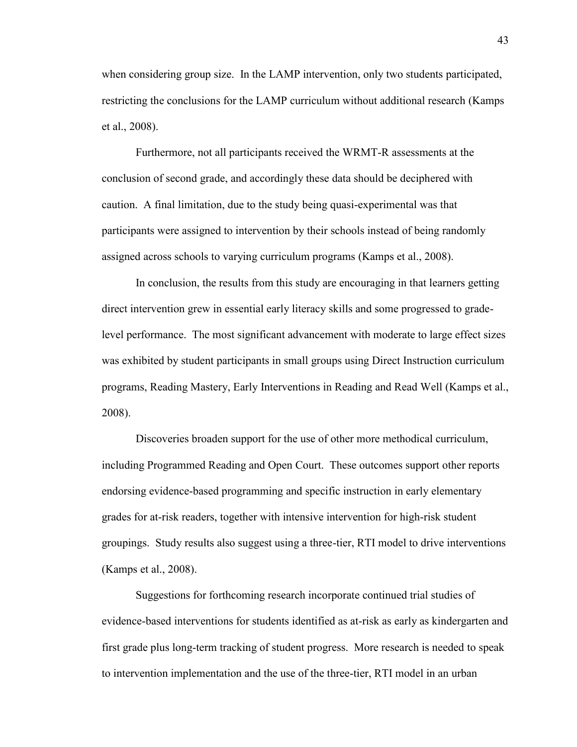when considering group size. In the LAMP intervention, only two students participated, restricting the conclusions for the LAMP curriculum without additional research (Kamps et al., 2008).

Furthermore, not all participants received the WRMT-R assessments at the conclusion of second grade, and accordingly these data should be deciphered with caution. A final limitation, due to the study being quasi-experimental was that participants were assigned to intervention by their schools instead of being randomly assigned across schools to varying curriculum programs (Kamps et al., 2008).

In conclusion, the results from this study are encouraging in that learners getting direct intervention grew in essential early literacy skills and some progressed to gradelevel performance. The most significant advancement with moderate to large effect sizes was exhibited by student participants in small groups using Direct Instruction curriculum programs, Reading Mastery, Early Interventions in Reading and Read Well (Kamps et al., 2008).

Discoveries broaden support for the use of other more methodical curriculum, including Programmed Reading and Open Court. These outcomes support other reports endorsing evidence-based programming and specific instruction in early elementary grades for at-risk readers, together with intensive intervention for high-risk student groupings. Study results also suggest using a three-tier, RTI model to drive interventions (Kamps et al., 2008).

Suggestions for forthcoming research incorporate continued trial studies of evidence-based interventions for students identified as at-risk as early as kindergarten and first grade plus long-term tracking of student progress. More research is needed to speak to intervention implementation and the use of the three-tier, RTI model in an urban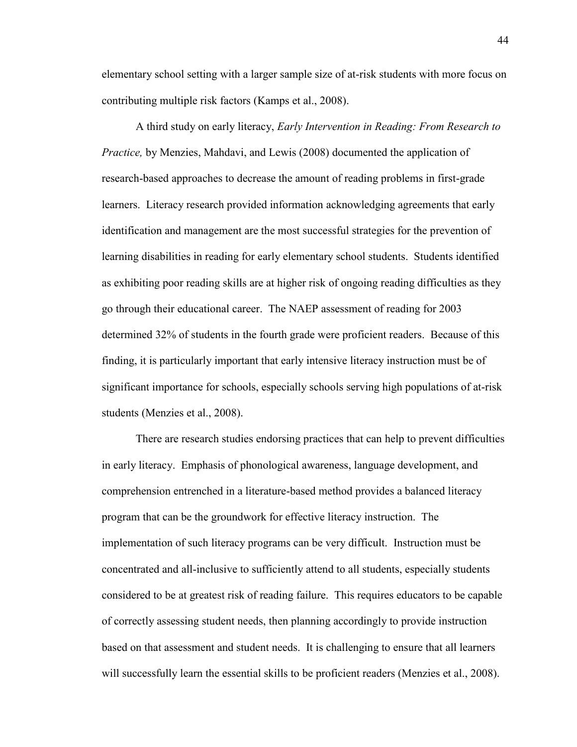elementary school setting with a larger sample size of at-risk students with more focus on contributing multiple risk factors (Kamps et al., 2008).

A third study on early literacy, *Early Intervention in Reading: From Research to Practice, by Menzies, Mahdavi, and Lewis (2008) documented the application of* research-based approaches to decrease the amount of reading problems in first-grade learners. Literacy research provided information acknowledging agreements that early identification and management are the most successful strategies for the prevention of learning disabilities in reading for early elementary school students. Students identified as exhibiting poor reading skills are at higher risk of ongoing reading difficulties as they go through their educational career. The NAEP assessment of reading for 2003 determined 32% of students in the fourth grade were proficient readers. Because of this finding, it is particularly important that early intensive literacy instruction must be of significant importance for schools, especially schools serving high populations of at-risk students (Menzies et al., 2008).

There are research studies endorsing practices that can help to prevent difficulties in early literacy. Emphasis of phonological awareness, language development, and comprehension entrenched in a literature-based method provides a balanced literacy program that can be the groundwork for effective literacy instruction. The implementation of such literacy programs can be very difficult. Instruction must be concentrated and all-inclusive to sufficiently attend to all students, especially students considered to be at greatest risk of reading failure. This requires educators to be capable of correctly assessing student needs, then planning accordingly to provide instruction based on that assessment and student needs. It is challenging to ensure that all learners will successfully learn the essential skills to be proficient readers (Menzies et al., 2008).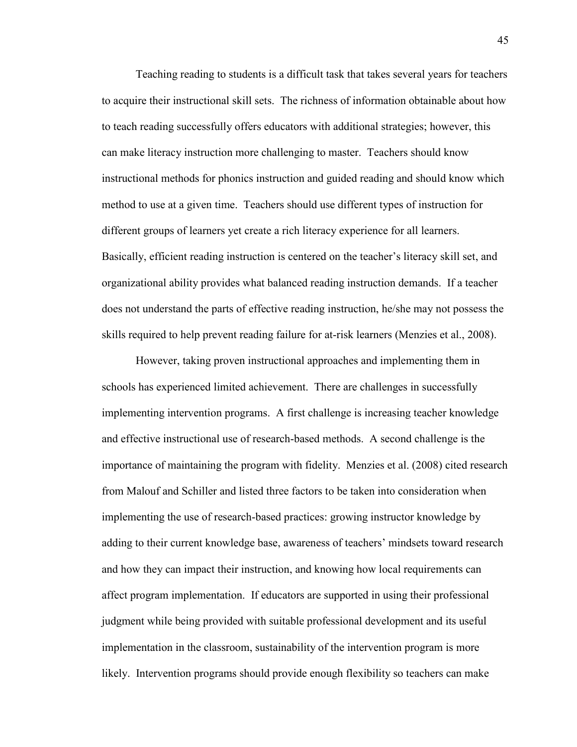Teaching reading to students is a difficult task that takes several years for teachers to acquire their instructional skill sets. The richness of information obtainable about how to teach reading successfully offers educators with additional strategies; however, this can make literacy instruction more challenging to master. Teachers should know instructional methods for phonics instruction and guided reading and should know which method to use at a given time. Teachers should use different types of instruction for different groups of learners yet create a rich literacy experience for all learners. Basically, efficient reading instruction is centered on the teacher's literacy skill set, and organizational ability provides what balanced reading instruction demands. If a teacher does not understand the parts of effective reading instruction, he/she may not possess the skills required to help prevent reading failure for at-risk learners (Menzies et al., 2008).

However, taking proven instructional approaches and implementing them in schools has experienced limited achievement. There are challenges in successfully implementing intervention programs. A first challenge is increasing teacher knowledge and effective instructional use of research-based methods. A second challenge is the importance of maintaining the program with fidelity. Menzies et al. (2008) cited research from Malouf and Schiller and listed three factors to be taken into consideration when implementing the use of research-based practices: growing instructor knowledge by adding to their current knowledge base, awareness of teachers' mindsets toward research and how they can impact their instruction, and knowing how local requirements can affect program implementation. If educators are supported in using their professional judgment while being provided with suitable professional development and its useful implementation in the classroom, sustainability of the intervention program is more likely. Intervention programs should provide enough flexibility so teachers can make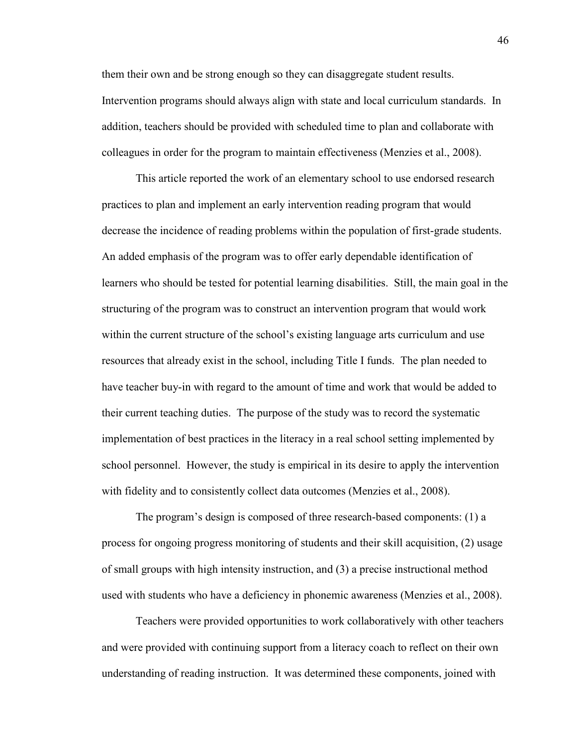them their own and be strong enough so they can disaggregate student results. Intervention programs should always align with state and local curriculum standards. In addition, teachers should be provided with scheduled time to plan and collaborate with colleagues in order for the program to maintain effectiveness (Menzies et al., 2008).

This article reported the work of an elementary school to use endorsed research practices to plan and implement an early intervention reading program that would decrease the incidence of reading problems within the population of first-grade students. An added emphasis of the program was to offer early dependable identification of learners who should be tested for potential learning disabilities. Still, the main goal in the structuring of the program was to construct an intervention program that would work within the current structure of the school's existing language arts curriculum and use resources that already exist in the school, including Title I funds. The plan needed to have teacher buy-in with regard to the amount of time and work that would be added to their current teaching duties. The purpose of the study was to record the systematic implementation of best practices in the literacy in a real school setting implemented by school personnel. However, the study is empirical in its desire to apply the intervention with fidelity and to consistently collect data outcomes (Menzies et al., 2008).

The program's design is composed of three research-based components: (1) a process for ongoing progress monitoring of students and their skill acquisition, (2) usage of small groups with high intensity instruction, and (3) a precise instructional method used with students who have a deficiency in phonemic awareness (Menzies et al., 2008).

Teachers were provided opportunities to work collaboratively with other teachers and were provided with continuing support from a literacy coach to reflect on their own understanding of reading instruction. It was determined these components, joined with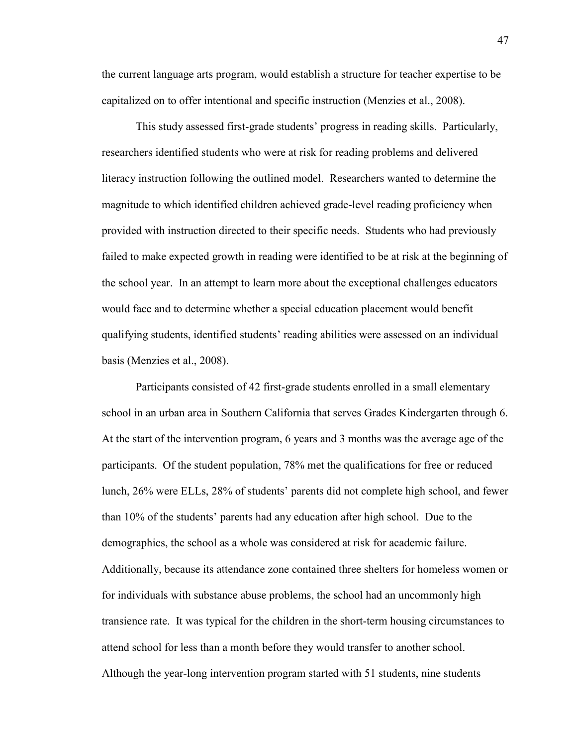the current language arts program, would establish a structure for teacher expertise to be capitalized on to offer intentional and specific instruction (Menzies et al., 2008).

This study assessed first-grade students' progress in reading skills. Particularly, researchers identified students who were at risk for reading problems and delivered literacy instruction following the outlined model. Researchers wanted to determine the magnitude to which identified children achieved grade-level reading proficiency when provided with instruction directed to their specific needs. Students who had previously failed to make expected growth in reading were identified to be at risk at the beginning of the school year. In an attempt to learn more about the exceptional challenges educators would face and to determine whether a special education placement would benefit qualifying students, identified students' reading abilities were assessed on an individual basis (Menzies et al., 2008).

Participants consisted of 42 first-grade students enrolled in a small elementary school in an urban area in Southern California that serves Grades Kindergarten through 6. At the start of the intervention program, 6 years and 3 months was the average age of the participants. Of the student population, 78% met the qualifications for free or reduced lunch, 26% were ELLs, 28% of students' parents did not complete high school, and fewer than 10% of the students' parents had any education after high school. Due to the demographics, the school as a whole was considered at risk for academic failure. Additionally, because its attendance zone contained three shelters for homeless women or for individuals with substance abuse problems, the school had an uncommonly high transience rate. It was typical for the children in the short-term housing circumstances to attend school for less than a month before they would transfer to another school. Although the year-long intervention program started with 51 students, nine students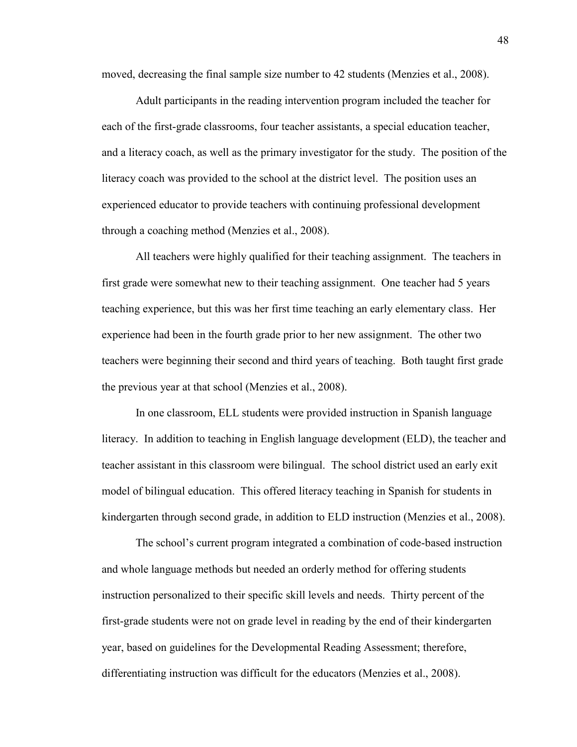moved, decreasing the final sample size number to 42 students (Menzies et al., 2008).

Adult participants in the reading intervention program included the teacher for each of the first-grade classrooms, four teacher assistants, a special education teacher, and a literacy coach, as well as the primary investigator for the study. The position of the literacy coach was provided to the school at the district level. The position uses an experienced educator to provide teachers with continuing professional development through a coaching method (Menzies et al., 2008).

All teachers were highly qualified for their teaching assignment. The teachers in first grade were somewhat new to their teaching assignment. One teacher had 5 years teaching experience, but this was her first time teaching an early elementary class. Her experience had been in the fourth grade prior to her new assignment. The other two teachers were beginning their second and third years of teaching. Both taught first grade the previous year at that school (Menzies et al., 2008).

In one classroom, ELL students were provided instruction in Spanish language literacy. In addition to teaching in English language development (ELD), the teacher and teacher assistant in this classroom were bilingual. The school district used an early exit model of bilingual education. This offered literacy teaching in Spanish for students in kindergarten through second grade, in addition to ELD instruction (Menzies et al., 2008).

The school's current program integrated a combination of code-based instruction and whole language methods but needed an orderly method for offering students instruction personalized to their specific skill levels and needs. Thirty percent of the first-grade students were not on grade level in reading by the end of their kindergarten year, based on guidelines for the Developmental Reading Assessment; therefore, differentiating instruction was difficult for the educators (Menzies et al., 2008).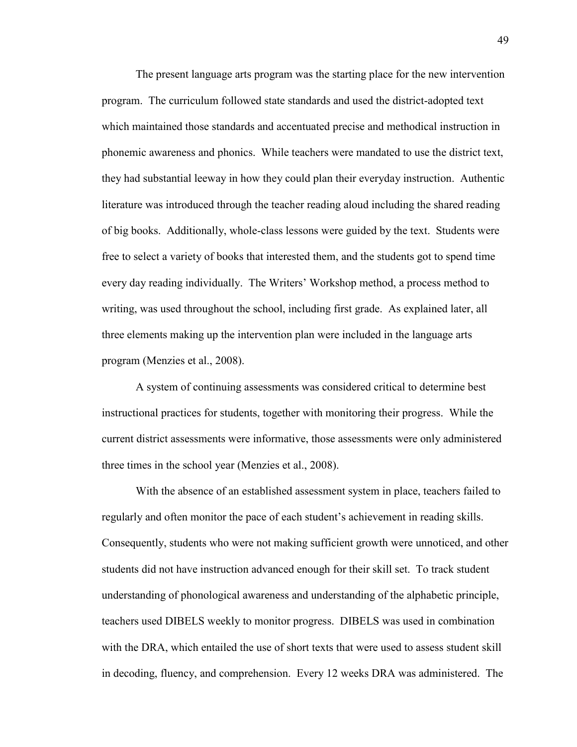The present language arts program was the starting place for the new intervention program. The curriculum followed state standards and used the district-adopted text which maintained those standards and accentuated precise and methodical instruction in phonemic awareness and phonics. While teachers were mandated to use the district text, they had substantial leeway in how they could plan their everyday instruction. Authentic literature was introduced through the teacher reading aloud including the shared reading of big books. Additionally, whole-class lessons were guided by the text. Students were free to select a variety of books that interested them, and the students got to spend time every day reading individually. The Writers' Workshop method, a process method to writing, was used throughout the school, including first grade. As explained later, all three elements making up the intervention plan were included in the language arts program (Menzies et al., 2008).

A system of continuing assessments was considered critical to determine best instructional practices for students, together with monitoring their progress. While the current district assessments were informative, those assessments were only administered three times in the school year (Menzies et al., 2008).

With the absence of an established assessment system in place, teachers failed to regularly and often monitor the pace of each student's achievement in reading skills. Consequently, students who were not making sufficient growth were unnoticed, and other students did not have instruction advanced enough for their skill set. To track student understanding of phonological awareness and understanding of the alphabetic principle, teachers used DIBELS weekly to monitor progress. DIBELS was used in combination with the DRA, which entailed the use of short texts that were used to assess student skill in decoding, fluency, and comprehension. Every 12 weeks DRA was administered. The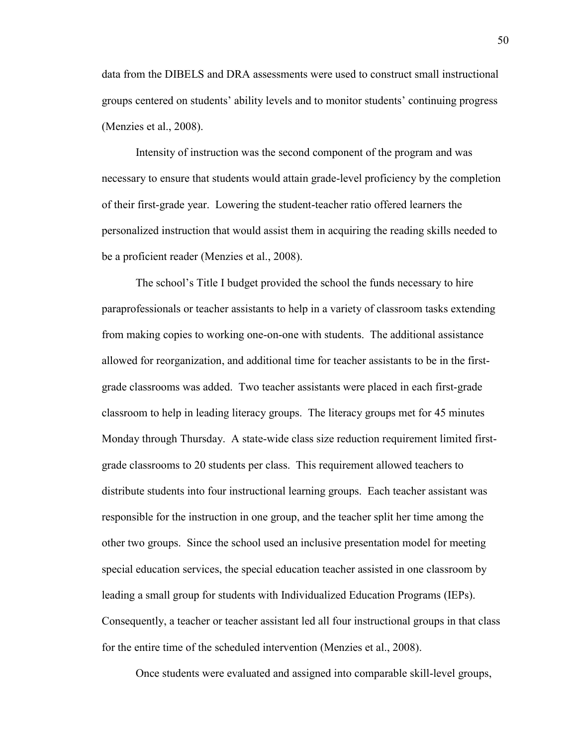data from the DIBELS and DRA assessments were used to construct small instructional groups centered on students' ability levels and to monitor students' continuing progress (Menzies et al., 2008).

Intensity of instruction was the second component of the program and was necessary to ensure that students would attain grade-level proficiency by the completion of their first-grade year. Lowering the student-teacher ratio offered learners the personalized instruction that would assist them in acquiring the reading skills needed to be a proficient reader (Menzies et al., 2008).

The school's Title I budget provided the school the funds necessary to hire paraprofessionals or teacher assistants to help in a variety of classroom tasks extending from making copies to working one-on-one with students. The additional assistance allowed for reorganization, and additional time for teacher assistants to be in the firstgrade classrooms was added. Two teacher assistants were placed in each first-grade classroom to help in leading literacy groups. The literacy groups met for 45 minutes Monday through Thursday. A state-wide class size reduction requirement limited firstgrade classrooms to 20 students per class. This requirement allowed teachers to distribute students into four instructional learning groups. Each teacher assistant was responsible for the instruction in one group, and the teacher split her time among the other two groups. Since the school used an inclusive presentation model for meeting special education services, the special education teacher assisted in one classroom by leading a small group for students with Individualized Education Programs (IEPs). Consequently, a teacher or teacher assistant led all four instructional groups in that class for the entire time of the scheduled intervention (Menzies et al., 2008).

Once students were evaluated and assigned into comparable skill-level groups,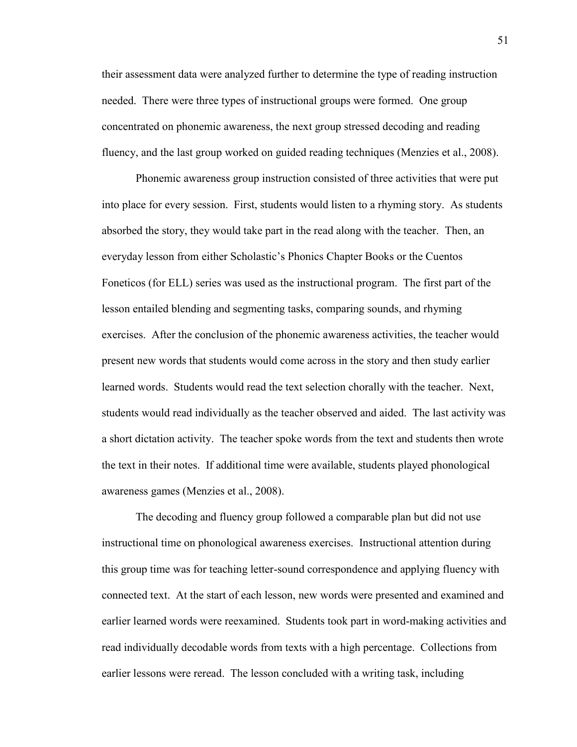their assessment data were analyzed further to determine the type of reading instruction needed. There were three types of instructional groups were formed. One group concentrated on phonemic awareness, the next group stressed decoding and reading fluency, and the last group worked on guided reading techniques (Menzies et al., 2008).

Phonemic awareness group instruction consisted of three activities that were put into place for every session. First, students would listen to a rhyming story. As students absorbed the story, they would take part in the read along with the teacher. Then, an everyday lesson from either Scholastic's Phonics Chapter Books or the Cuentos Foneticos (for ELL) series was used as the instructional program. The first part of the lesson entailed blending and segmenting tasks, comparing sounds, and rhyming exercises. After the conclusion of the phonemic awareness activities, the teacher would present new words that students would come across in the story and then study earlier learned words. Students would read the text selection chorally with the teacher. Next, students would read individually as the teacher observed and aided. The last activity was a short dictation activity. The teacher spoke words from the text and students then wrote the text in their notes. If additional time were available, students played phonological awareness games (Menzies et al., 2008).

The decoding and fluency group followed a comparable plan but did not use instructional time on phonological awareness exercises. Instructional attention during this group time was for teaching letter-sound correspondence and applying fluency with connected text. At the start of each lesson, new words were presented and examined and earlier learned words were reexamined. Students took part in word-making activities and read individually decodable words from texts with a high percentage. Collections from earlier lessons were reread. The lesson concluded with a writing task, including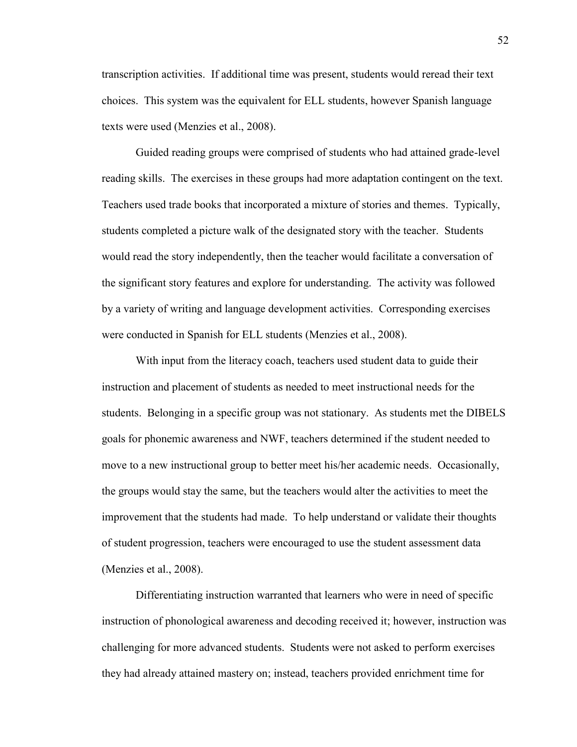transcription activities. If additional time was present, students would reread their text choices. This system was the equivalent for ELL students, however Spanish language texts were used (Menzies et al., 2008).

Guided reading groups were comprised of students who had attained grade-level reading skills. The exercises in these groups had more adaptation contingent on the text. Teachers used trade books that incorporated a mixture of stories and themes. Typically, students completed a picture walk of the designated story with the teacher. Students would read the story independently, then the teacher would facilitate a conversation of the significant story features and explore for understanding. The activity was followed by a variety of writing and language development activities. Corresponding exercises were conducted in Spanish for ELL students (Menzies et al., 2008).

With input from the literacy coach, teachers used student data to guide their instruction and placement of students as needed to meet instructional needs for the students. Belonging in a specific group was not stationary. As students met the DIBELS goals for phonemic awareness and NWF, teachers determined if the student needed to move to a new instructional group to better meet his/her academic needs. Occasionally, the groups would stay the same, but the teachers would alter the activities to meet the improvement that the students had made. To help understand or validate their thoughts of student progression, teachers were encouraged to use the student assessment data (Menzies et al., 2008).

Differentiating instruction warranted that learners who were in need of specific instruction of phonological awareness and decoding received it; however, instruction was challenging for more advanced students. Students were not asked to perform exercises they had already attained mastery on; instead, teachers provided enrichment time for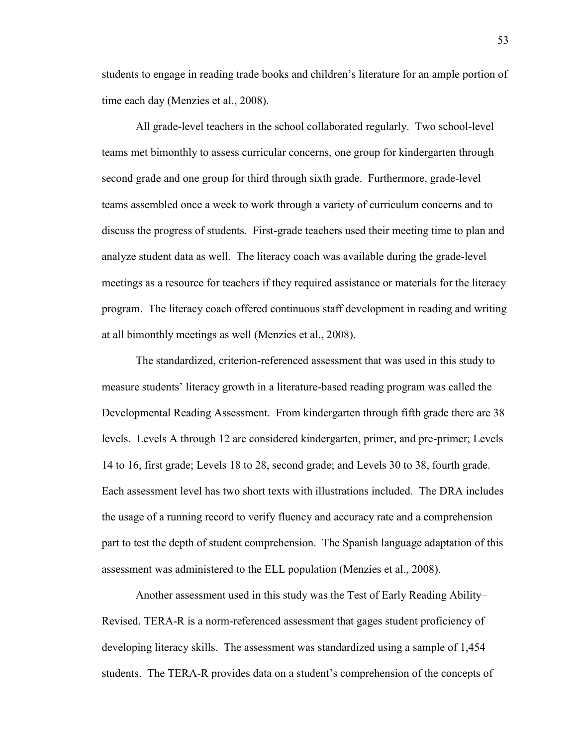students to engage in reading trade books and children's literature for an ample portion of time each day (Menzies et al., 2008).

All grade-level teachers in the school collaborated regularly. Two school-level teams met bimonthly to assess curricular concerns, one group for kindergarten through second grade and one group for third through sixth grade. Furthermore, grade-level teams assembled once a week to work through a variety of curriculum concerns and to discuss the progress of students. First-grade teachers used their meeting time to plan and analyze student data as well. The literacy coach was available during the grade-level meetings as a resource for teachers if they required assistance or materials for the literacy program. The literacy coach offered continuous staff development in reading and writing at all bimonthly meetings as well (Menzies et al., 2008).

The standardized, criterion-referenced assessment that was used in this study to measure students' literacy growth in a literature-based reading program was called the Developmental Reading Assessment. From kindergarten through fifth grade there are 38 levels. Levels A through 12 are considered kindergarten, primer, and pre-primer; Levels 14 to 16, first grade; Levels 18 to 28, second grade; and Levels 30 to 38, fourth grade. Each assessment level has two short texts with illustrations included. The DRA includes the usage of a running record to verify fluency and accuracy rate and a comprehension part to test the depth of student comprehension. The Spanish language adaptation of this assessment was administered to the ELL population (Menzies et al., 2008).

Another assessment used in this study was the Test of Early Reading Ability– Revised. TERA-R is a norm-referenced assessment that gages student proficiency of developing literacy skills. The assessment was standardized using a sample of 1,454 students. The TERA-R provides data on a student's comprehension of the concepts of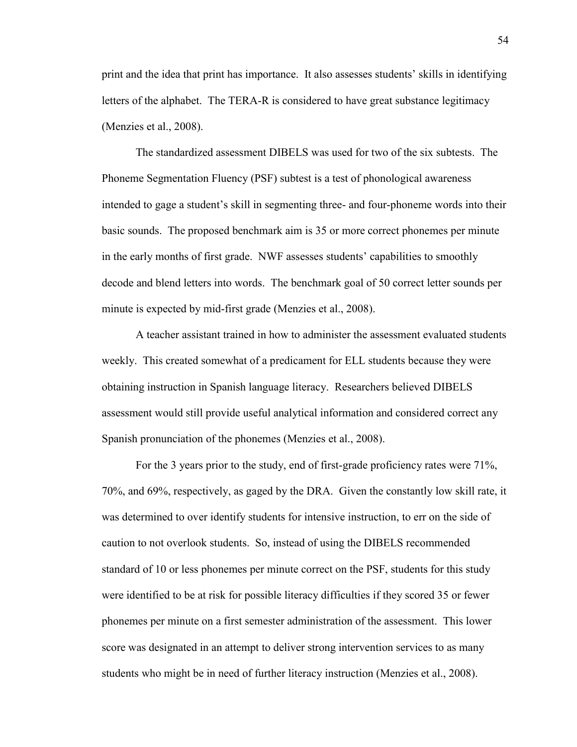print and the idea that print has importance. It also assesses students' skills in identifying letters of the alphabet. The TERA-R is considered to have great substance legitimacy (Menzies et al., 2008).

The standardized assessment DIBELS was used for two of the six subtests. The Phoneme Segmentation Fluency (PSF) subtest is a test of phonological awareness intended to gage a student's skill in segmenting three- and four-phoneme words into their basic sounds. The proposed benchmark aim is 35 or more correct phonemes per minute in the early months of first grade. NWF assesses students' capabilities to smoothly decode and blend letters into words. The benchmark goal of 50 correct letter sounds per minute is expected by mid-first grade (Menzies et al., 2008).

A teacher assistant trained in how to administer the assessment evaluated students weekly. This created somewhat of a predicament for ELL students because they were obtaining instruction in Spanish language literacy. Researchers believed DIBELS assessment would still provide useful analytical information and considered correct any Spanish pronunciation of the phonemes (Menzies et al., 2008).

For the 3 years prior to the study, end of first-grade proficiency rates were 71%, 70%, and 69%, respectively, as gaged by the DRA. Given the constantly low skill rate, it was determined to over identify students for intensive instruction, to err on the side of caution to not overlook students. So, instead of using the DIBELS recommended standard of 10 or less phonemes per minute correct on the PSF, students for this study were identified to be at risk for possible literacy difficulties if they scored 35 or fewer phonemes per minute on a first semester administration of the assessment. This lower score was designated in an attempt to deliver strong intervention services to as many students who might be in need of further literacy instruction (Menzies et al., 2008).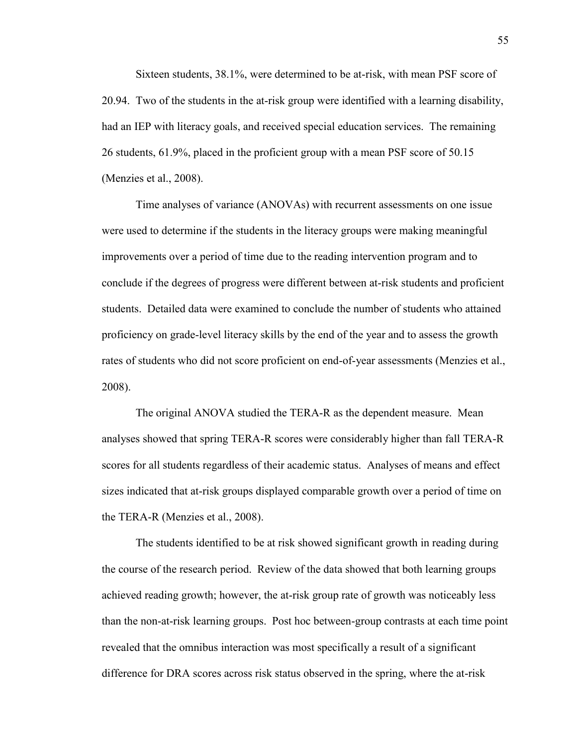Sixteen students, 38.1%, were determined to be at-risk, with mean PSF score of 20.94. Two of the students in the at-risk group were identified with a learning disability, had an IEP with literacy goals, and received special education services. The remaining 26 students, 61.9%, placed in the proficient group with a mean PSF score of 50.15 (Menzies et al., 2008).

Time analyses of variance (ANOVAs) with recurrent assessments on one issue were used to determine if the students in the literacy groups were making meaningful improvements over a period of time due to the reading intervention program and to conclude if the degrees of progress were different between at-risk students and proficient students. Detailed data were examined to conclude the number of students who attained proficiency on grade-level literacy skills by the end of the year and to assess the growth rates of students who did not score proficient on end-of-year assessments (Menzies et al., 2008).

The original ANOVA studied the TERA-R as the dependent measure. Mean analyses showed that spring TERA-R scores were considerably higher than fall TERA-R scores for all students regardless of their academic status. Analyses of means and effect sizes indicated that at-risk groups displayed comparable growth over a period of time on the TERA-R (Menzies et al., 2008).

The students identified to be at risk showed significant growth in reading during the course of the research period. Review of the data showed that both learning groups achieved reading growth; however, the at-risk group rate of growth was noticeably less than the non-at-risk learning groups. Post hoc between-group contrasts at each time point revealed that the omnibus interaction was most specifically a result of a significant difference for DRA scores across risk status observed in the spring, where the at-risk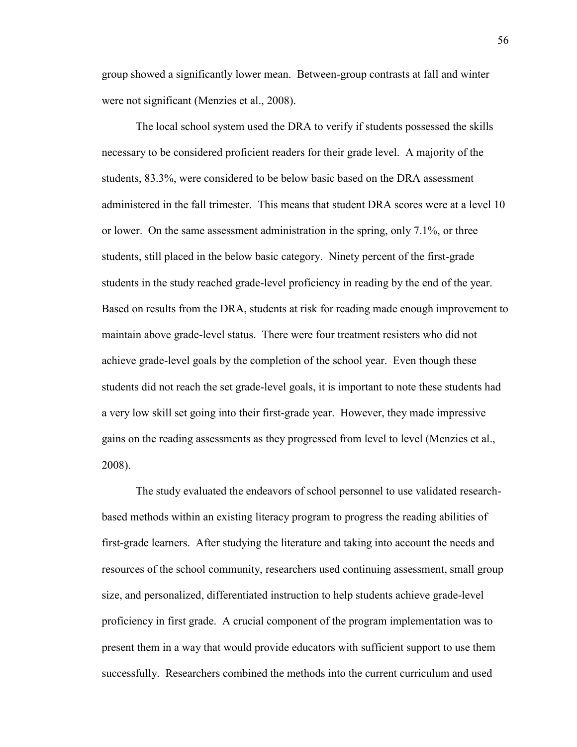group showed a significantly lower mean. Between-group contrasts at fall and winter were not significant (Menzies et al., 2008).

The local school system used the DRA to verify if students possessed the skills necessary to be considered proficient readers for their grade level. A majority of the students, 83.3%, were considered to be below basic based on the DRA assessment administered in the fall trimester. This means that student DRA scores were at a level 10 or lower. On the same assessment administration in the spring, only 7.1%, or three students, still placed in the below basic category. Ninety percent of the first-grade students in the study reached grade-level proficiency in reading by the end of the year. Based on results from the DRA, students at risk for reading made enough improvement to maintain above grade-level status. There were four treatment resisters who did not achieve grade-level goals by the completion of the school year. Even though these students did not reach the set grade-level goals, it is important to note these students had a very low skill set going into their first-grade year. However, they made impressive gains on the reading assessments as they progressed from level to level (Menzies et al., 2008).

The study evaluated the endeavors of school personnel to use validated researchbased methods within an existing literacy program to progress the reading abilities of first-grade learners. After studying the literature and taking into account the needs and resources of the school community, researchers used continuing assessment, small group size, and personalized, differentiated instruction to help students achieve grade-level proficiency in first grade. A crucial component of the program implementation was to present them in a way that would provide educators with sufficient support to use them successfully. Researchers combined the methods into the current curriculum and used

56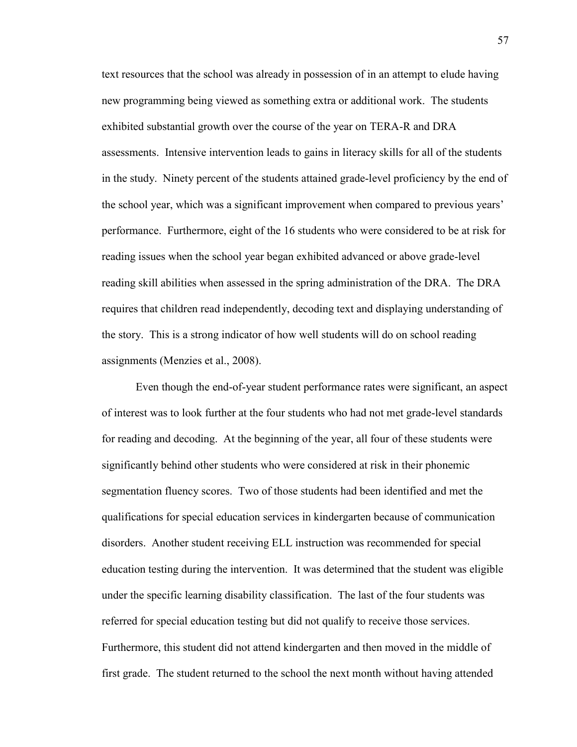text resources that the school was already in possession of in an attempt to elude having new programming being viewed as something extra or additional work. The students exhibited substantial growth over the course of the year on TERA-R and DRA assessments. Intensive intervention leads to gains in literacy skills for all of the students in the study. Ninety percent of the students attained grade-level proficiency by the end of the school year, which was a significant improvement when compared to previous years' performance. Furthermore, eight of the 16 students who were considered to be at risk for reading issues when the school year began exhibited advanced or above grade-level reading skill abilities when assessed in the spring administration of the DRA. The DRA requires that children read independently, decoding text and displaying understanding of the story. This is a strong indicator of how well students will do on school reading assignments (Menzies et al., 2008).

Even though the end-of-year student performance rates were significant, an aspect of interest was to look further at the four students who had not met grade-level standards for reading and decoding. At the beginning of the year, all four of these students were significantly behind other students who were considered at risk in their phonemic segmentation fluency scores. Two of those students had been identified and met the qualifications for special education services in kindergarten because of communication disorders. Another student receiving ELL instruction was recommended for special education testing during the intervention. It was determined that the student was eligible under the specific learning disability classification. The last of the four students was referred for special education testing but did not qualify to receive those services. Furthermore, this student did not attend kindergarten and then moved in the middle of first grade. The student returned to the school the next month without having attended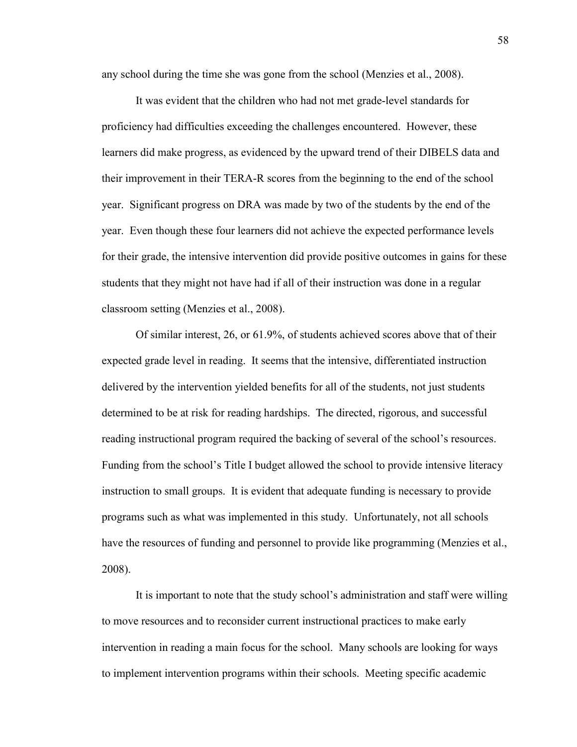any school during the time she was gone from the school (Menzies et al., 2008).

It was evident that the children who had not met grade-level standards for proficiency had difficulties exceeding the challenges encountered. However, these learners did make progress, as evidenced by the upward trend of their DIBELS data and their improvement in their TERA-R scores from the beginning to the end of the school year. Significant progress on DRA was made by two of the students by the end of the year. Even though these four learners did not achieve the expected performance levels for their grade, the intensive intervention did provide positive outcomes in gains for these students that they might not have had if all of their instruction was done in a regular classroom setting (Menzies et al., 2008).

Of similar interest, 26, or 61.9%, of students achieved scores above that of their expected grade level in reading. It seems that the intensive, differentiated instruction delivered by the intervention yielded benefits for all of the students, not just students determined to be at risk for reading hardships. The directed, rigorous, and successful reading instructional program required the backing of several of the school's resources. Funding from the school's Title I budget allowed the school to provide intensive literacy instruction to small groups. It is evident that adequate funding is necessary to provide programs such as what was implemented in this study. Unfortunately, not all schools have the resources of funding and personnel to provide like programming (Menzies et al., 2008).

It is important to note that the study school's administration and staff were willing to move resources and to reconsider current instructional practices to make early intervention in reading a main focus for the school. Many schools are looking for ways to implement intervention programs within their schools. Meeting specific academic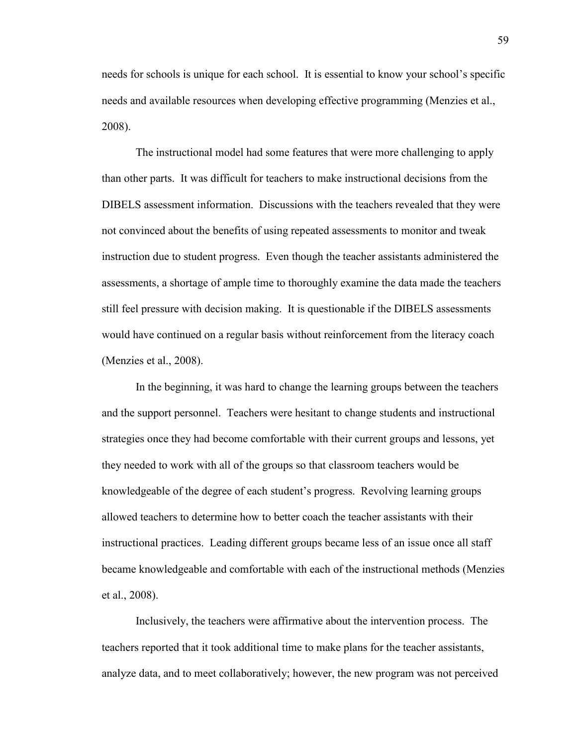needs for schools is unique for each school. It is essential to know your school's specific needs and available resources when developing effective programming (Menzies et al., 2008).

The instructional model had some features that were more challenging to apply than other parts. It was difficult for teachers to make instructional decisions from the DIBELS assessment information. Discussions with the teachers revealed that they were not convinced about the benefits of using repeated assessments to monitor and tweak instruction due to student progress. Even though the teacher assistants administered the assessments, a shortage of ample time to thoroughly examine the data made the teachers still feel pressure with decision making. It is questionable if the DIBELS assessments would have continued on a regular basis without reinforcement from the literacy coach (Menzies et al., 2008).

In the beginning, it was hard to change the learning groups between the teachers and the support personnel. Teachers were hesitant to change students and instructional strategies once they had become comfortable with their current groups and lessons, yet they needed to work with all of the groups so that classroom teachers would be knowledgeable of the degree of each student's progress. Revolving learning groups allowed teachers to determine how to better coach the teacher assistants with their instructional practices. Leading different groups became less of an issue once all staff became knowledgeable and comfortable with each of the instructional methods (Menzies et al., 2008).

Inclusively, the teachers were affirmative about the intervention process. The teachers reported that it took additional time to make plans for the teacher assistants, analyze data, and to meet collaboratively; however, the new program was not perceived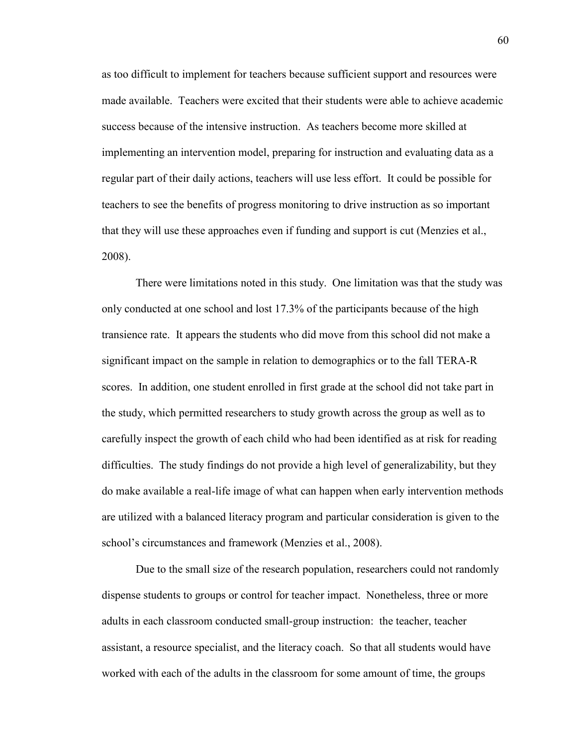as too difficult to implement for teachers because sufficient support and resources were made available. Teachers were excited that their students were able to achieve academic success because of the intensive instruction. As teachers become more skilled at implementing an intervention model, preparing for instruction and evaluating data as a regular part of their daily actions, teachers will use less effort. It could be possible for teachers to see the benefits of progress monitoring to drive instruction as so important that they will use these approaches even if funding and support is cut (Menzies et al., 2008).

There were limitations noted in this study. One limitation was that the study was only conducted at one school and lost 17.3% of the participants because of the high transience rate. It appears the students who did move from this school did not make a significant impact on the sample in relation to demographics or to the fall TERA-R scores. In addition, one student enrolled in first grade at the school did not take part in the study, which permitted researchers to study growth across the group as well as to carefully inspect the growth of each child who had been identified as at risk for reading difficulties. The study findings do not provide a high level of generalizability, but they do make available a real-life image of what can happen when early intervention methods are utilized with a balanced literacy program and particular consideration is given to the school's circumstances and framework (Menzies et al., 2008).

Due to the small size of the research population, researchers could not randomly dispense students to groups or control for teacher impact. Nonetheless, three or more adults in each classroom conducted small-group instruction: the teacher, teacher assistant, a resource specialist, and the literacy coach. So that all students would have worked with each of the adults in the classroom for some amount of time, the groups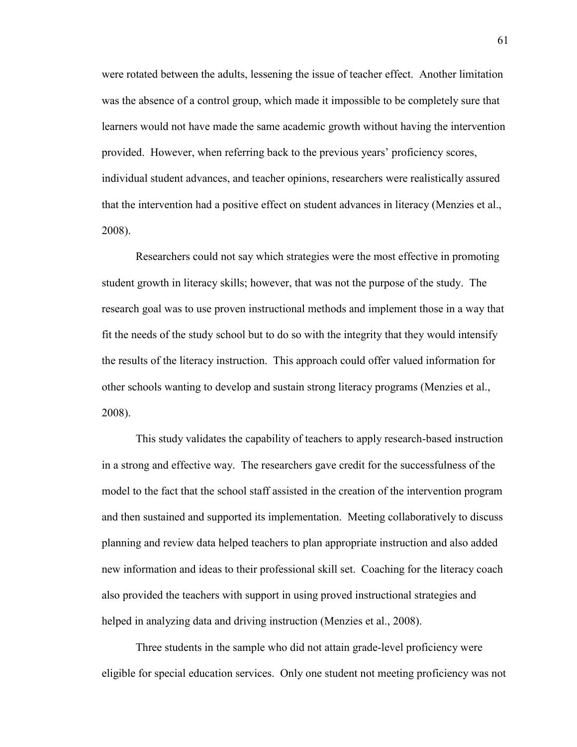were rotated between the adults, lessening the issue of teacher effect. Another limitation was the absence of a control group, which made it impossible to be completely sure that learners would not have made the same academic growth without having the intervention provided. However, when referring back to the previous years' proficiency scores, individual student advances, and teacher opinions, researchers were realistically assured that the intervention had a positive effect on student advances in literacy (Menzies et al., 2008).

Researchers could not say which strategies were the most effective in promoting student growth in literacy skills; however, that was not the purpose of the study. The research goal was to use proven instructional methods and implement those in a way that fit the needs of the study school but to do so with the integrity that they would intensify the results of the literacy instruction. This approach could offer valued information for other schools wanting to develop and sustain strong literacy programs (Menzies et al., 2008).

This study validates the capability of teachers to apply research-based instruction in a strong and effective way. The researchers gave credit for the successfulness of the model to the fact that the school staff assisted in the creation of the intervention program and then sustained and supported its implementation. Meeting collaboratively to discuss planning and review data helped teachers to plan appropriate instruction and also added new information and ideas to their professional skill set. Coaching for the literacy coach also provided the teachers with support in using proved instructional strategies and helped in analyzing data and driving instruction (Menzies et al., 2008).

Three students in the sample who did not attain grade-level proficiency were eligible for special education services. Only one student not meeting proficiency was not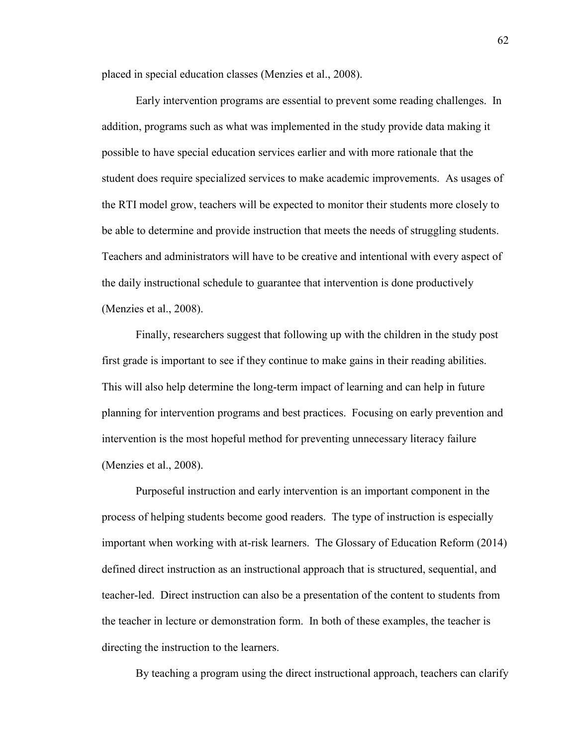placed in special education classes (Menzies et al., 2008).

Early intervention programs are essential to prevent some reading challenges. In addition, programs such as what was implemented in the study provide data making it possible to have special education services earlier and with more rationale that the student does require specialized services to make academic improvements. As usages of the RTI model grow, teachers will be expected to monitor their students more closely to be able to determine and provide instruction that meets the needs of struggling students. Teachers and administrators will have to be creative and intentional with every aspect of the daily instructional schedule to guarantee that intervention is done productively (Menzies et al., 2008).

Finally, researchers suggest that following up with the children in the study post first grade is important to see if they continue to make gains in their reading abilities. This will also help determine the long-term impact of learning and can help in future planning for intervention programs and best practices. Focusing on early prevention and intervention is the most hopeful method for preventing unnecessary literacy failure (Menzies et al., 2008).

Purposeful instruction and early intervention is an important component in the process of helping students become good readers. The type of instruction is especially important when working with at-risk learners. The Glossary of Education Reform (2014) defined direct instruction as an instructional approach that is structured, sequential, and teacher-led. Direct instruction can also be a presentation of the content to students from the teacher in lecture or demonstration form. In both of these examples, the teacher is directing the instruction to the learners.

By teaching a program using the direct instructional approach, teachers can clarify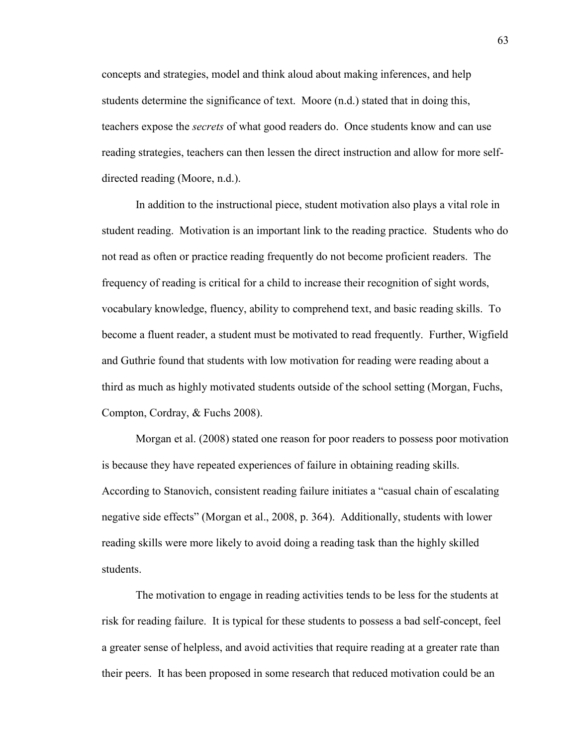concepts and strategies, model and think aloud about making inferences, and help students determine the significance of text. Moore (n.d.) stated that in doing this, teachers expose the *secrets* of what good readers do. Once students know and can use reading strategies, teachers can then lessen the direct instruction and allow for more selfdirected reading (Moore, n.d.).

In addition to the instructional piece, student motivation also plays a vital role in student reading. Motivation is an important link to the reading practice. Students who do not read as often or practice reading frequently do not become proficient readers. The frequency of reading is critical for a child to increase their recognition of sight words, vocabulary knowledge, fluency, ability to comprehend text, and basic reading skills. To become a fluent reader, a student must be motivated to read frequently. Further, Wigfield and Guthrie found that students with low motivation for reading were reading about a third as much as highly motivated students outside of the school setting (Morgan, Fuchs, Compton, Cordray, & Fuchs 2008).

Morgan et al. (2008) stated one reason for poor readers to possess poor motivation is because they have repeated experiences of failure in obtaining reading skills. According to Stanovich, consistent reading failure initiates a "casual chain of escalating negative side effects" (Morgan et al., 2008, p. 364). Additionally, students with lower reading skills were more likely to avoid doing a reading task than the highly skilled students.

The motivation to engage in reading activities tends to be less for the students at risk for reading failure. It is typical for these students to possess a bad self-concept, feel a greater sense of helpless, and avoid activities that require reading at a greater rate than their peers. It has been proposed in some research that reduced motivation could be an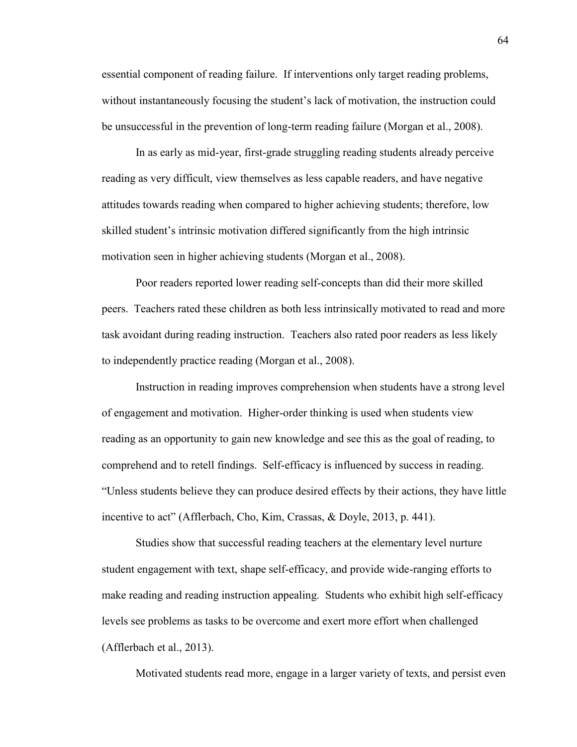essential component of reading failure. If interventions only target reading problems, without instantaneously focusing the student's lack of motivation, the instruction could be unsuccessful in the prevention of long-term reading failure (Morgan et al., 2008).

In as early as mid-year, first-grade struggling reading students already perceive reading as very difficult, view themselves as less capable readers, and have negative attitudes towards reading when compared to higher achieving students; therefore, low skilled student's intrinsic motivation differed significantly from the high intrinsic motivation seen in higher achieving students (Morgan et al., 2008).

Poor readers reported lower reading self-concepts than did their more skilled peers. Teachers rated these children as both less intrinsically motivated to read and more task avoidant during reading instruction. Teachers also rated poor readers as less likely to independently practice reading (Morgan et al., 2008).

Instruction in reading improves comprehension when students have a strong level of engagement and motivation. Higher-order thinking is used when students view reading as an opportunity to gain new knowledge and see this as the goal of reading, to comprehend and to retell findings. Self-efficacy is influenced by success in reading. "Unless students believe they can produce desired effects by their actions, they have little incentive to act" (Afflerbach, Cho, Kim, Crassas, & Doyle, 2013, p. 441).

Studies show that successful reading teachers at the elementary level nurture student engagement with text, shape self-efficacy, and provide wide-ranging efforts to make reading and reading instruction appealing. Students who exhibit high self-efficacy levels see problems as tasks to be overcome and exert more effort when challenged (Afflerbach et al., 2013).

Motivated students read more, engage in a larger variety of texts, and persist even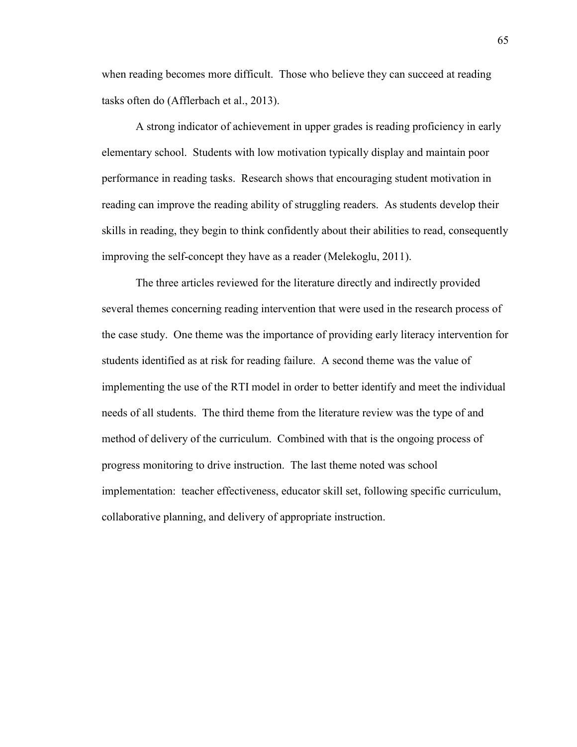when reading becomes more difficult. Those who believe they can succeed at reading tasks often do (Afflerbach et al., 2013).

A strong indicator of achievement in upper grades is reading proficiency in early elementary school. Students with low motivation typically display and maintain poor performance in reading tasks. Research shows that encouraging student motivation in reading can improve the reading ability of struggling readers. As students develop their skills in reading, they begin to think confidently about their abilities to read, consequently improving the self-concept they have as a reader (Melekoglu, 2011).

The three articles reviewed for the literature directly and indirectly provided several themes concerning reading intervention that were used in the research process of the case study. One theme was the importance of providing early literacy intervention for students identified as at risk for reading failure. A second theme was the value of implementing the use of the RTI model in order to better identify and meet the individual needs of all students. The third theme from the literature review was the type of and method of delivery of the curriculum. Combined with that is the ongoing process of progress monitoring to drive instruction. The last theme noted was school implementation: teacher effectiveness, educator skill set, following specific curriculum, collaborative planning, and delivery of appropriate instruction.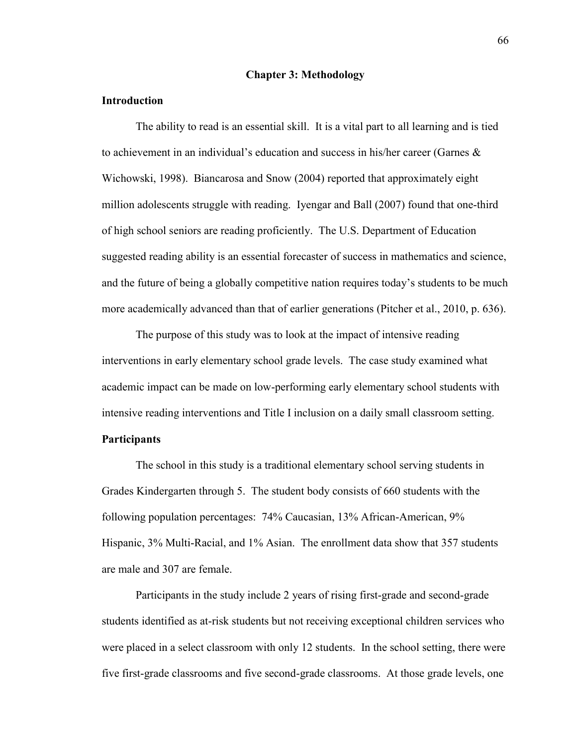## **Chapter 3: Methodology**

## **Introduction**

The ability to read is an essential skill. It is a vital part to all learning and is tied to achievement in an individual's education and success in his/her career (Garnes  $\&$ Wichowski, 1998). Biancarosa and Snow (2004) reported that approximately eight million adolescents struggle with reading. Iyengar and Ball (2007) found that one-third of high school seniors are reading proficiently. The U.S. Department of Education suggested reading ability is an essential forecaster of success in mathematics and science, and the future of being a globally competitive nation requires today's students to be much more academically advanced than that of earlier generations (Pitcher et al., 2010, p. 636).

The purpose of this study was to look at the impact of intensive reading interventions in early elementary school grade levels. The case study examined what academic impact can be made on low-performing early elementary school students with intensive reading interventions and Title I inclusion on a daily small classroom setting.

## **Participants**

The school in this study is a traditional elementary school serving students in Grades Kindergarten through 5. The student body consists of 660 students with the following population percentages: 74% Caucasian, 13% African-American, 9% Hispanic, 3% Multi-Racial, and 1% Asian. The enrollment data show that 357 students are male and 307 are female.

Participants in the study include 2 years of rising first-grade and second-grade students identified as at-risk students but not receiving exceptional children services who were placed in a select classroom with only 12 students. In the school setting, there were five first-grade classrooms and five second-grade classrooms. At those grade levels, one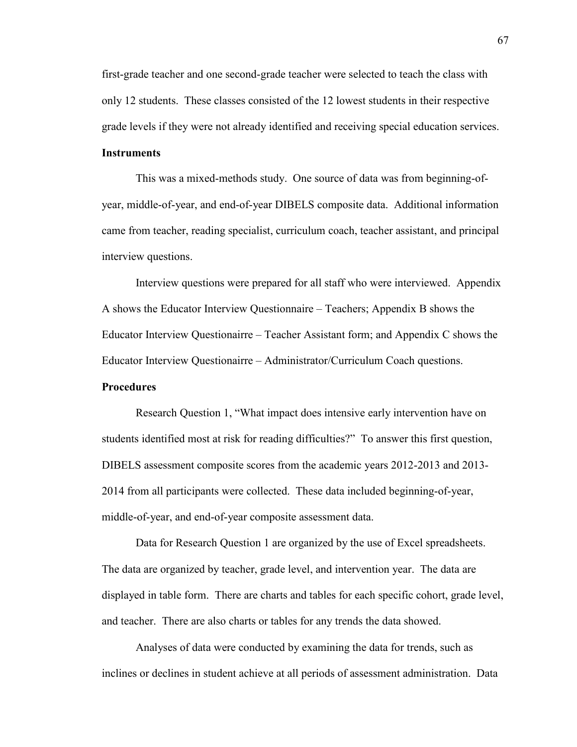first-grade teacher and one second-grade teacher were selected to teach the class with only 12 students. These classes consisted of the 12 lowest students in their respective grade levels if they were not already identified and receiving special education services.

# **Instruments**

This was a mixed-methods study. One source of data was from beginning-ofyear, middle-of-year, and end-of-year DIBELS composite data. Additional information came from teacher, reading specialist, curriculum coach, teacher assistant, and principal interview questions.

Interview questions were prepared for all staff who were interviewed. Appendix A shows the Educator Interview Questionnaire – Teachers; Appendix B shows the Educator Interview Questionairre – Teacher Assistant form; and Appendix C shows the Educator Interview Questionairre – Administrator/Curriculum Coach questions.

## **Procedures**

Research Question 1, "What impact does intensive early intervention have on students identified most at risk for reading difficulties?" To answer this first question, DIBELS assessment composite scores from the academic years 2012-2013 and 2013- 2014 from all participants were collected. These data included beginning-of-year, middle-of-year, and end-of-year composite assessment data.

Data for Research Question 1 are organized by the use of Excel spreadsheets. The data are organized by teacher, grade level, and intervention year. The data are displayed in table form. There are charts and tables for each specific cohort, grade level, and teacher. There are also charts or tables for any trends the data showed.

Analyses of data were conducted by examining the data for trends, such as inclines or declines in student achieve at all periods of assessment administration. Data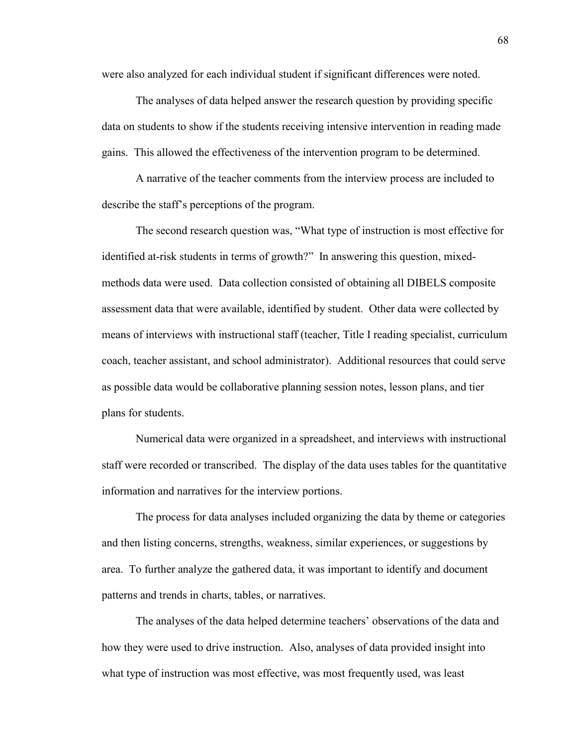were also analyzed for each individual student if significant differences were noted.

The analyses of data helped answer the research question by providing specific data on students to show if the students receiving intensive intervention in reading made gains. This allowed the effectiveness of the intervention program to be determined.

A narrative of the teacher comments from the interview process are included to describe the staff's perceptions of the program.

The second research question was, "What type of instruction is most effective for identified at-risk students in terms of growth?" In answering this question, mixedmethods data were used. Data collection consisted of obtaining all DIBELS composite assessment data that were available, identified by student. Other data were collected by means of interviews with instructional staff (teacher, Title I reading specialist, curriculum coach, teacher assistant, and school administrator). Additional resources that could serve as possible data would be collaborative planning session notes, lesson plans, and tier plans for students.

Numerical data were organized in a spreadsheet, and interviews with instructional staff were recorded or transcribed. The display of the data uses tables for the quantitative information and narratives for the interview portions.

The process for data analyses included organizing the data by theme or categories and then listing concerns, strengths, weakness, similar experiences, or suggestions by area. To further analyze the gathered data, it was important to identify and document patterns and trends in charts, tables, or narratives.

The analyses of the data helped determine teachers' observations of the data and how they were used to drive instruction. Also, analyses of data provided insight into what type of instruction was most effective, was most frequently used, was least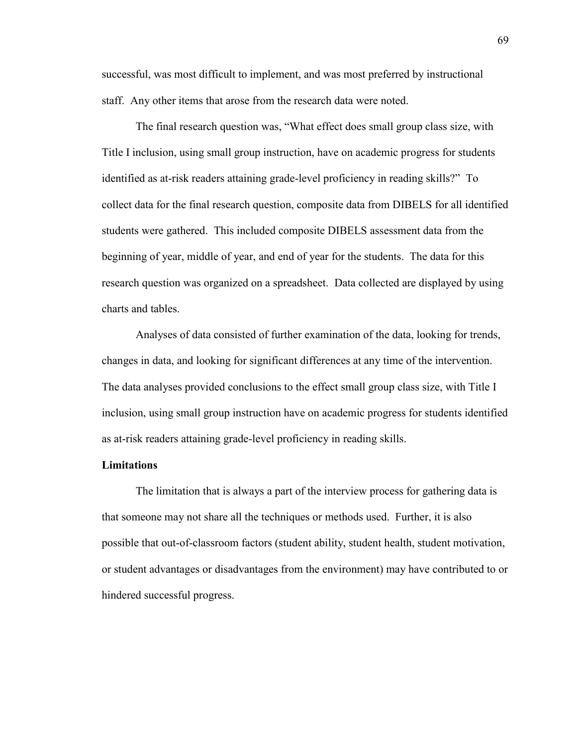successful, was most difficult to implement, and was most preferred by instructional staff. Any other items that arose from the research data were noted.

The final research question was, "What effect does small group class size, with Title I inclusion, using small group instruction, have on academic progress for students identified as at-risk readers attaining grade-level proficiency in reading skills?" To collect data for the final research question, composite data from DIBELS for all identified students were gathered. This included composite DIBELS assessment data from the beginning of year, middle of year, and end of year for the students. The data for this research question was organized on a spreadsheet. Data collected are displayed by using charts and tables.

Analyses of data consisted of further examination of the data, looking for trends, changes in data, and looking for significant differences at any time of the intervention. The data analyses provided conclusions to the effect small group class size, with Title I inclusion, using small group instruction have on academic progress for students identified as at-risk readers attaining grade-level proficiency in reading skills.

## **Limitations**

The limitation that is always a part of the interview process for gathering data is that someone may not share all the techniques or methods used. Further, it is also possible that out-of-classroom factors (student ability, student health, student motivation, or student advantages or disadvantages from the environment) may have contributed to or hindered successful progress.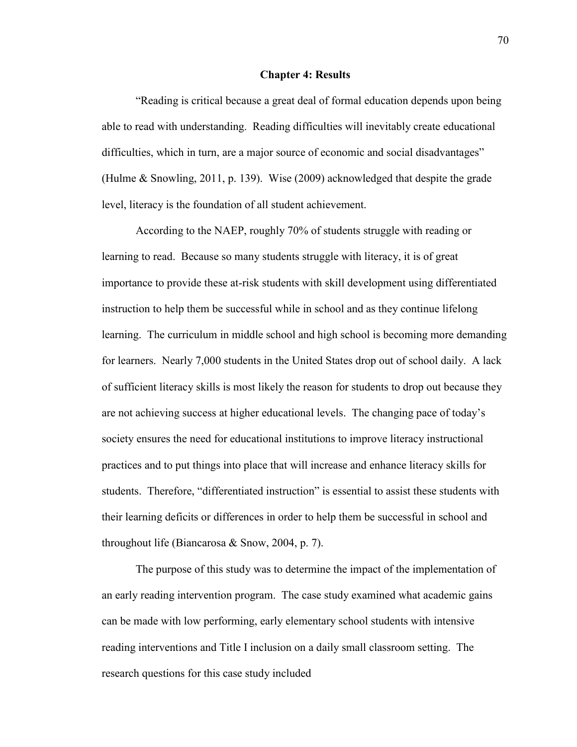#### **Chapter 4: Results**

"Reading is critical because a great deal of formal education depends upon being able to read with understanding. Reading difficulties will inevitably create educational difficulties, which in turn, are a major source of economic and social disadvantages" (Hulme & Snowling, 2011, p. 139). Wise (2009) acknowledged that despite the grade level, literacy is the foundation of all student achievement.

According to the NAEP, roughly 70% of students struggle with reading or learning to read. Because so many students struggle with literacy, it is of great importance to provide these at-risk students with skill development using differentiated instruction to help them be successful while in school and as they continue lifelong learning. The curriculum in middle school and high school is becoming more demanding for learners. Nearly 7,000 students in the United States drop out of school daily. A lack of sufficient literacy skills is most likely the reason for students to drop out because they are not achieving success at higher educational levels. The changing pace of today's society ensures the need for educational institutions to improve literacy instructional practices and to put things into place that will increase and enhance literacy skills for students. Therefore, "differentiated instruction" is essential to assist these students with their learning deficits or differences in order to help them be successful in school and throughout life (Biancarosa & Snow, 2004, p. 7).

The purpose of this study was to determine the impact of the implementation of an early reading intervention program. The case study examined what academic gains can be made with low performing, early elementary school students with intensive reading interventions and Title I inclusion on a daily small classroom setting. The research questions for this case study included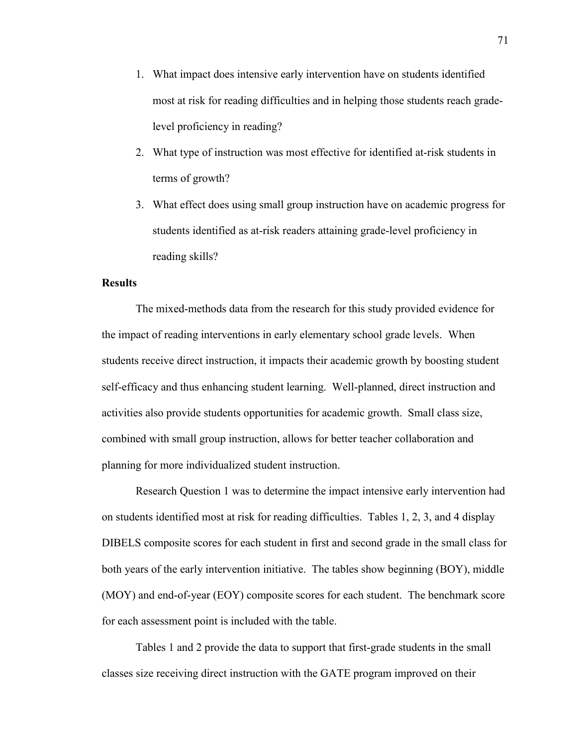- 1. What impact does intensive early intervention have on students identified most at risk for reading difficulties and in helping those students reach gradelevel proficiency in reading?
- 2. What type of instruction was most effective for identified at-risk students in terms of growth?
- 3. What effect does using small group instruction have on academic progress for students identified as at-risk readers attaining grade-level proficiency in reading skills?

## **Results**

The mixed-methods data from the research for this study provided evidence for the impact of reading interventions in early elementary school grade levels. When students receive direct instruction, it impacts their academic growth by boosting student self-efficacy and thus enhancing student learning. Well-planned, direct instruction and activities also provide students opportunities for academic growth. Small class size, combined with small group instruction, allows for better teacher collaboration and planning for more individualized student instruction.

Research Question 1 was to determine the impact intensive early intervention had on students identified most at risk for reading difficulties. Tables 1, 2, 3, and 4 display DIBELS composite scores for each student in first and second grade in the small class for both years of the early intervention initiative. The tables show beginning (BOY), middle (MOY) and end-of-year (EOY) composite scores for each student. The benchmark score for each assessment point is included with the table.

Tables 1 and 2 provide the data to support that first-grade students in the small classes size receiving direct instruction with the GATE program improved on their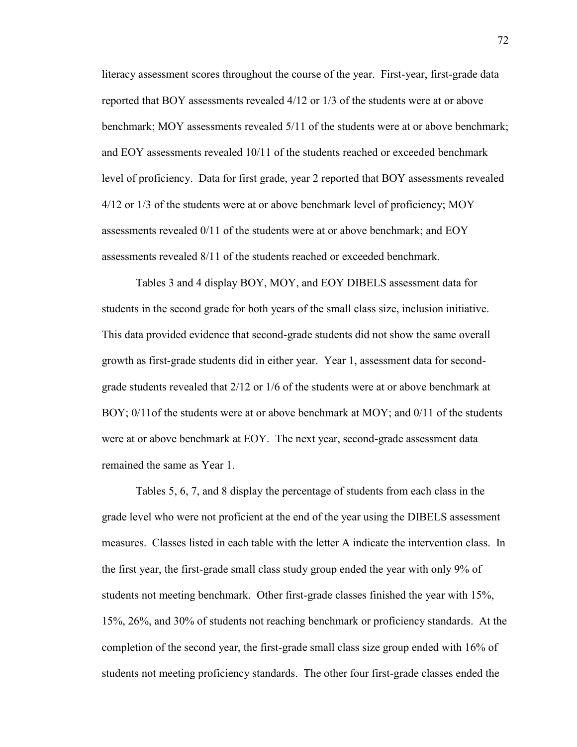literacy assessment scores throughout the course of the year. First-year, first-grade data reported that BOY assessments revealed 4/12 or 1/3 of the students were at or above benchmark; MOY assessments revealed 5/11 of the students were at or above benchmark; and EOY assessments revealed 10/11 of the students reached or exceeded benchmark level of proficiency. Data for first grade, year 2 reported that BOY assessments revealed 4/12 or 1/3 of the students were at or above benchmark level of proficiency; MOY assessments revealed 0/11 of the students were at or above benchmark; and EOY assessments revealed 8/11 of the students reached or exceeded benchmark.

Tables 3 and 4 display BOY, MOY, and EOY DIBELS assessment data for students in the second grade for both years of the small class size, inclusion initiative. This data provided evidence that second-grade students did not show the same overall growth as first-grade students did in either year. Year 1, assessment data for secondgrade students revealed that 2/12 or 1/6 of the students were at or above benchmark at BOY; 0/11of the students were at or above benchmark at MOY; and 0/11 of the students were at or above benchmark at EOY. The next year, second-grade assessment data remained the same as Year 1.

Tables 5, 6, 7, and 8 display the percentage of students from each class in the grade level who were not proficient at the end of the year using the DIBELS assessment measures. Classes listed in each table with the letter A indicate the intervention class. In the first year, the first-grade small class study group ended the year with only 9% of students not meeting benchmark. Other first-grade classes finished the year with 15%, 15%, 26%, and 30% of students not reaching benchmark or proficiency standards. At the completion of the second year, the first-grade small class size group ended with 16% of students not meeting proficiency standards. The other four first-grade classes ended the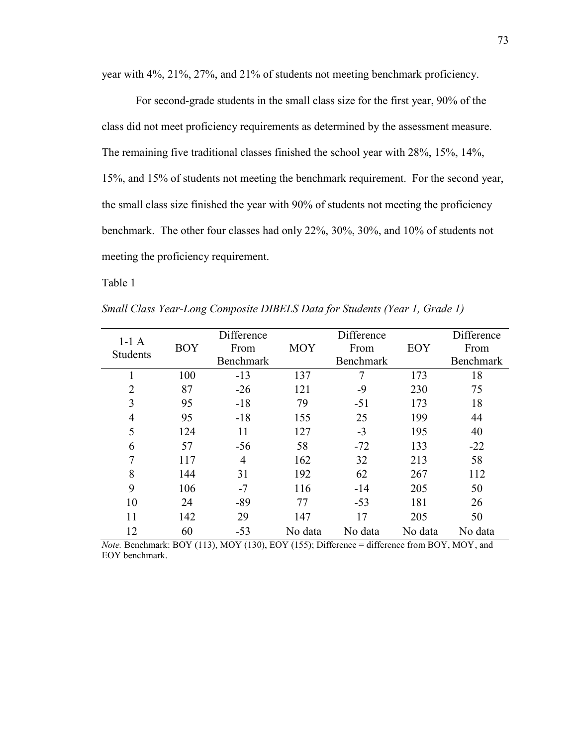year with 4%, 21%, 27%, and 21% of students not meeting benchmark proficiency.

For second-grade students in the small class size for the first year, 90% of the class did not meet proficiency requirements as determined by the assessment measure. The remaining five traditional classes finished the school year with 28%, 15%, 14%, 15%, and 15% of students not meeting the benchmark requirement. For the second year, the small class size finished the year with 90% of students not meeting the proficiency benchmark. The other four classes had only 22%, 30%, 30%, and 10% of students not meeting the proficiency requirement.

Table 1

| $1-1A$         |            | Difference     |            | Difference       |         | Difference |
|----------------|------------|----------------|------------|------------------|---------|------------|
| Students       | <b>BOY</b> | From           | <b>MOY</b> | From             | EOY     | From       |
|                |            | Benchmark      |            | <b>Benchmark</b> |         | Benchmark  |
|                | 100        | $-13$          | 137        | 7                | 173     | 18         |
| $\overline{2}$ | 87         | $-26$          | 121        | $-9$             | 230     | 75         |
| 3              | 95         | $-18$          | 79         | $-51$            | 173     | 18         |
| $\overline{4}$ | 95         | $-18$          | 155        | 25               | 199     | 44         |
| 5              | 124        | 11             | 127        | $-3$             | 195     | 40         |
| 6              | 57         | $-56$          | 58         | $-72$            | 133     | $-22$      |
| 7              | 117        | $\overline{4}$ | 162        | 32               | 213     | 58         |
| 8              | 144        | 31             | 192        | 62               | 267     | 112        |
| 9              | 106        | $-7$           | 116        | $-14$            | 205     | 50         |
| 10             | 24         | $-89$          | 77         | $-53$            | 181     | 26         |
| 11             | 142        | 29             | 147        | 17               | 205     | 50         |
| 12             | 60         | $-53$          | No data    | No data          | No data | No data    |

*Small Class Year-Long Composite DIBELS Data for Students (Year 1, Grade 1)*

*Note.* Benchmark: BOY (113), MOY (130), EOY (155); Difference = difference from BOY, MOY, and EOY benchmark.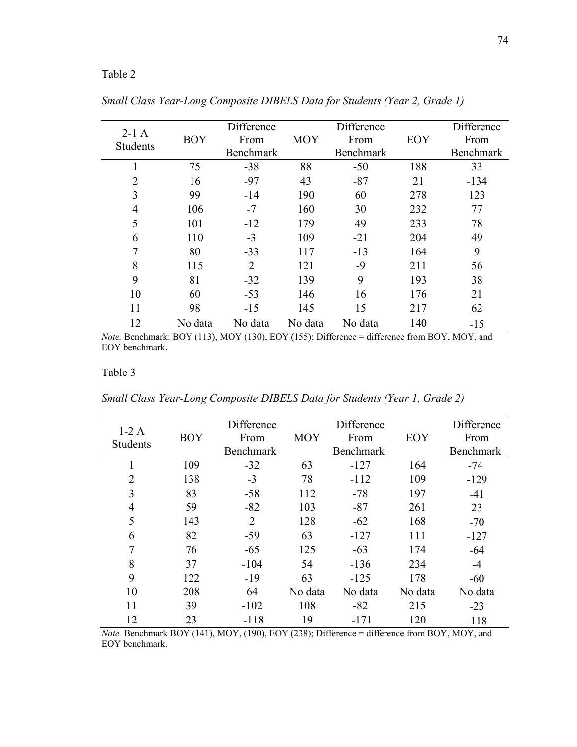# Table 2

| $2-1$ A         |            | Difference       |            | Difference       |     | Difference       |
|-----------------|------------|------------------|------------|------------------|-----|------------------|
| <b>Students</b> | <b>BOY</b> | From             | <b>MOY</b> | From             | EOY | From             |
|                 |            | <b>Benchmark</b> |            | <b>Benchmark</b> |     | <b>Benchmark</b> |
| 1               | 75         | $-38$            | 88         | $-50$            | 188 | 33               |
| $\overline{2}$  | 16         | $-97$            | 43         | $-87$            | 21  | $-134$           |
| 3               | 99         | $-14$            | 190        | 60               | 278 | 123              |
| $\overline{4}$  | 106        | $-7$             | 160        | 30               | 232 | 77               |
| 5               | 101        | $-12$            | 179        | 49               | 233 | 78               |
| 6               | 110        | $-3$             | 109        | $-21$            | 204 | 49               |
| 7               | 80         | $-33$            | 117        | $-13$            | 164 | 9                |
| 8               | 115        | $\overline{2}$   | 121        | $-9$             | 211 | 56               |
| 9               | 81         | $-32$            | 139        | 9                | 193 | 38               |
| 10              | 60         | $-53$            | 146        | 16               | 176 | 21               |
| 11              | 98         | $-15$            | 145        | 15               | 217 | 62               |
| 12              | No data    | No data          | No data    | No data          | 140 | $-15$            |

*Small Class Year-Long Composite DIBELS Data for Students (Year 2, Grade 1)*

*Note.* Benchmark: BOY (113), MOY (130), EOY (155); Difference = difference from BOY, MOY, and EOY benchmark.

## Table 3

*Small Class Year-Long Composite DIBELS Data for Students (Year 1, Grade 2)*

| $1-2A$          |            | Difference     |            | Difference |         | Difference |
|-----------------|------------|----------------|------------|------------|---------|------------|
| <b>Students</b> | <b>BOY</b> | From           | <b>MOY</b> | From       | EOY     | From       |
|                 |            | Benchmark      |            | Benchmark  |         | Benchmark  |
|                 | 109        | $-32$          | 63         | $-127$     | 164     | $-74$      |
| $\overline{2}$  | 138        | $-3$           | 78         | $-112$     | 109     | $-129$     |
| 3               | 83         | $-58$          | 112        | $-78$      | 197     | $-41$      |
| 4               | 59         | $-82$          | 103        | $-87$      | 261     | 23         |
| 5               | 143        | $\overline{2}$ | 128        | $-62$      | 168     | $-70$      |
| 6               | 82         | $-59$          | 63         | $-127$     | 111     | $-127$     |
|                 | 76         | $-65$          | 125        | $-63$      | 174     | $-64$      |
| 8               | 37         | $-104$         | 54         | $-136$     | 234     | $-4$       |
| 9               | 122        | $-19$          | 63         | $-125$     | 178     | $-60$      |
| 10              | 208        | 64             | No data    | No data    | No data | No data    |
| 11              | 39         | $-102$         | 108        | $-82$      | 215     | $-23$      |
| 12              | 23         | $-118$         | 19         | $-171$     | 120     | $-118$     |

*Note.* Benchmark BOY (141), MOY, (190), EOY (238); Difference = difference from BOY, MOY, and EOY benchmark.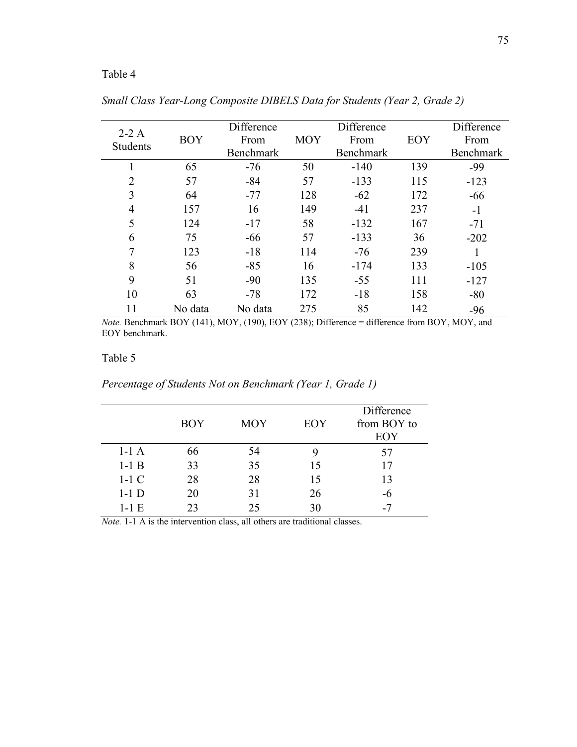# Table 4

| $2-2A$          |            | Difference |            | Difference       |     | Difference       |
|-----------------|------------|------------|------------|------------------|-----|------------------|
| <b>Students</b> | <b>BOY</b> | From       | <b>MOY</b> | From             | EOY | From             |
|                 |            | Benchmark  |            | <b>Benchmark</b> |     | <b>Benchmark</b> |
| 1               | 65         | $-76$      | 50         | $-140$           | 139 | -99              |
| $\overline{2}$  | 57         | $-84$      | 57         | $-133$           | 115 | $-123$           |
| 3               | 64         | $-77$      | 128        | $-62$            | 172 | $-66$            |
| $\overline{4}$  | 157        | 16         | 149        | $-41$            | 237 | $-1$             |
| 5               | 124        | $-17$      | 58         | $-132$           | 167 | $-71$            |
| 6               | 75         | $-66$      | 57         | $-133$           | 36  | $-202$           |
| 7               | 123        | $-18$      | 114        | $-76$            | 239 |                  |
| 8               | 56         | $-85$      | 16         | $-174$           | 133 | $-105$           |
| 9               | 51         | $-90$      | 135        | $-55$            | 111 | $-127$           |
| 10              | 63         | $-78$      | 172        | $-18$            | 158 | $-80$            |
| 11              | No data    | No data    | 275        | 85               | 142 | $-96$            |

*Small Class Year-Long Composite DIBELS Data for Students (Year 2, Grade 2)*

*Note.* Benchmark BOY (141), MOY, (190), EOY (238); Difference = difference from BOY, MOY, and EOY benchmark.

# Table 5

|         | <b>BOY</b> | <b>MOY</b> | <b>EOY</b> | Difference<br>from BOY to<br>EOY |
|---------|------------|------------|------------|----------------------------------|
| $1-1A$  | 66         | 54         |            | 57                               |
| $1-1$ B | 33         | 35         | 15         | 17                               |
| $1-1$ C | 28         | 28         | 15         | 13                               |
| $1-1$ D | 20         | 31         | 26         | -6                               |
| $1-1E$  | 23         | 25         | 30<br>.    |                                  |

*Percentage of Students Not on Benchmark (Year 1, Grade 1)*

*Note.* 1-1 A is the intervention class, all others are traditional classes.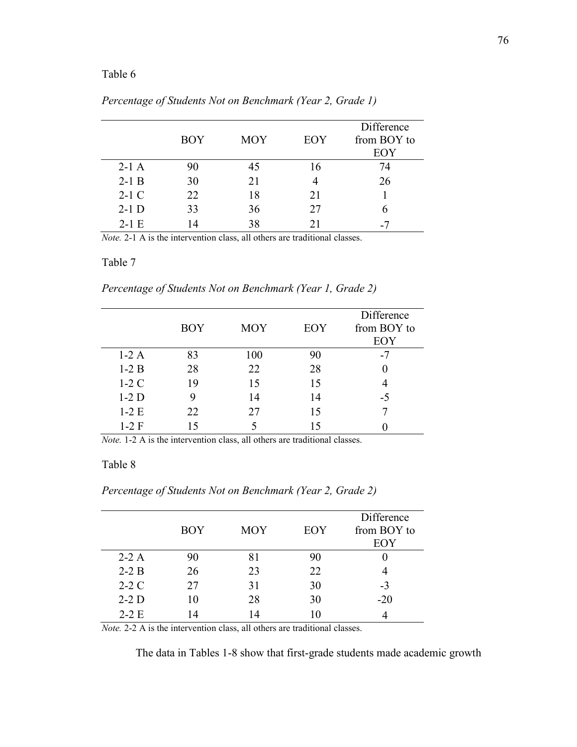## Table 6

|         | <b>BOY</b> | <b>MOY</b> | EOY | Difference<br>from BOY to<br>EOY |
|---------|------------|------------|-----|----------------------------------|
| $2-1$ A | 90         | 45         | 16  | 74                               |
| $2-1$ B | 30         | 21         |     | 26                               |
| $2-1$ C | 22         | 18         | 21  |                                  |
| $2-1$ D | 33         | 36         | 27  |                                  |
| $2-1E$  |            | 38         | 21  |                                  |

*Percentage of Students Not on Benchmark (Year 2, Grade 1)*

*Note.* 2-1 A is the intervention class, all others are traditional classes.

#### Table 7

*Percentage of Students Not on Benchmark (Year 1, Grade 2)*

|        | <b>BOY</b> | <b>MOY</b> | EOY | Difference<br>from BOY to<br>EOY |
|--------|------------|------------|-----|----------------------------------|
| $1-2A$ | 83         | 100        | 90  | $-7$                             |
| $1-2B$ | 28         | 22         | 28  |                                  |
| $1-2C$ | 19         | 15         | 15  |                                  |
| $1-2D$ | 9          | 14         | 14  | -5                               |
| $1-2E$ | 22         | 27         | 15  |                                  |
| $1-2F$ | 15         |            | 15  |                                  |

*Note.* 1-2 A is the intervention class, all others are traditional classes.

## Table 8

|         |            |            |     | Difference  |
|---------|------------|------------|-----|-------------|
|         | <b>BOY</b> | <b>MOY</b> | EOY | from BOY to |
|         |            |            |     | EOY         |
| $2-2$ A | 90         | ו א        | 90  |             |
| $2-2B$  | 26         | つく         | າາ  |             |

 $2-2$  C 27 31 30 -3  $2-2$  D  $10$   $28$   $30$   $-20$  $2-2 E$  14 14 10 4

*Percentage of Students Not on Benchmark (Year 2, Grade 2)*

*Note.* 2-2 A is the intervention class, all others are traditional classes.

The data in Tables 1-8 show that first-grade students made academic growth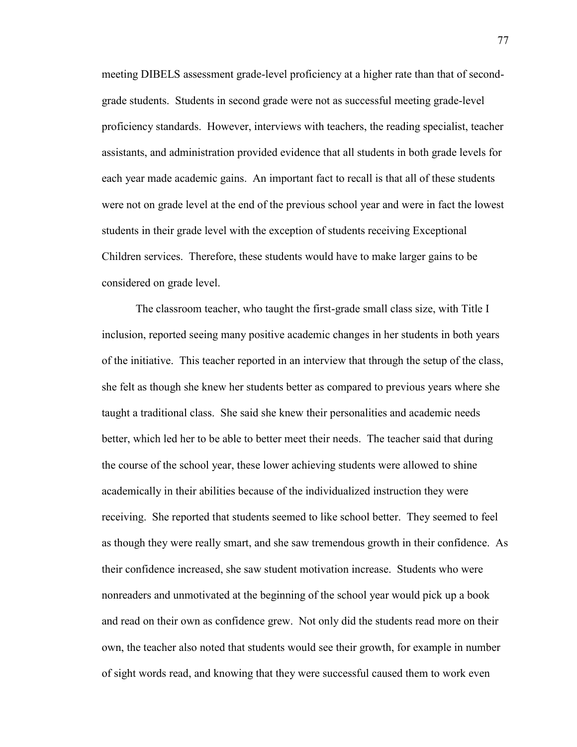meeting DIBELS assessment grade-level proficiency at a higher rate than that of secondgrade students. Students in second grade were not as successful meeting grade-level proficiency standards. However, interviews with teachers, the reading specialist, teacher assistants, and administration provided evidence that all students in both grade levels for each year made academic gains. An important fact to recall is that all of these students were not on grade level at the end of the previous school year and were in fact the lowest students in their grade level with the exception of students receiving Exceptional Children services. Therefore, these students would have to make larger gains to be considered on grade level.

The classroom teacher, who taught the first-grade small class size, with Title I inclusion, reported seeing many positive academic changes in her students in both years of the initiative. This teacher reported in an interview that through the setup of the class, she felt as though she knew her students better as compared to previous years where she taught a traditional class. She said she knew their personalities and academic needs better, which led her to be able to better meet their needs. The teacher said that during the course of the school year, these lower achieving students were allowed to shine academically in their abilities because of the individualized instruction they were receiving. She reported that students seemed to like school better. They seemed to feel as though they were really smart, and she saw tremendous growth in their confidence. As their confidence increased, she saw student motivation increase. Students who were nonreaders and unmotivated at the beginning of the school year would pick up a book and read on their own as confidence grew. Not only did the students read more on their own, the teacher also noted that students would see their growth, for example in number of sight words read, and knowing that they were successful caused them to work even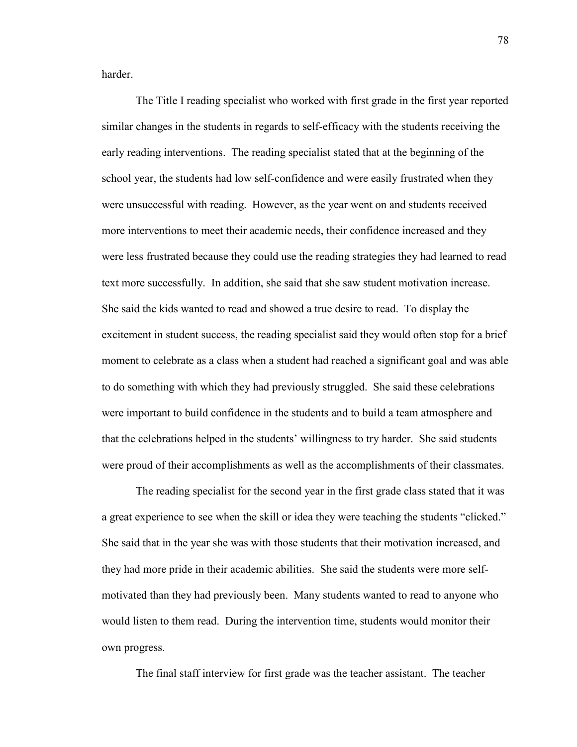harder.

The Title I reading specialist who worked with first grade in the first year reported similar changes in the students in regards to self-efficacy with the students receiving the early reading interventions. The reading specialist stated that at the beginning of the school year, the students had low self-confidence and were easily frustrated when they were unsuccessful with reading. However, as the year went on and students received more interventions to meet their academic needs, their confidence increased and they were less frustrated because they could use the reading strategies they had learned to read text more successfully. In addition, she said that she saw student motivation increase. She said the kids wanted to read and showed a true desire to read. To display the excitement in student success, the reading specialist said they would often stop for a brief moment to celebrate as a class when a student had reached a significant goal and was able to do something with which they had previously struggled. She said these celebrations were important to build confidence in the students and to build a team atmosphere and that the celebrations helped in the students' willingness to try harder. She said students were proud of their accomplishments as well as the accomplishments of their classmates.

The reading specialist for the second year in the first grade class stated that it was a great experience to see when the skill or idea they were teaching the students "clicked." She said that in the year she was with those students that their motivation increased, and they had more pride in their academic abilities. She said the students were more selfmotivated than they had previously been. Many students wanted to read to anyone who would listen to them read. During the intervention time, students would monitor their own progress.

The final staff interview for first grade was the teacher assistant. The teacher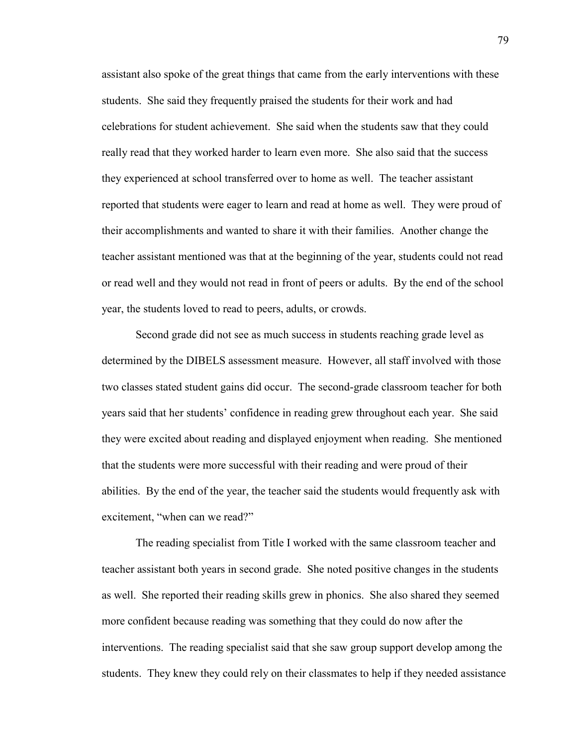assistant also spoke of the great things that came from the early interventions with these students. She said they frequently praised the students for their work and had celebrations for student achievement. She said when the students saw that they could really read that they worked harder to learn even more. She also said that the success they experienced at school transferred over to home as well. The teacher assistant reported that students were eager to learn and read at home as well. They were proud of their accomplishments and wanted to share it with their families. Another change the teacher assistant mentioned was that at the beginning of the year, students could not read or read well and they would not read in front of peers or adults. By the end of the school year, the students loved to read to peers, adults, or crowds.

Second grade did not see as much success in students reaching grade level as determined by the DIBELS assessment measure. However, all staff involved with those two classes stated student gains did occur. The second-grade classroom teacher for both years said that her students' confidence in reading grew throughout each year. She said they were excited about reading and displayed enjoyment when reading. She mentioned that the students were more successful with their reading and were proud of their abilities. By the end of the year, the teacher said the students would frequently ask with excitement, "when can we read?"

The reading specialist from Title I worked with the same classroom teacher and teacher assistant both years in second grade. She noted positive changes in the students as well. She reported their reading skills grew in phonics. She also shared they seemed more confident because reading was something that they could do now after the interventions. The reading specialist said that she saw group support develop among the students. They knew they could rely on their classmates to help if they needed assistance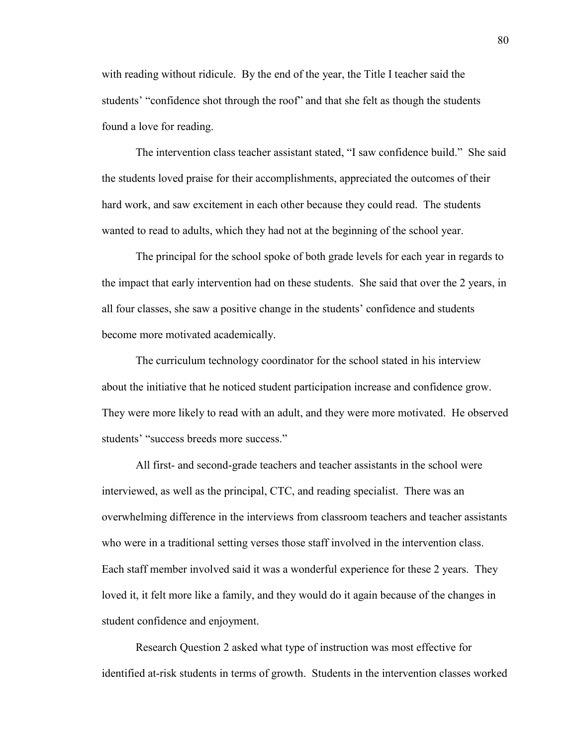with reading without ridicule. By the end of the year, the Title I teacher said the students' "confidence shot through the roof" and that she felt as though the students found a love for reading.

The intervention class teacher assistant stated, "I saw confidence build." She said the students loved praise for their accomplishments, appreciated the outcomes of their hard work, and saw excitement in each other because they could read. The students wanted to read to adults, which they had not at the beginning of the school year.

The principal for the school spoke of both grade levels for each year in regards to the impact that early intervention had on these students. She said that over the 2 years, in all four classes, she saw a positive change in the students' confidence and students become more motivated academically.

The curriculum technology coordinator for the school stated in his interview about the initiative that he noticed student participation increase and confidence grow. They were more likely to read with an adult, and they were more motivated. He observed students' "success breeds more success."

All first- and second-grade teachers and teacher assistants in the school were interviewed, as well as the principal, CTC, and reading specialist. There was an overwhelming difference in the interviews from classroom teachers and teacher assistants who were in a traditional setting verses those staff involved in the intervention class. Each staff member involved said it was a wonderful experience for these 2 years. They loved it, it felt more like a family, and they would do it again because of the changes in student confidence and enjoyment.

Research Question 2 asked what type of instruction was most effective for identified at-risk students in terms of growth. Students in the intervention classes worked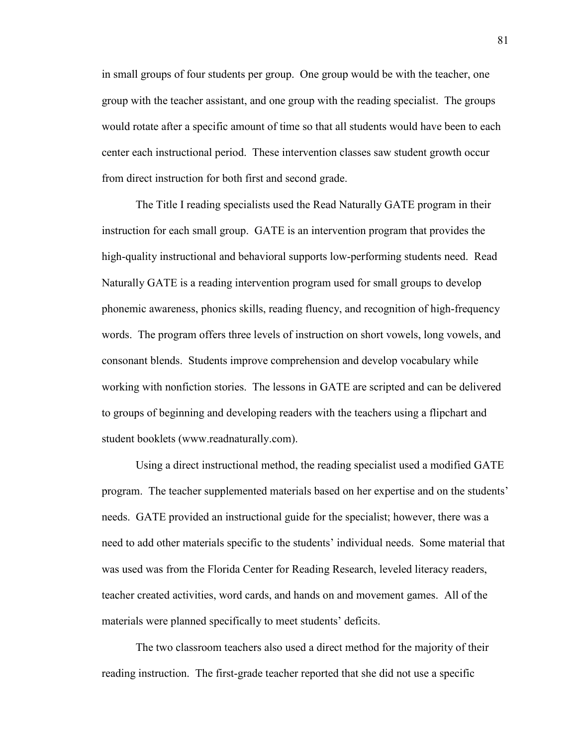in small groups of four students per group. One group would be with the teacher, one group with the teacher assistant, and one group with the reading specialist. The groups would rotate after a specific amount of time so that all students would have been to each center each instructional period. These intervention classes saw student growth occur from direct instruction for both first and second grade.

The Title I reading specialists used the Read Naturally GATE program in their instruction for each small group. GATE is an intervention program that provides the high-quality instructional and behavioral supports low-performing students need. Read Naturally GATE is a reading intervention program used for small groups to develop phonemic awareness, phonics skills, reading fluency, and recognition of high-frequency words. The program offers three levels of instruction on short vowels, long vowels, and consonant blends. Students improve comprehension and develop vocabulary while working with nonfiction stories. The lessons in GATE are scripted and can be delivered to groups of beginning and developing readers with the teachers using a flipchart and student booklets (www.readnaturally.com).

Using a direct instructional method, the reading specialist used a modified GATE program. The teacher supplemented materials based on her expertise and on the students' needs. GATE provided an instructional guide for the specialist; however, there was a need to add other materials specific to the students' individual needs. Some material that was used was from the Florida Center for Reading Research, leveled literacy readers, teacher created activities, word cards, and hands on and movement games. All of the materials were planned specifically to meet students' deficits.

The two classroom teachers also used a direct method for the majority of their reading instruction. The first-grade teacher reported that she did not use a specific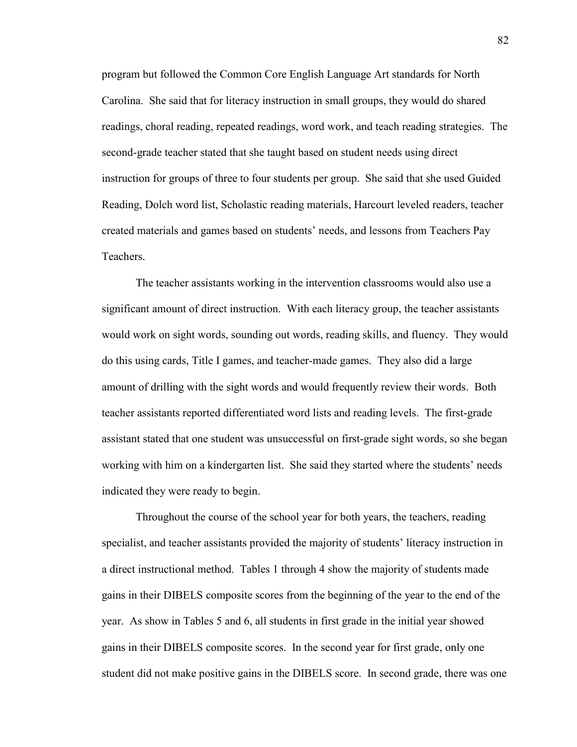program but followed the Common Core English Language Art standards for North Carolina. She said that for literacy instruction in small groups, they would do shared readings, choral reading, repeated readings, word work, and teach reading strategies. The second-grade teacher stated that she taught based on student needs using direct instruction for groups of three to four students per group. She said that she used Guided Reading, Dolch word list, Scholastic reading materials, Harcourt leveled readers, teacher created materials and games based on students' needs, and lessons from Teachers Pay **Teachers** 

The teacher assistants working in the intervention classrooms would also use a significant amount of direct instruction. With each literacy group, the teacher assistants would work on sight words, sounding out words, reading skills, and fluency. They would do this using cards, Title I games, and teacher-made games. They also did a large amount of drilling with the sight words and would frequently review their words. Both teacher assistants reported differentiated word lists and reading levels. The first-grade assistant stated that one student was unsuccessful on first-grade sight words, so she began working with him on a kindergarten list. She said they started where the students' needs indicated they were ready to begin.

Throughout the course of the school year for both years, the teachers, reading specialist, and teacher assistants provided the majority of students' literacy instruction in a direct instructional method. Tables 1 through 4 show the majority of students made gains in their DIBELS composite scores from the beginning of the year to the end of the year. As show in Tables 5 and 6, all students in first grade in the initial year showed gains in their DIBELS composite scores. In the second year for first grade, only one student did not make positive gains in the DIBELS score. In second grade, there was one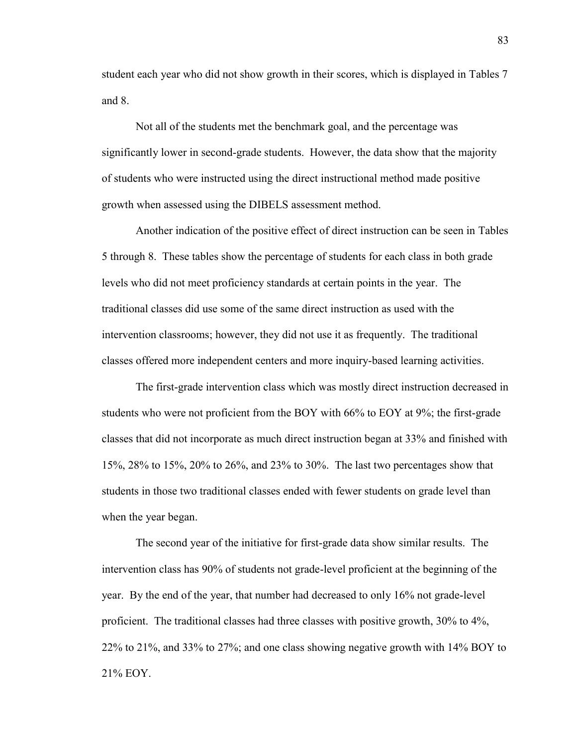student each year who did not show growth in their scores, which is displayed in Tables 7 and 8.

Not all of the students met the benchmark goal, and the percentage was significantly lower in second-grade students. However, the data show that the majority of students who were instructed using the direct instructional method made positive growth when assessed using the DIBELS assessment method.

Another indication of the positive effect of direct instruction can be seen in Tables 5 through 8. These tables show the percentage of students for each class in both grade levels who did not meet proficiency standards at certain points in the year. The traditional classes did use some of the same direct instruction as used with the intervention classrooms; however, they did not use it as frequently. The traditional classes offered more independent centers and more inquiry-based learning activities.

The first-grade intervention class which was mostly direct instruction decreased in students who were not proficient from the BOY with 66% to EOY at 9%; the first-grade classes that did not incorporate as much direct instruction began at 33% and finished with 15%, 28% to 15%, 20% to 26%, and 23% to 30%. The last two percentages show that students in those two traditional classes ended with fewer students on grade level than when the year began.

The second year of the initiative for first-grade data show similar results. The intervention class has 90% of students not grade-level proficient at the beginning of the year. By the end of the year, that number had decreased to only 16% not grade-level proficient. The traditional classes had three classes with positive growth, 30% to 4%, 22% to 21%, and 33% to 27%; and one class showing negative growth with 14% BOY to 21% EOY.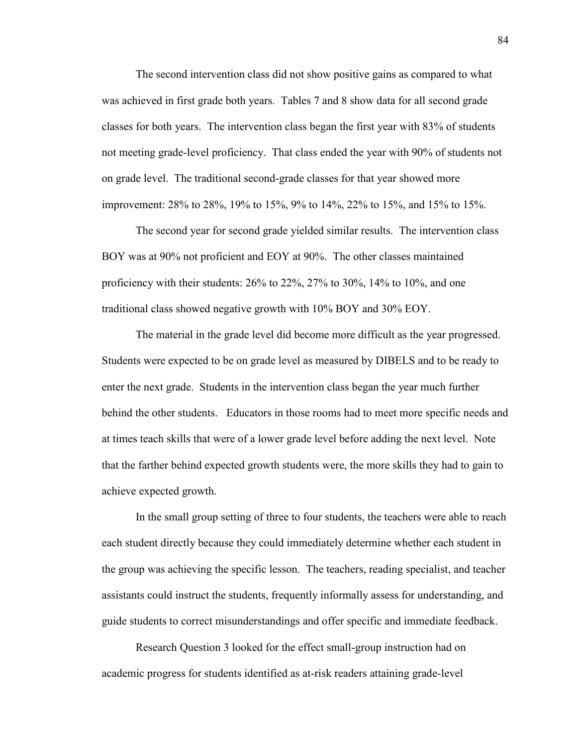The second intervention class did not show positive gains as compared to what was achieved in first grade both years. Tables 7 and 8 show data for all second grade classes for both years. The intervention class began the first year with 83% of students not meeting grade-level proficiency. That class ended the year with 90% of students not on grade level. The traditional second-grade classes for that year showed more improvement: 28% to 28%, 19% to 15%, 9% to 14%, 22% to 15%, and 15% to 15%.

The second year for second grade yielded similar results. The intervention class BOY was at 90% not proficient and EOY at 90%. The other classes maintained proficiency with their students: 26% to 22%, 27% to 30%, 14% to 10%, and one traditional class showed negative growth with 10% BOY and 30% EOY.

The material in the grade level did become more difficult as the year progressed. Students were expected to be on grade level as measured by DIBELS and to be ready to enter the next grade. Students in the intervention class began the year much further behind the other students. Educators in those rooms had to meet more specific needs and at times teach skills that were of a lower grade level before adding the next level. Note that the farther behind expected growth students were, the more skills they had to gain to achieve expected growth.

In the small group setting of three to four students, the teachers were able to reach each student directly because they could immediately determine whether each student in the group was achieving the specific lesson. The teachers, reading specialist, and teacher assistants could instruct the students, frequently informally assess for understanding, and guide students to correct misunderstandings and offer specific and immediate feedback.

Research Question 3 looked for the effect small-group instruction had on academic progress for students identified as at-risk readers attaining grade-level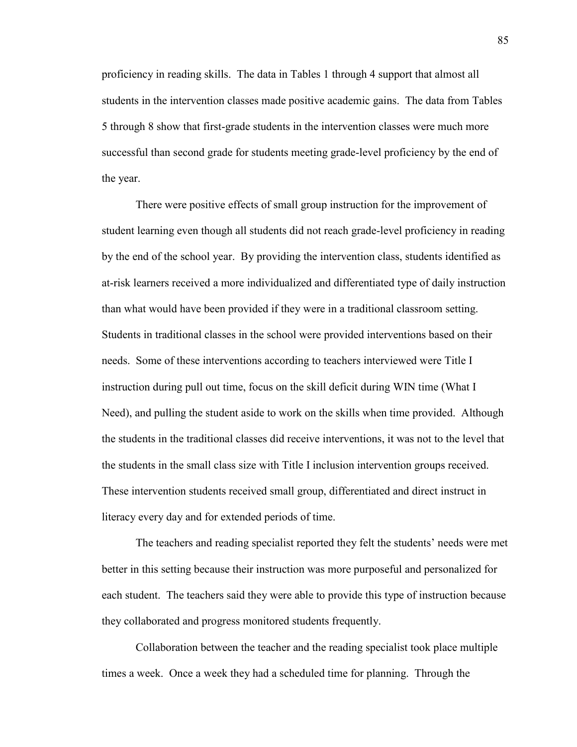proficiency in reading skills. The data in Tables 1 through 4 support that almost all students in the intervention classes made positive academic gains. The data from Tables 5 through 8 show that first-grade students in the intervention classes were much more successful than second grade for students meeting grade-level proficiency by the end of the year.

There were positive effects of small group instruction for the improvement of student learning even though all students did not reach grade-level proficiency in reading by the end of the school year. By providing the intervention class, students identified as at-risk learners received a more individualized and differentiated type of daily instruction than what would have been provided if they were in a traditional classroom setting. Students in traditional classes in the school were provided interventions based on their needs. Some of these interventions according to teachers interviewed were Title I instruction during pull out time, focus on the skill deficit during WIN time (What I Need), and pulling the student aside to work on the skills when time provided. Although the students in the traditional classes did receive interventions, it was not to the level that the students in the small class size with Title I inclusion intervention groups received. These intervention students received small group, differentiated and direct instruct in literacy every day and for extended periods of time.

The teachers and reading specialist reported they felt the students' needs were met better in this setting because their instruction was more purposeful and personalized for each student. The teachers said they were able to provide this type of instruction because they collaborated and progress monitored students frequently.

Collaboration between the teacher and the reading specialist took place multiple times a week. Once a week they had a scheduled time for planning. Through the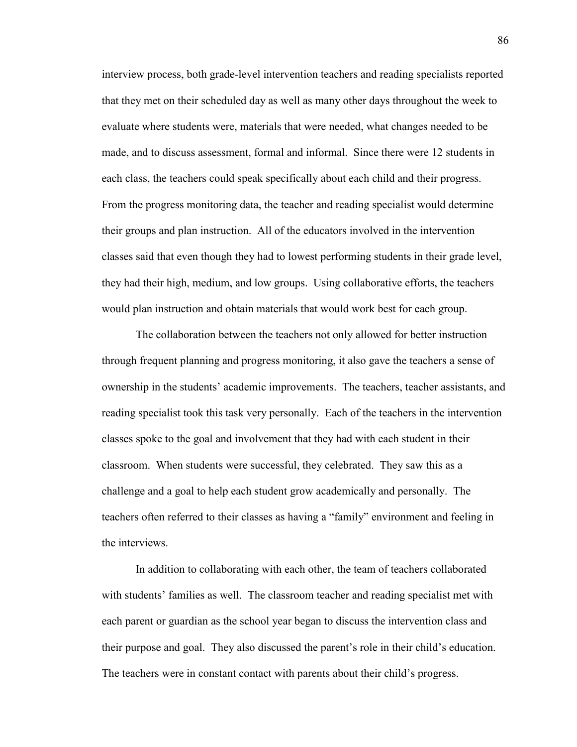interview process, both grade-level intervention teachers and reading specialists reported that they met on their scheduled day as well as many other days throughout the week to evaluate where students were, materials that were needed, what changes needed to be made, and to discuss assessment, formal and informal. Since there were 12 students in each class, the teachers could speak specifically about each child and their progress. From the progress monitoring data, the teacher and reading specialist would determine their groups and plan instruction. All of the educators involved in the intervention classes said that even though they had to lowest performing students in their grade level, they had their high, medium, and low groups. Using collaborative efforts, the teachers would plan instruction and obtain materials that would work best for each group.

The collaboration between the teachers not only allowed for better instruction through frequent planning and progress monitoring, it also gave the teachers a sense of ownership in the students' academic improvements. The teachers, teacher assistants, and reading specialist took this task very personally. Each of the teachers in the intervention classes spoke to the goal and involvement that they had with each student in their classroom. When students were successful, they celebrated. They saw this as a challenge and a goal to help each student grow academically and personally. The teachers often referred to their classes as having a "family" environment and feeling in the interviews.

In addition to collaborating with each other, the team of teachers collaborated with students' families as well. The classroom teacher and reading specialist met with each parent or guardian as the school year began to discuss the intervention class and their purpose and goal. They also discussed the parent's role in their child's education. The teachers were in constant contact with parents about their child's progress.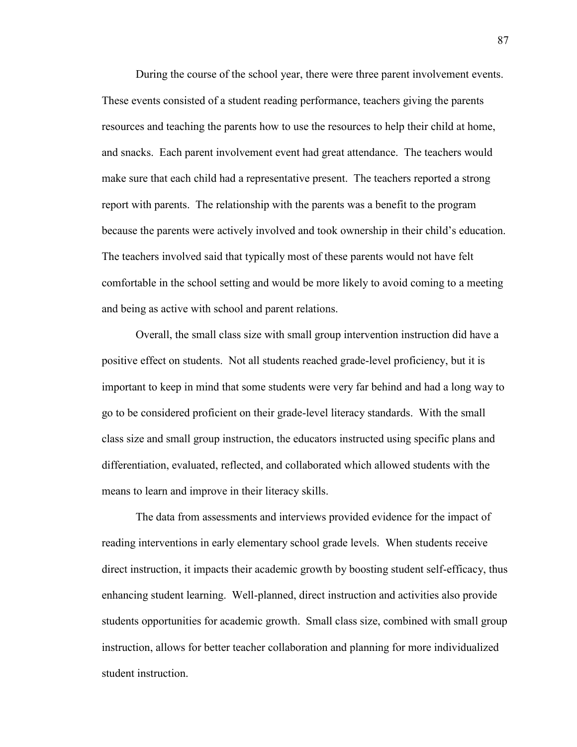During the course of the school year, there were three parent involvement events. These events consisted of a student reading performance, teachers giving the parents resources and teaching the parents how to use the resources to help their child at home, and snacks. Each parent involvement event had great attendance. The teachers would make sure that each child had a representative present. The teachers reported a strong report with parents. The relationship with the parents was a benefit to the program because the parents were actively involved and took ownership in their child's education. The teachers involved said that typically most of these parents would not have felt comfortable in the school setting and would be more likely to avoid coming to a meeting and being as active with school and parent relations.

Overall, the small class size with small group intervention instruction did have a positive effect on students. Not all students reached grade-level proficiency, but it is important to keep in mind that some students were very far behind and had a long way to go to be considered proficient on their grade-level literacy standards. With the small class size and small group instruction, the educators instructed using specific plans and differentiation, evaluated, reflected, and collaborated which allowed students with the means to learn and improve in their literacy skills.

The data from assessments and interviews provided evidence for the impact of reading interventions in early elementary school grade levels. When students receive direct instruction, it impacts their academic growth by boosting student self-efficacy, thus enhancing student learning. Well-planned, direct instruction and activities also provide students opportunities for academic growth. Small class size, combined with small group instruction, allows for better teacher collaboration and planning for more individualized student instruction.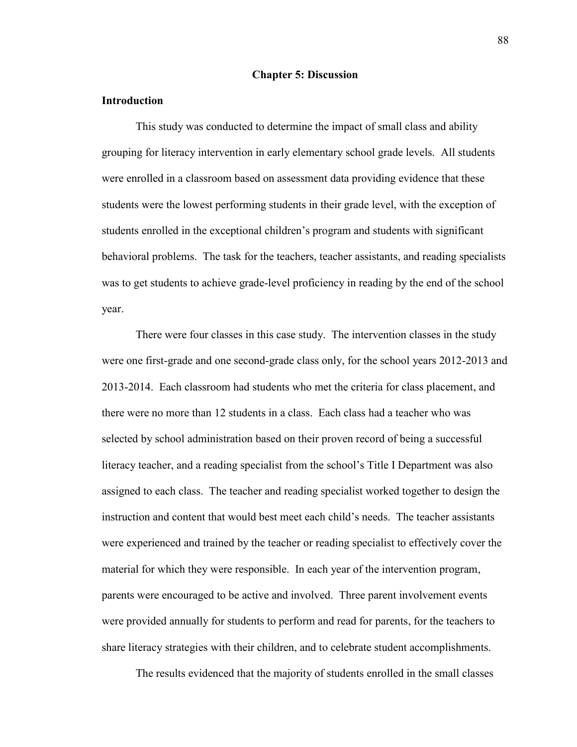#### **Chapter 5: Discussion**

## **Introduction**

This study was conducted to determine the impact of small class and ability grouping for literacy intervention in early elementary school grade levels. All students were enrolled in a classroom based on assessment data providing evidence that these students were the lowest performing students in their grade level, with the exception of students enrolled in the exceptional children's program and students with significant behavioral problems. The task for the teachers, teacher assistants, and reading specialists was to get students to achieve grade-level proficiency in reading by the end of the school year.

There were four classes in this case study. The intervention classes in the study were one first-grade and one second-grade class only, for the school years 2012-2013 and 2013-2014. Each classroom had students who met the criteria for class placement, and there were no more than 12 students in a class. Each class had a teacher who was selected by school administration based on their proven record of being a successful literacy teacher, and a reading specialist from the school's Title I Department was also assigned to each class. The teacher and reading specialist worked together to design the instruction and content that would best meet each child's needs. The teacher assistants were experienced and trained by the teacher or reading specialist to effectively cover the material for which they were responsible. In each year of the intervention program, parents were encouraged to be active and involved. Three parent involvement events were provided annually for students to perform and read for parents, for the teachers to share literacy strategies with their children, and to celebrate student accomplishments.

The results evidenced that the majority of students enrolled in the small classes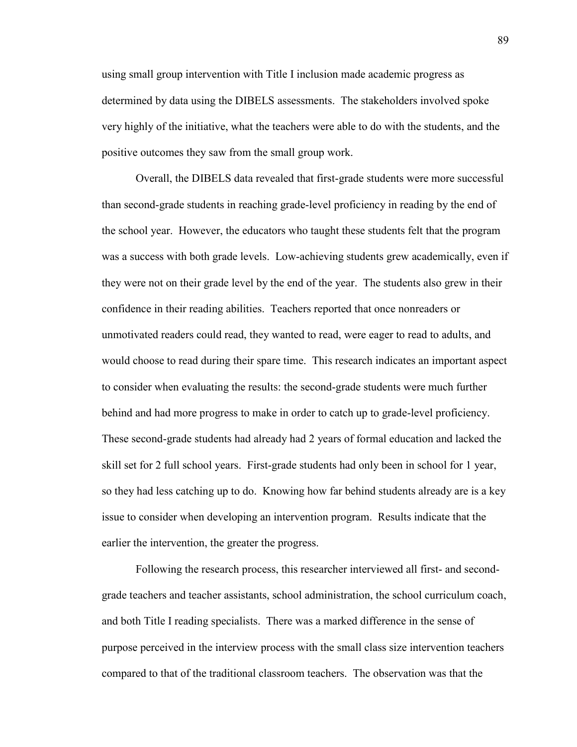using small group intervention with Title I inclusion made academic progress as determined by data using the DIBELS assessments. The stakeholders involved spoke very highly of the initiative, what the teachers were able to do with the students, and the positive outcomes they saw from the small group work.

Overall, the DIBELS data revealed that first-grade students were more successful than second-grade students in reaching grade-level proficiency in reading by the end of the school year. However, the educators who taught these students felt that the program was a success with both grade levels. Low-achieving students grew academically, even if they were not on their grade level by the end of the year. The students also grew in their confidence in their reading abilities. Teachers reported that once nonreaders or unmotivated readers could read, they wanted to read, were eager to read to adults, and would choose to read during their spare time. This research indicates an important aspect to consider when evaluating the results: the second-grade students were much further behind and had more progress to make in order to catch up to grade-level proficiency. These second-grade students had already had 2 years of formal education and lacked the skill set for 2 full school years. First-grade students had only been in school for 1 year, so they had less catching up to do. Knowing how far behind students already are is a key issue to consider when developing an intervention program. Results indicate that the earlier the intervention, the greater the progress.

Following the research process, this researcher interviewed all first- and secondgrade teachers and teacher assistants, school administration, the school curriculum coach, and both Title I reading specialists. There was a marked difference in the sense of purpose perceived in the interview process with the small class size intervention teachers compared to that of the traditional classroom teachers. The observation was that the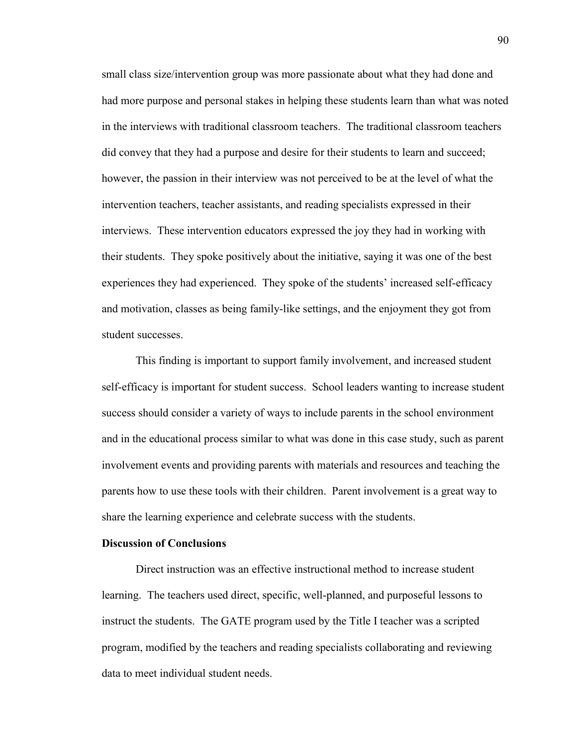small class size/intervention group was more passionate about what they had done and had more purpose and personal stakes in helping these students learn than what was noted in the interviews with traditional classroom teachers. The traditional classroom teachers did convey that they had a purpose and desire for their students to learn and succeed; however, the passion in their interview was not perceived to be at the level of what the intervention teachers, teacher assistants, and reading specialists expressed in their interviews. These intervention educators expressed the joy they had in working with their students. They spoke positively about the initiative, saying it was one of the best experiences they had experienced. They spoke of the students' increased self-efficacy and motivation, classes as being family-like settings, and the enjoyment they got from student successes.

This finding is important to support family involvement, and increased student self-efficacy is important for student success. School leaders wanting to increase student success should consider a variety of ways to include parents in the school environment and in the educational process similar to what was done in this case study, such as parent involvement events and providing parents with materials and resources and teaching the parents how to use these tools with their children. Parent involvement is a great way to share the learning experience and celebrate success with the students.

## **Discussion of Conclusions**

Direct instruction was an effective instructional method to increase student learning. The teachers used direct, specific, well-planned, and purposeful lessons to instruct the students. The GATE program used by the Title I teacher was a scripted program, modified by the teachers and reading specialists collaborating and reviewing data to meet individual student needs.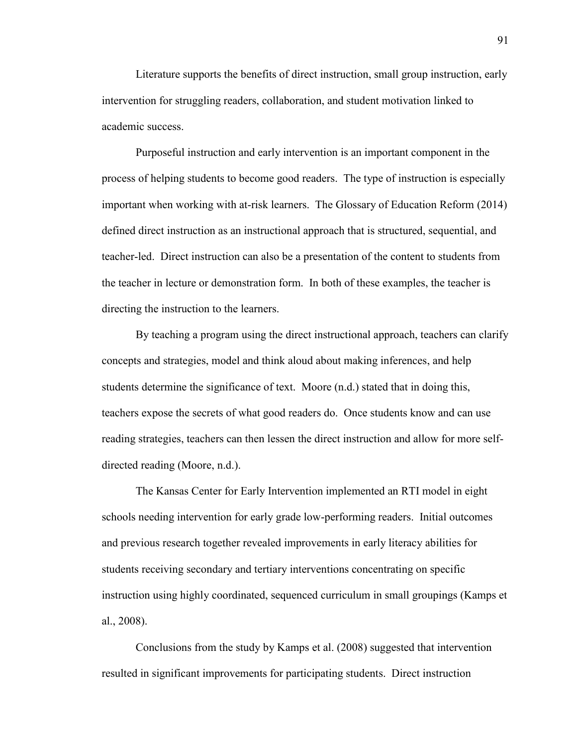Literature supports the benefits of direct instruction, small group instruction, early intervention for struggling readers, collaboration, and student motivation linked to academic success.

Purposeful instruction and early intervention is an important component in the process of helping students to become good readers. The type of instruction is especially important when working with at-risk learners. The Glossary of Education Reform (2014) defined direct instruction as an instructional approach that is structured, sequential, and teacher-led. Direct instruction can also be a presentation of the content to students from the teacher in lecture or demonstration form. In both of these examples, the teacher is directing the instruction to the learners.

By teaching a program using the direct instructional approach, teachers can clarify concepts and strategies, model and think aloud about making inferences, and help students determine the significance of text. Moore (n.d.) stated that in doing this, teachers expose the secrets of what good readers do. Once students know and can use reading strategies, teachers can then lessen the direct instruction and allow for more selfdirected reading (Moore, n.d.).

The Kansas Center for Early Intervention implemented an RTI model in eight schools needing intervention for early grade low-performing readers. Initial outcomes and previous research together revealed improvements in early literacy abilities for students receiving secondary and tertiary interventions concentrating on specific instruction using highly coordinated, sequenced curriculum in small groupings (Kamps et al., 2008).

Conclusions from the study by Kamps et al. (2008) suggested that intervention resulted in significant improvements for participating students. Direct instruction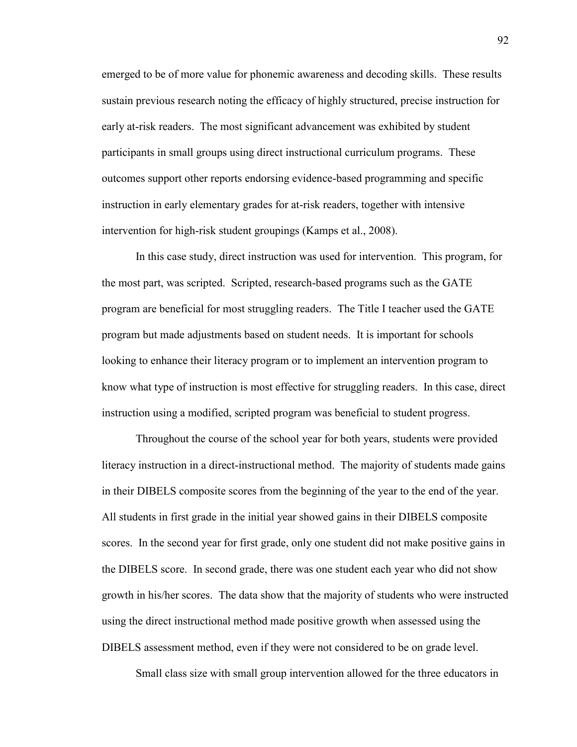emerged to be of more value for phonemic awareness and decoding skills. These results sustain previous research noting the efficacy of highly structured, precise instruction for early at-risk readers. The most significant advancement was exhibited by student participants in small groups using direct instructional curriculum programs. These outcomes support other reports endorsing evidence-based programming and specific instruction in early elementary grades for at-risk readers, together with intensive intervention for high-risk student groupings (Kamps et al., 2008).

In this case study, direct instruction was used for intervention. This program, for the most part, was scripted. Scripted, research-based programs such as the GATE program are beneficial for most struggling readers. The Title I teacher used the GATE program but made adjustments based on student needs. It is important for schools looking to enhance their literacy program or to implement an intervention program to know what type of instruction is most effective for struggling readers. In this case, direct instruction using a modified, scripted program was beneficial to student progress.

Throughout the course of the school year for both years, students were provided literacy instruction in a direct-instructional method. The majority of students made gains in their DIBELS composite scores from the beginning of the year to the end of the year. All students in first grade in the initial year showed gains in their DIBELS composite scores. In the second year for first grade, only one student did not make positive gains in the DIBELS score. In second grade, there was one student each year who did not show growth in his/her scores. The data show that the majority of students who were instructed using the direct instructional method made positive growth when assessed using the DIBELS assessment method, even if they were not considered to be on grade level.

Small class size with small group intervention allowed for the three educators in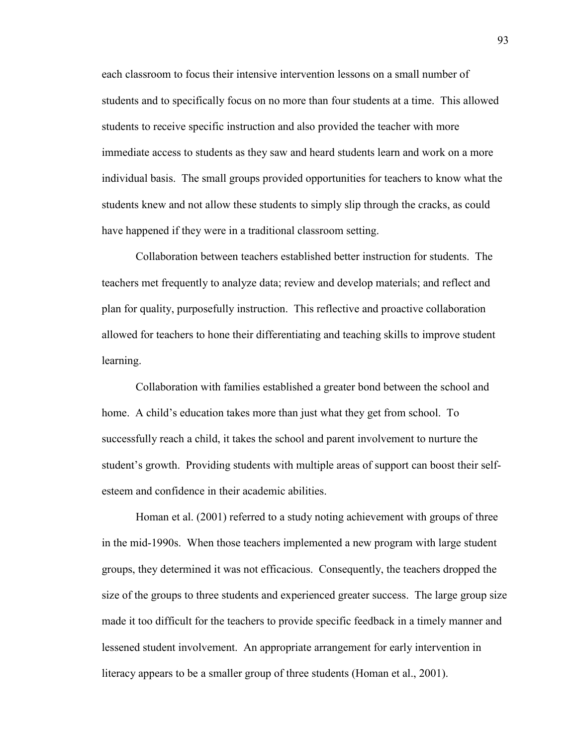each classroom to focus their intensive intervention lessons on a small number of students and to specifically focus on no more than four students at a time. This allowed students to receive specific instruction and also provided the teacher with more immediate access to students as they saw and heard students learn and work on a more individual basis. The small groups provided opportunities for teachers to know what the students knew and not allow these students to simply slip through the cracks, as could have happened if they were in a traditional classroom setting.

Collaboration between teachers established better instruction for students. The teachers met frequently to analyze data; review and develop materials; and reflect and plan for quality, purposefully instruction. This reflective and proactive collaboration allowed for teachers to hone their differentiating and teaching skills to improve student learning.

Collaboration with families established a greater bond between the school and home. A child's education takes more than just what they get from school. To successfully reach a child, it takes the school and parent involvement to nurture the student's growth. Providing students with multiple areas of support can boost their selfesteem and confidence in their academic abilities.

Homan et al. (2001) referred to a study noting achievement with groups of three in the mid-1990s. When those teachers implemented a new program with large student groups, they determined it was not efficacious. Consequently, the teachers dropped the size of the groups to three students and experienced greater success. The large group size made it too difficult for the teachers to provide specific feedback in a timely manner and lessened student involvement. An appropriate arrangement for early intervention in literacy appears to be a smaller group of three students (Homan et al., 2001).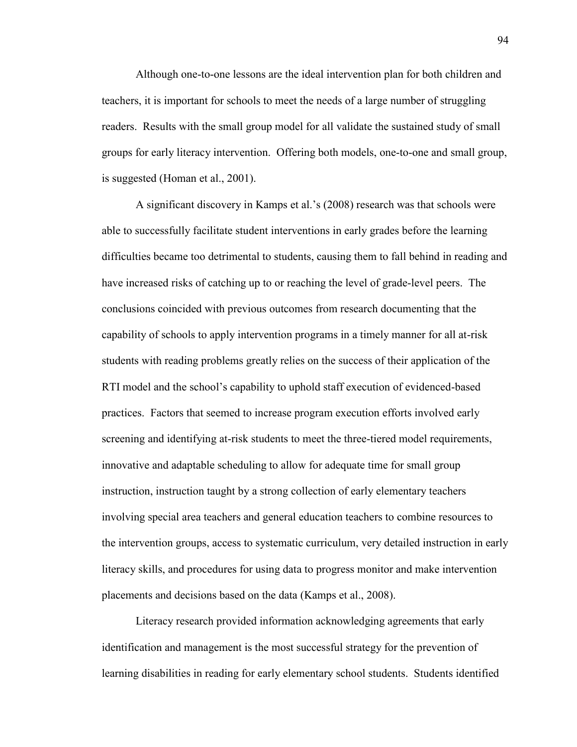Although one-to-one lessons are the ideal intervention plan for both children and teachers, it is important for schools to meet the needs of a large number of struggling readers. Results with the small group model for all validate the sustained study of small groups for early literacy intervention. Offering both models, one-to-one and small group, is suggested (Homan et al., 2001).

A significant discovery in Kamps et al.'s (2008) research was that schools were able to successfully facilitate student interventions in early grades before the learning difficulties became too detrimental to students, causing them to fall behind in reading and have increased risks of catching up to or reaching the level of grade-level peers. The conclusions coincided with previous outcomes from research documenting that the capability of schools to apply intervention programs in a timely manner for all at-risk students with reading problems greatly relies on the success of their application of the RTI model and the school's capability to uphold staff execution of evidenced-based practices. Factors that seemed to increase program execution efforts involved early screening and identifying at-risk students to meet the three-tiered model requirements, innovative and adaptable scheduling to allow for adequate time for small group instruction, instruction taught by a strong collection of early elementary teachers involving special area teachers and general education teachers to combine resources to the intervention groups, access to systematic curriculum, very detailed instruction in early literacy skills, and procedures for using data to progress monitor and make intervention placements and decisions based on the data (Kamps et al., 2008).

Literacy research provided information acknowledging agreements that early identification and management is the most successful strategy for the prevention of learning disabilities in reading for early elementary school students. Students identified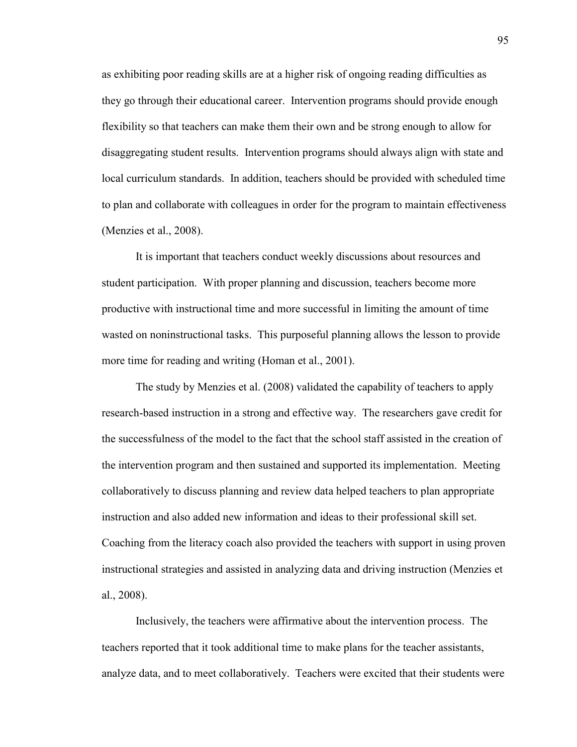as exhibiting poor reading skills are at a higher risk of ongoing reading difficulties as they go through their educational career. Intervention programs should provide enough flexibility so that teachers can make them their own and be strong enough to allow for disaggregating student results. Intervention programs should always align with state and local curriculum standards. In addition, teachers should be provided with scheduled time to plan and collaborate with colleagues in order for the program to maintain effectiveness (Menzies et al., 2008).

It is important that teachers conduct weekly discussions about resources and student participation. With proper planning and discussion, teachers become more productive with instructional time and more successful in limiting the amount of time wasted on noninstructional tasks. This purposeful planning allows the lesson to provide more time for reading and writing (Homan et al., 2001).

The study by Menzies et al. (2008) validated the capability of teachers to apply research-based instruction in a strong and effective way. The researchers gave credit for the successfulness of the model to the fact that the school staff assisted in the creation of the intervention program and then sustained and supported its implementation. Meeting collaboratively to discuss planning and review data helped teachers to plan appropriate instruction and also added new information and ideas to their professional skill set. Coaching from the literacy coach also provided the teachers with support in using proven instructional strategies and assisted in analyzing data and driving instruction (Menzies et al., 2008).

Inclusively, the teachers were affirmative about the intervention process. The teachers reported that it took additional time to make plans for the teacher assistants, analyze data, and to meet collaboratively. Teachers were excited that their students were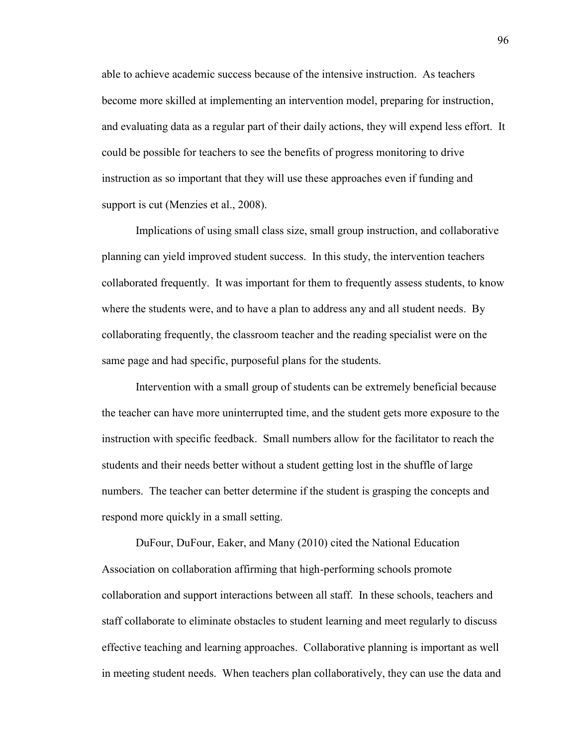able to achieve academic success because of the intensive instruction. As teachers become more skilled at implementing an intervention model, preparing for instruction, and evaluating data as a regular part of their daily actions, they will expend less effort. It could be possible for teachers to see the benefits of progress monitoring to drive instruction as so important that they will use these approaches even if funding and support is cut (Menzies et al., 2008).

Implications of using small class size, small group instruction, and collaborative planning can yield improved student success. In this study, the intervention teachers collaborated frequently. It was important for them to frequently assess students, to know where the students were, and to have a plan to address any and all student needs. By collaborating frequently, the classroom teacher and the reading specialist were on the same page and had specific, purposeful plans for the students.

Intervention with a small group of students can be extremely beneficial because the teacher can have more uninterrupted time, and the student gets more exposure to the instruction with specific feedback. Small numbers allow for the facilitator to reach the students and their needs better without a student getting lost in the shuffle of large numbers. The teacher can better determine if the student is grasping the concepts and respond more quickly in a small setting.

DuFour, DuFour, Eaker, and Many (2010) cited the National Education Association on collaboration affirming that high-performing schools promote collaboration and support interactions between all staff. In these schools, teachers and staff collaborate to eliminate obstacles to student learning and meet regularly to discuss effective teaching and learning approaches. Collaborative planning is important as well in meeting student needs. When teachers plan collaboratively, they can use the data and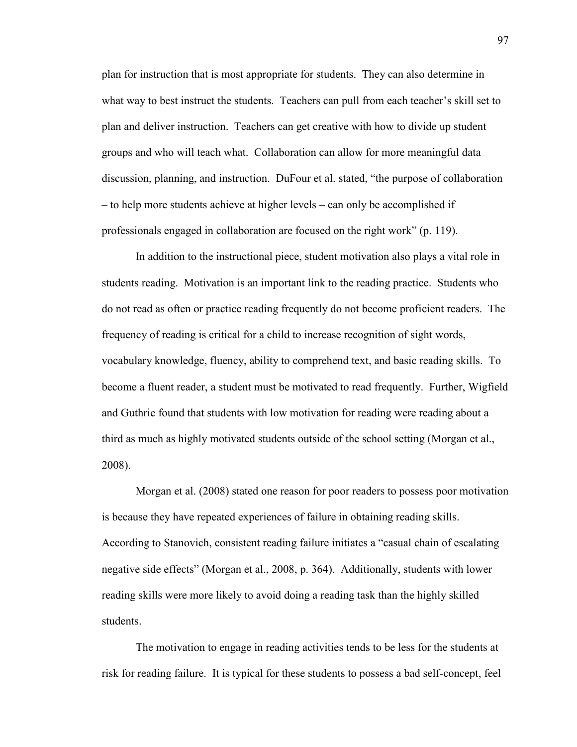plan for instruction that is most appropriate for students. They can also determine in what way to best instruct the students. Teachers can pull from each teacher's skill set to plan and deliver instruction. Teachers can get creative with how to divide up student groups and who will teach what. Collaboration can allow for more meaningful data discussion, planning, and instruction. DuFour et al. stated, "the purpose of collaboration – to help more students achieve at higher levels – can only be accomplished if professionals engaged in collaboration are focused on the right work" (p. 119).

In addition to the instructional piece, student motivation also plays a vital role in students reading. Motivation is an important link to the reading practice. Students who do not read as often or practice reading frequently do not become proficient readers. The frequency of reading is critical for a child to increase recognition of sight words, vocabulary knowledge, fluency, ability to comprehend text, and basic reading skills. To become a fluent reader, a student must be motivated to read frequently. Further, Wigfield and Guthrie found that students with low motivation for reading were reading about a third as much as highly motivated students outside of the school setting (Morgan et al., 2008).

Morgan et al. (2008) stated one reason for poor readers to possess poor motivation is because they have repeated experiences of failure in obtaining reading skills. According to Stanovich, consistent reading failure initiates a "casual chain of escalating negative side effects" (Morgan et al., 2008, p. 364). Additionally, students with lower reading skills were more likely to avoid doing a reading task than the highly skilled students.

The motivation to engage in reading activities tends to be less for the students at risk for reading failure. It is typical for these students to possess a bad self-concept, feel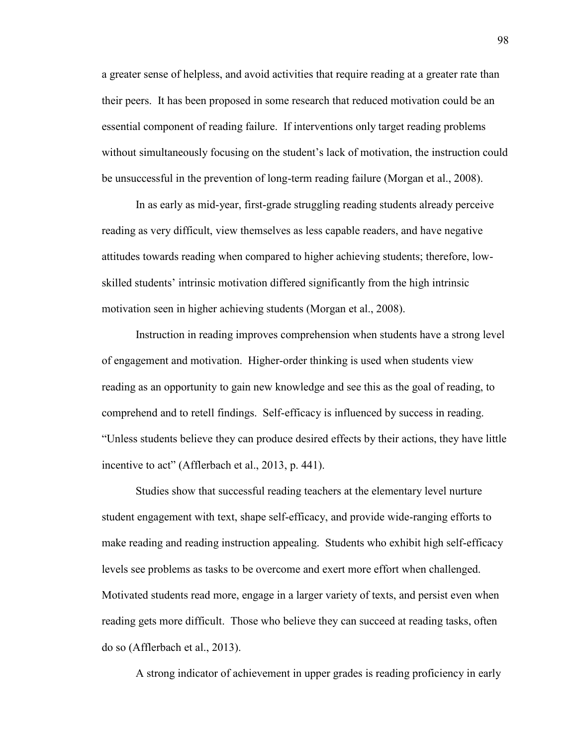a greater sense of helpless, and avoid activities that require reading at a greater rate than their peers. It has been proposed in some research that reduced motivation could be an essential component of reading failure. If interventions only target reading problems without simultaneously focusing on the student's lack of motivation, the instruction could be unsuccessful in the prevention of long-term reading failure (Morgan et al., 2008).

In as early as mid-year, first-grade struggling reading students already perceive reading as very difficult, view themselves as less capable readers, and have negative attitudes towards reading when compared to higher achieving students; therefore, lowskilled students' intrinsic motivation differed significantly from the high intrinsic motivation seen in higher achieving students (Morgan et al., 2008).

Instruction in reading improves comprehension when students have a strong level of engagement and motivation. Higher-order thinking is used when students view reading as an opportunity to gain new knowledge and see this as the goal of reading, to comprehend and to retell findings. Self-efficacy is influenced by success in reading. "Unless students believe they can produce desired effects by their actions, they have little incentive to act" (Afflerbach et al., 2013, p. 441).

Studies show that successful reading teachers at the elementary level nurture student engagement with text, shape self-efficacy, and provide wide-ranging efforts to make reading and reading instruction appealing. Students who exhibit high self-efficacy levels see problems as tasks to be overcome and exert more effort when challenged. Motivated students read more, engage in a larger variety of texts, and persist even when reading gets more difficult. Those who believe they can succeed at reading tasks, often do so (Afflerbach et al., 2013).

A strong indicator of achievement in upper grades is reading proficiency in early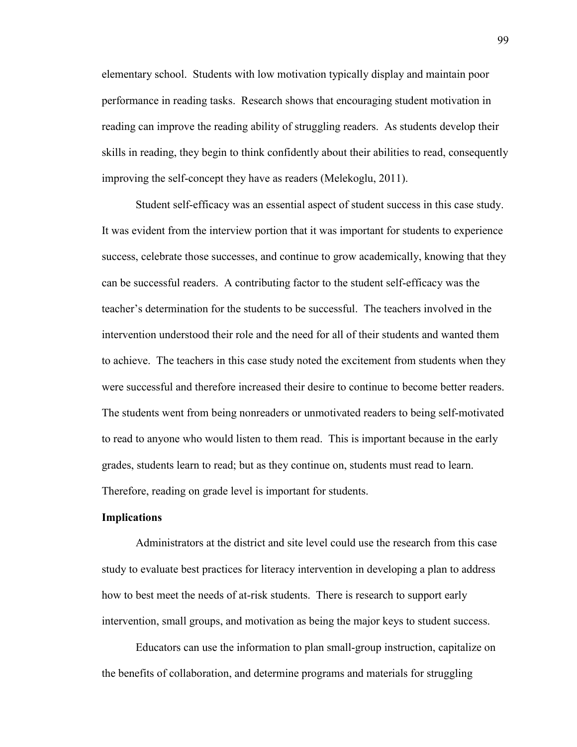elementary school. Students with low motivation typically display and maintain poor performance in reading tasks. Research shows that encouraging student motivation in reading can improve the reading ability of struggling readers. As students develop their skills in reading, they begin to think confidently about their abilities to read, consequently improving the self-concept they have as readers (Melekoglu, 2011).

Student self-efficacy was an essential aspect of student success in this case study. It was evident from the interview portion that it was important for students to experience success, celebrate those successes, and continue to grow academically, knowing that they can be successful readers. A contributing factor to the student self-efficacy was the teacher's determination for the students to be successful. The teachers involved in the intervention understood their role and the need for all of their students and wanted them to achieve. The teachers in this case study noted the excitement from students when they were successful and therefore increased their desire to continue to become better readers. The students went from being nonreaders or unmotivated readers to being self-motivated to read to anyone who would listen to them read. This is important because in the early grades, students learn to read; but as they continue on, students must read to learn. Therefore, reading on grade level is important for students.

### **Implications**

Administrators at the district and site level could use the research from this case study to evaluate best practices for literacy intervention in developing a plan to address how to best meet the needs of at-risk students. There is research to support early intervention, small groups, and motivation as being the major keys to student success.

Educators can use the information to plan small-group instruction, capitalize on the benefits of collaboration, and determine programs and materials for struggling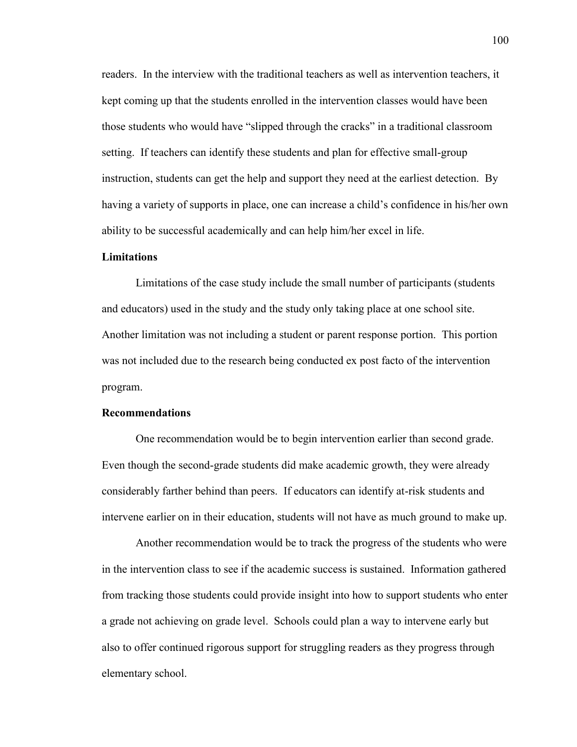readers. In the interview with the traditional teachers as well as intervention teachers, it kept coming up that the students enrolled in the intervention classes would have been those students who would have "slipped through the cracks" in a traditional classroom setting. If teachers can identify these students and plan for effective small-group instruction, students can get the help and support they need at the earliest detection. By having a variety of supports in place, one can increase a child's confidence in his/her own ability to be successful academically and can help him/her excel in life.

## **Limitations**

Limitations of the case study include the small number of participants (students and educators) used in the study and the study only taking place at one school site. Another limitation was not including a student or parent response portion. This portion was not included due to the research being conducted ex post facto of the intervention program.

## **Recommendations**

One recommendation would be to begin intervention earlier than second grade. Even though the second-grade students did make academic growth, they were already considerably farther behind than peers. If educators can identify at-risk students and intervene earlier on in their education, students will not have as much ground to make up.

Another recommendation would be to track the progress of the students who were in the intervention class to see if the academic success is sustained. Information gathered from tracking those students could provide insight into how to support students who enter a grade not achieving on grade level. Schools could plan a way to intervene early but also to offer continued rigorous support for struggling readers as they progress through elementary school.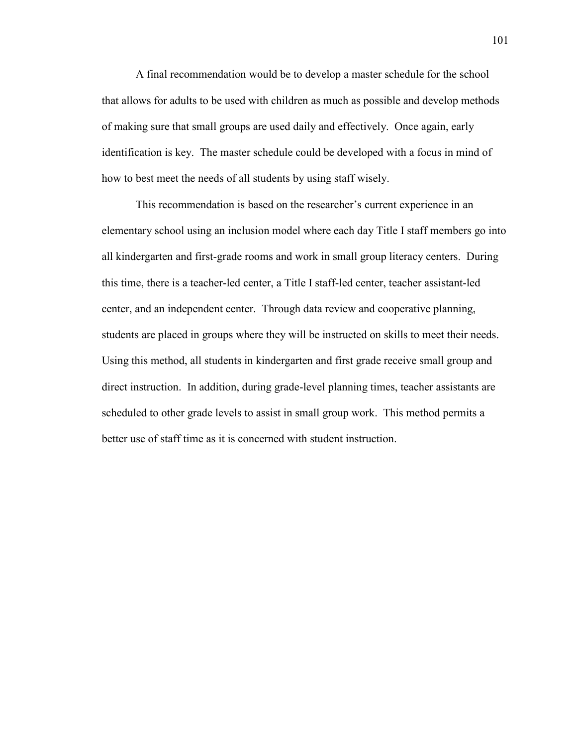A final recommendation would be to develop a master schedule for the school that allows for adults to be used with children as much as possible and develop methods of making sure that small groups are used daily and effectively. Once again, early identification is key. The master schedule could be developed with a focus in mind of how to best meet the needs of all students by using staff wisely.

This recommendation is based on the researcher's current experience in an elementary school using an inclusion model where each day Title I staff members go into all kindergarten and first-grade rooms and work in small group literacy centers. During this time, there is a teacher-led center, a Title I staff-led center, teacher assistant-led center, and an independent center. Through data review and cooperative planning, students are placed in groups where they will be instructed on skills to meet their needs. Using this method, all students in kindergarten and first grade receive small group and direct instruction. In addition, during grade-level planning times, teacher assistants are scheduled to other grade levels to assist in small group work. This method permits a better use of staff time as it is concerned with student instruction.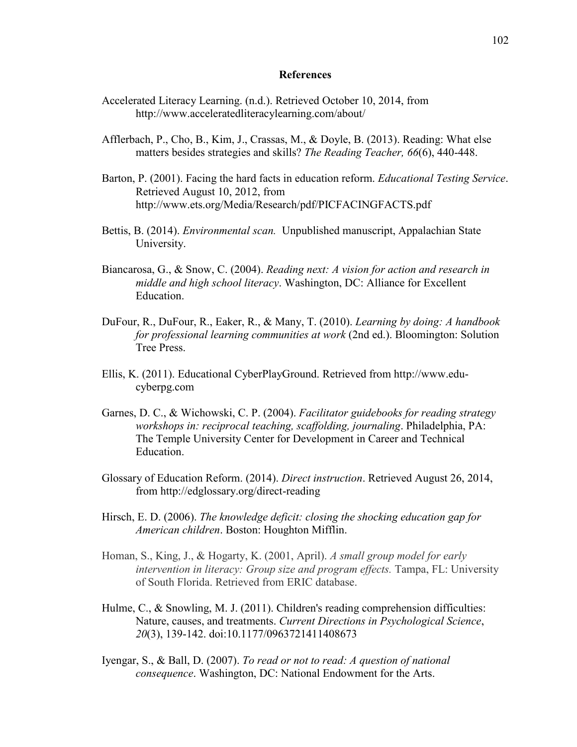## **References**

- Accelerated Literacy Learning. (n.d.). Retrieved October 10, 2014, from http://www.acceleratedliteracylearning.com/about/
- Afflerbach, P., Cho, B., Kim, J., Crassas, M., & Doyle, B. (2013). Reading: What else matters besides strategies and skills? *The Reading Teacher, 66*(6), 440-448.
- Barton, P. (2001). Facing the hard facts in education reform. *Educational Testing Service*. Retrieved August 10, 2012, from http://www.ets.org/Media/Research/pdf/PICFACINGFACTS.pdf
- Bettis, B. (2014). *Environmental scan.* Unpublished manuscript, Appalachian State University.
- Biancarosa, G., & Snow, C. (2004). *Reading next: A vision for action and research in middle and high school literacy*. Washington, DC: Alliance for Excellent Education.
- DuFour, R., DuFour, R., Eaker, R., & Many, T. (2010). *Learning by doing: A handbook for professional learning communities at work* (2nd ed.). Bloomington: Solution Tree Press.
- Ellis, K. (2011). Educational CyberPlayGround. Retrieved from http://www.educyberpg.com
- Garnes, D. C., & Wichowski, C. P. (2004). *Facilitator guidebooks for reading strategy workshops in: reciprocal teaching, scaffolding, journaling*. Philadelphia, PA: The Temple University Center for Development in Career and Technical Education.
- Glossary of Education Reform. (2014). *Direct instruction*. Retrieved August 26, 2014, from http://edglossary.org/direct-reading
- Hirsch, E. D. (2006). *The knowledge deficit: closing the shocking education gap for American children*. Boston: Houghton Mifflin.
- Homan, S., King, J., & Hogarty, K. (2001, April). *A small group model for early intervention in literacy: Group size and program effects.* Tampa, FL: University of South Florida. Retrieved from ERIC database.
- Hulme, C., & Snowling, M. J. (2011). Children's reading comprehension difficulties: Nature, causes, and treatments. *Current Directions in Psychological Science*, *20*(3), 139-142. doi:10.1177/0963721411408673
- Iyengar, S., & Ball, D. (2007). *To read or not to read: A question of national consequence*. Washington, DC: National Endowment for the Arts.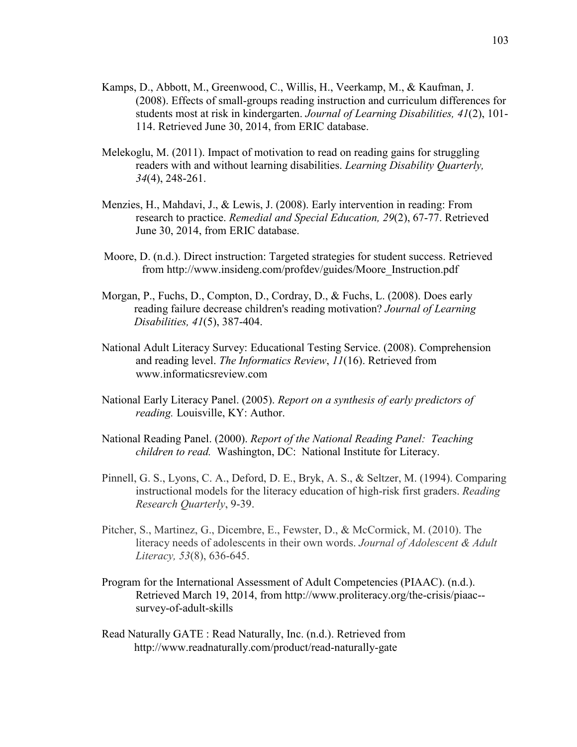- Kamps, D., Abbott, M., Greenwood, C., Willis, H., Veerkamp, M., & Kaufman, J. (2008). Effects of small-groups reading instruction and curriculum differences for students most at risk in kindergarten. *Journal of Learning Disabilities, 41*(2), 101- 114. Retrieved June 30, 2014, from ERIC database.
- Melekoglu, M. (2011). Impact of motivation to read on reading gains for struggling readers with and without learning disabilities. *Learning Disability Quarterly, 34*(4), 248-261.
- Menzies, H., Mahdavi, J., & Lewis, J. (2008). Early intervention in reading: From research to practice. *Remedial and Special Education, 29*(2), 67-77. Retrieved June 30, 2014, from ERIC database.
- Moore, D. (n.d.). Direct instruction: Targeted strategies for student success. Retrieved from http://www.insideng.com/profdev/guides/Moore\_Instruction.pdf
- Morgan, P., Fuchs, D., Compton, D., Cordray, D., & Fuchs, L. (2008). Does early reading failure decrease children's reading motivation? *Journal of Learning Disabilities, 41*(5), 387-404.
- National Adult Literacy Survey: Educational Testing Service. (2008). Comprehension and reading level. *The Informatics Review*, *11*(16). Retrieved from www.informaticsreview.com
- National Early Literacy Panel. (2005). *Report on a synthesis of early predictors of reading.* Louisville, KY: Author.
- National Reading Panel. (2000). *Report of the National Reading Panel: Teaching children to read.* Washington, DC: National Institute for Literacy.
- Pinnell, G. S., Lyons, C. A., Deford, D. E., Bryk, A. S., & Seltzer, M. (1994). Comparing instructional models for the literacy education of high-risk first graders. *Reading Research Quarterly*, 9-39.
- Pitcher, S., Martinez, G., Dicembre, E., Fewster, D., & McCormick, M. (2010). The literacy needs of adolescents in their own words. *Journal of Adolescent & Adult Literacy, 53*(8), 636-645.
- Program for the International Assessment of Adult Competencies (PIAAC). (n.d.). Retrieved March 19, 2014, from http://www.proliteracy.org/the-crisis/piaac- survey-of-adult-skills
- Read Naturally GATE : Read Naturally, Inc. (n.d.). Retrieved from http://www.readnaturally.com/product/read-naturally-gate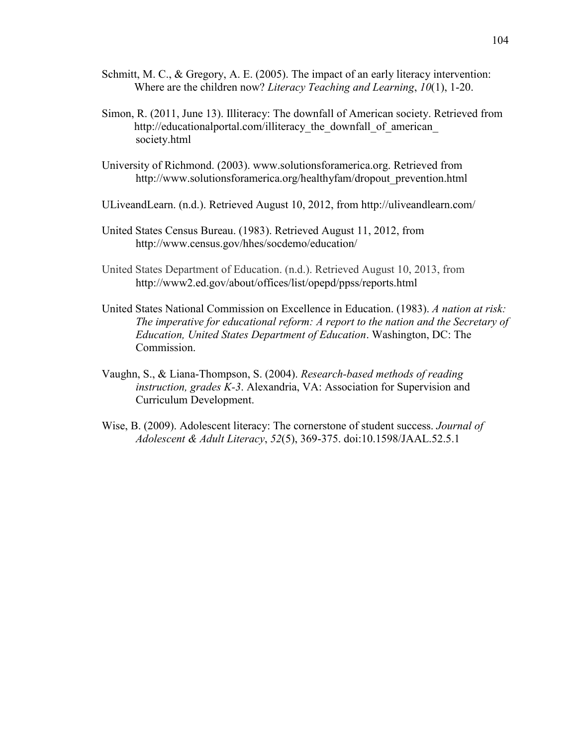- Schmitt, M. C., & Gregory, A. E. (2005). The impact of an early literacy intervention: Where are the children now? *Literacy Teaching and Learning*, *10*(1), 1-20.
- Simon, R. (2011, June 13). Illiteracy: The downfall of American society. Retrieved from http://educationalportal.com/illiteracy the downfall of american society.html
- University of Richmond. (2003). www.solutionsforamerica.org. Retrieved from http://www.solutionsforamerica.org/healthyfam/dropout\_prevention.html
- ULiveandLearn. (n.d.). Retrieved August 10, 2012, from http://uliveandlearn.com/
- United States Census Bureau. (1983). Retrieved August 11, 2012, from http://www.census.gov/hhes/socdemo/education/
- United States Department of Education. (n.d.). Retrieved August 10, 2013, from http://www2.ed.gov/about/offices/list/opepd/ppss/reports.html
- United States National Commission on Excellence in Education. (1983). *A nation at risk: The imperative for educational reform: A report to the nation and the Secretary of Education, United States Department of Education*. Washington, DC: The Commission.
- Vaughn, S., & Liana-Thompson, S. (2004). *Research-based methods of reading instruction, grades K-3*. Alexandria, VA: Association for Supervision and Curriculum Development.
- Wise, B. (2009). Adolescent literacy: The cornerstone of student success. *Journal of Adolescent & Adult Literacy*, *52*(5), 369-375. doi:10.1598/JAAL.52.5.1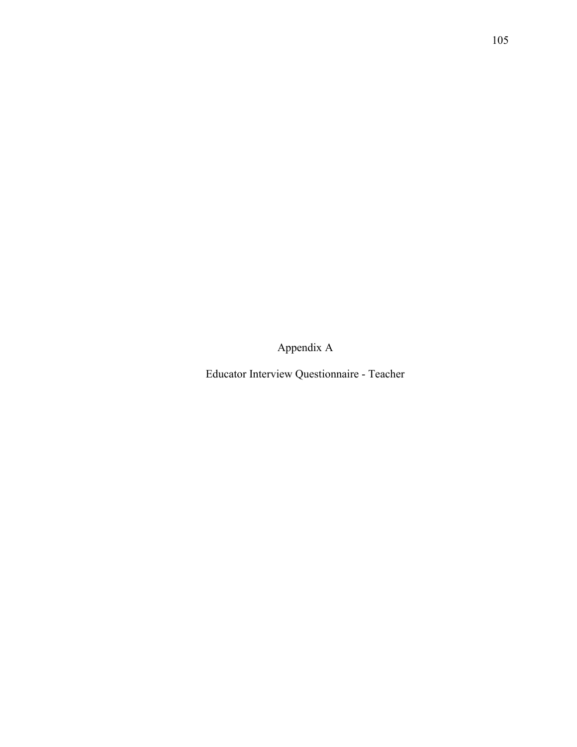Appendix A

Educator Interview Questionnaire - Teacher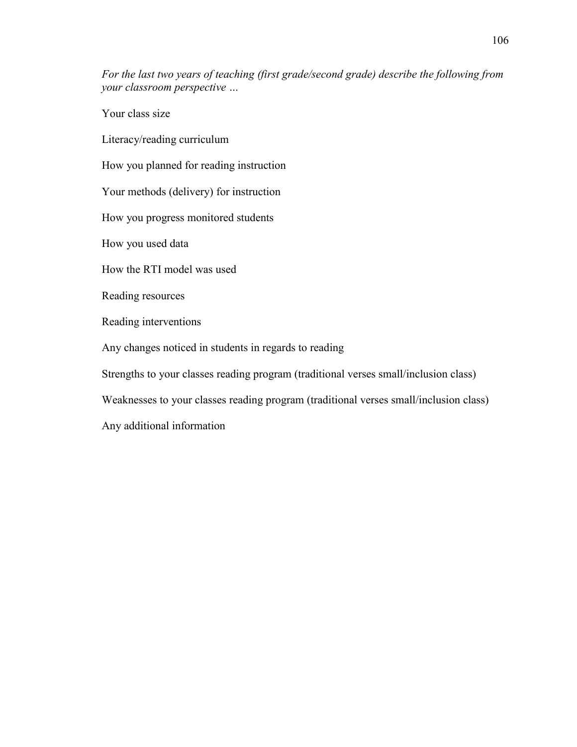*For the last two years of teaching (first grade/second grade) describe the following from your classroom perspective …*

Your class size

Literacy/reading curriculum

How you planned for reading instruction

Your methods (delivery) for instruction

How you progress monitored students

How you used data

How the RTI model was used

Reading resources

Reading interventions

Any changes noticed in students in regards to reading

Strengths to your classes reading program (traditional verses small/inclusion class)

Weaknesses to your classes reading program (traditional verses small/inclusion class)

Any additional information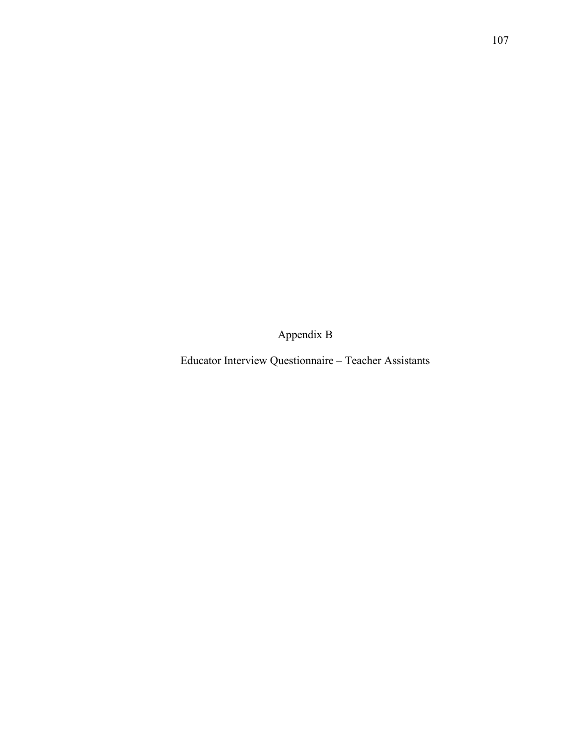Appendix B

Educator Interview Questionnaire – Teacher Assistants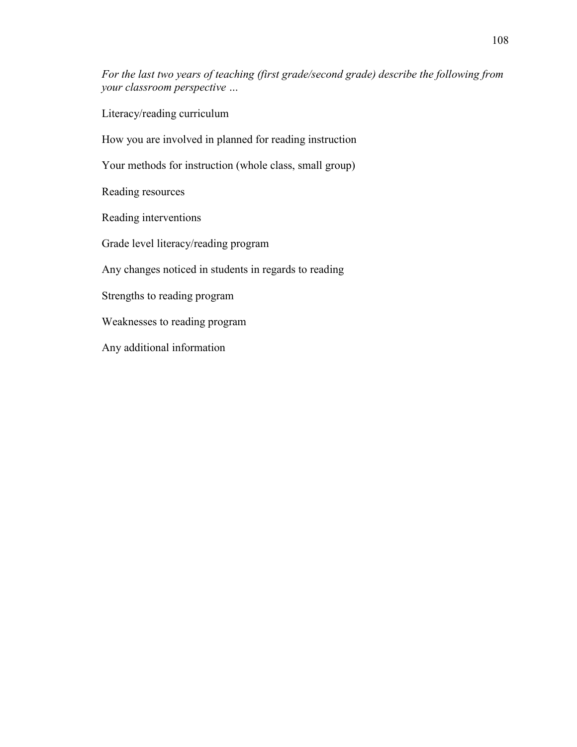*For the last two years of teaching (first grade/second grade) describe the following from your classroom perspective …*

Literacy/reading curriculum

How you are involved in planned for reading instruction

Your methods for instruction (whole class, small group)

Reading resources

Reading interventions

Grade level literacy/reading program

Any changes noticed in students in regards to reading

Strengths to reading program

Weaknesses to reading program

Any additional information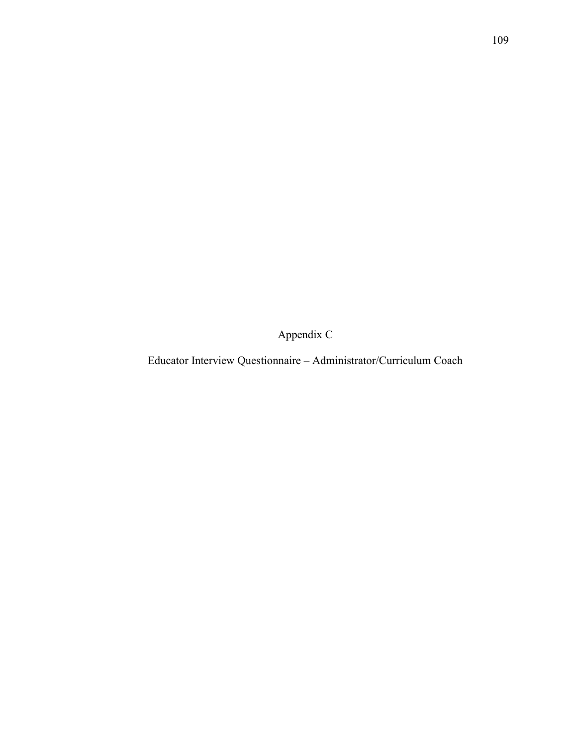Appendix C

Educator Interview Questionnaire – Administrator/Curriculum Coach